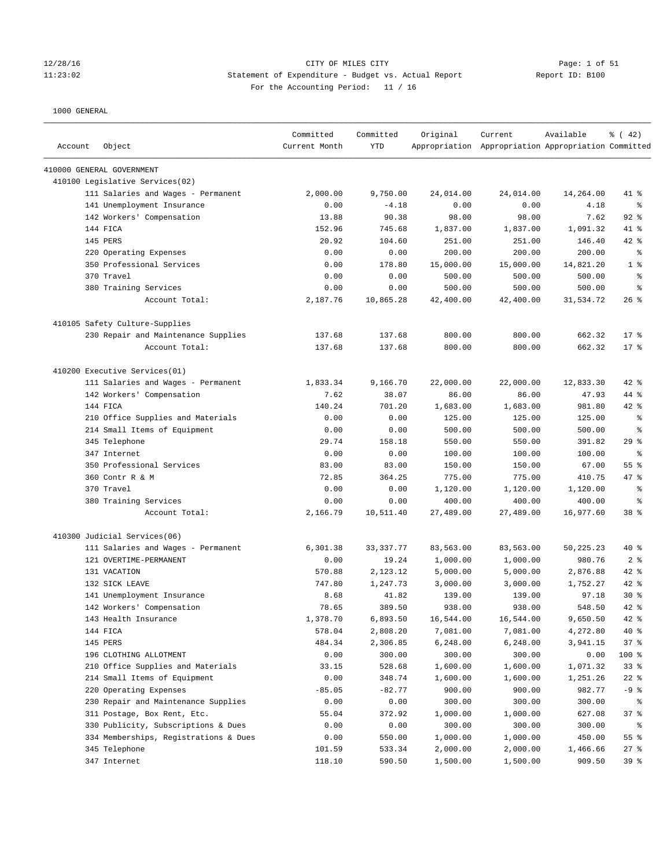### 12/28/16 CITY OF MILES CITY Page: 1 of 51 11:23:02 Statement of Expenditure - Budget vs. Actual Report Report ID: B100 For the Accounting Period: 11 / 16

| Account | Object                                | Committed<br>Current Month | Committed<br><b>YTD</b> | Original  | Current<br>Appropriation Appropriation Appropriation Committed | Available | % (42)          |
|---------|---------------------------------------|----------------------------|-------------------------|-----------|----------------------------------------------------------------|-----------|-----------------|
|         | 410000 GENERAL GOVERNMENT             |                            |                         |           |                                                                |           |                 |
|         | 410100 Legislative Services(02)       |                            |                         |           |                                                                |           |                 |
|         | 111 Salaries and Wages - Permanent    | 2,000.00                   | 9,750.00                | 24,014.00 | 24,014.00                                                      | 14,264.00 | 41 %            |
|         | 141 Unemployment Insurance            | 0.00                       | $-4.18$                 | 0.00      | 0.00                                                           | 4.18      | နွ              |
|         | 142 Workers' Compensation             | 13.88                      | 90.38                   | 98.00     | 98.00                                                          | 7.62      | $92$ %          |
|         | 144 FICA                              | 152.96                     | 745.68                  | 1,837.00  | 1,837.00                                                       | 1,091.32  | 41 %            |
|         | 145 PERS                              | 20.92                      | 104.60                  | 251.00    | 251.00                                                         | 146.40    | $42$ %          |
|         | 220 Operating Expenses                | 0.00                       | 0.00                    | 200.00    | 200.00                                                         | 200.00    | ႜ               |
|         | 350 Professional Services             | 0.00                       | 178.80                  | 15,000.00 | 15,000.00                                                      | 14,821.20 | 1 <sup>8</sup>  |
|         | 370 Travel                            | 0.00                       | 0.00                    | 500.00    | 500.00                                                         | 500.00    | $\epsilon$      |
|         | 380 Training Services                 | 0.00                       | 0.00                    | 500.00    | 500.00                                                         | 500.00    | နွ              |
|         | Account Total:                        | 2,187.76                   | 10,865.28               | 42,400.00 | 42,400.00                                                      | 31,534.72 | $26$ %          |
|         | 410105 Safety Culture-Supplies        |                            |                         |           |                                                                |           |                 |
|         | 230 Repair and Maintenance Supplies   | 137.68                     | 137.68                  | 800.00    | 800.00                                                         | 662.32    | 17 <sub>8</sub> |
|         | Account Total:                        | 137.68                     | 137.68                  | 800.00    | 800.00                                                         | 662.32    | $17*$           |
|         | 410200 Executive Services(01)         |                            |                         |           |                                                                |           |                 |
|         | 111 Salaries and Wages - Permanent    | 1,833.34                   | 9,166.70                | 22,000.00 | 22,000.00                                                      | 12,833.30 | $42$ %          |
|         | 142 Workers' Compensation             | 7.62                       | 38.07                   | 86.00     | 86.00                                                          | 47.93     | 44 %            |
|         | 144 FICA                              | 140.24                     | 701.20                  | 1,683.00  | 1,683.00                                                       | 981.80    | 42 %            |
|         | 210 Office Supplies and Materials     | 0.00                       | 0.00                    | 125.00    | 125.00                                                         | 125.00    | ႜ               |
|         | 214 Small Items of Equipment          | 0.00                       | 0.00                    | 500.00    | 500.00                                                         | 500.00    | ႜ               |
|         | 345 Telephone                         | 29.74                      | 158.18                  | 550.00    | 550.00                                                         | 391.82    | 29%             |
|         | 347 Internet                          | 0.00                       | 0.00                    | 100.00    | 100.00                                                         | 100.00    | နွ              |
|         | 350 Professional Services             | 83.00                      | 83.00                   | 150.00    | 150.00                                                         | 67.00     | 55%             |
|         | 360 Contr R & M                       | 72.85                      | 364.25                  | 775.00    | 775.00                                                         | 410.75    | 47.8            |
|         | 370 Travel                            | 0.00                       | 0.00                    | 1,120.00  | 1,120.00                                                       | 1,120.00  | နွ              |
|         | 380 Training Services                 | 0.00                       | 0.00                    | 400.00    | 400.00                                                         | 400.00    | နွ              |
|         | Account Total:                        | 2,166.79                   | 10,511.40               | 27,489.00 | 27,489.00                                                      | 16,977.60 | 38 %            |
|         | 410300 Judicial Services(06)          |                            |                         |           |                                                                |           |                 |
|         | 111 Salaries and Wages - Permanent    | 6,301.38                   | 33, 337. 77             | 83,563.00 | 83,563.00                                                      | 50,225.23 | $40*$           |
|         | 121 OVERTIME-PERMANENT                | 0.00                       | 19.24                   | 1,000.00  | 1,000.00                                                       | 980.76    | 2 <sup>8</sup>  |
|         | 131 VACATION                          | 570.88                     | 2,123.12                | 5,000.00  | 5,000.00                                                       | 2,876.88  | $42$ %          |
|         | 132 SICK LEAVE                        | 747.80                     | 1,247.73                | 3,000.00  | 3,000.00                                                       | 1,752.27  | 42 %            |
|         | 141 Unemployment Insurance            | 8.68                       | 41.82                   | 139.00    | 139.00                                                         | 97.18     | $30*$           |
|         | 142 Workers' Compensation             | 78.65                      | 389.50                  | 938.00    | 938.00                                                         | 548.50    | $42$ $%$        |
|         | 143 Health Insurance                  | 1,378.70                   | 6,893.50                | 16,544.00 | 16,544.00                                                      | 9,650.50  | 42 %            |
|         | 144 FICA                              | 578.04                     | 2,808.20                | 7,081.00  | 7,081.00                                                       | 4,272.80  | $40*$           |
|         | 145 PERS                              | 484.34                     | 2,306.85                | 6,248.00  | 6,248.00                                                       | 3,941.15  | 37%             |
|         | 196 CLOTHING ALLOTMENT                | 0.00                       | 300.00                  | 300.00    | 300.00                                                         | 0.00      | 100 %           |
|         | 210 Office Supplies and Materials     | 33.15                      | 528.68                  | 1,600.00  | 1,600.00                                                       | 1,071.32  | 33%             |
|         | 214 Small Items of Equipment          | 0.00                       | 348.74                  | 1,600.00  | 1,600.00                                                       | 1,251.26  | $22$ %          |
|         | 220 Operating Expenses                | $-85.05$                   | $-82.77$                | 900.00    | 900.00                                                         | 982.77    | $-9$ %          |
|         | 230 Repair and Maintenance Supplies   | 0.00                       | 0.00                    | 300.00    | 300.00                                                         | 300.00    | ႜ               |
|         | 311 Postage, Box Rent, Etc.           | 55.04                      | 372.92                  | 1,000.00  | 1,000.00                                                       | 627.08    | 37%             |
|         | 330 Publicity, Subscriptions & Dues   | 0.00                       | 0.00                    | 300.00    | 300.00                                                         | 300.00    | ႜ               |
|         | 334 Memberships, Registrations & Dues | 0.00                       | 550.00                  | 1,000.00  | 1,000.00                                                       | 450.00    | 55%             |
|         | 345 Telephone                         | 101.59                     | 533.34                  | 2,000.00  | 2,000.00                                                       | 1,466.66  | 27%             |
|         | 347 Internet                          | 118.10                     | 590.50                  | 1,500.00  | 1,500.00                                                       | 909.50    | 39 %            |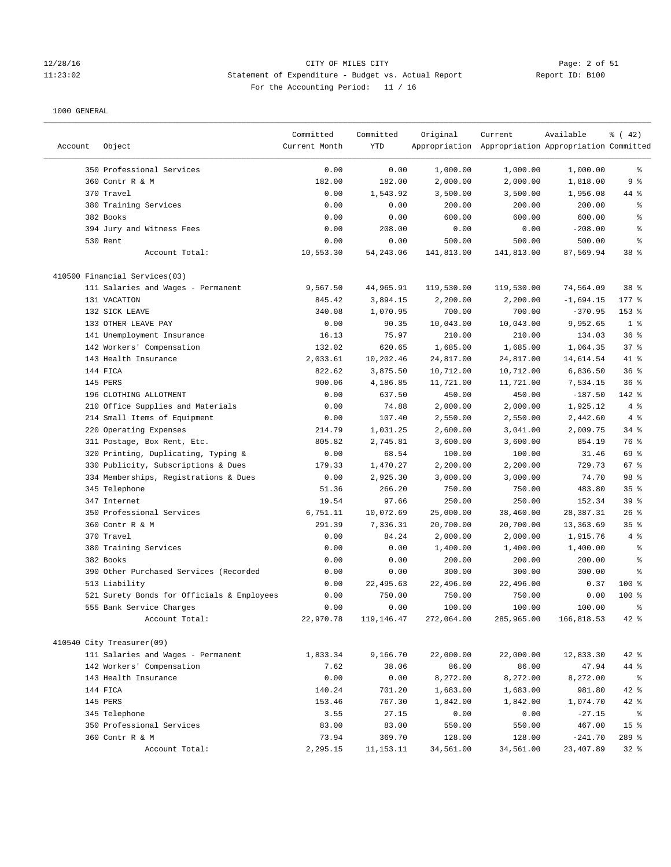### 12/28/16 CITY OF MILES CITY Page: 2 of 51 11:23:02 Statement of Expenditure - Budget vs. Actual Report Report ID: B100 For the Accounting Period: 11 / 16

|         |                                                                 | Committed         | Committed       | Original            | Current                                             | Available              | $\frac{1}{6}$ ( 42)      |
|---------|-----------------------------------------------------------------|-------------------|-----------------|---------------------|-----------------------------------------------------|------------------------|--------------------------|
| Account | Object                                                          | Current Month     | YTD             |                     | Appropriation Appropriation Appropriation Committed |                        |                          |
|         | 350 Professional Services                                       | 0.00              | 0.00            | 1,000.00            | 1,000.00                                            | 1,000.00               | န့                       |
|         | 360 Contr R & M                                                 | 182.00            | 182.00          | 2,000.00            | 2,000.00                                            | 1,818.00               | 9%                       |
|         | 370 Travel                                                      | 0.00              | 1,543.92        | 3,500.00            | 3,500.00                                            | 1,956.08               | 44 %                     |
|         | 380 Training Services                                           | 0.00              | 0.00            | 200.00              | 200.00                                              | 200.00                 | န့                       |
|         | 382 Books                                                       | 0.00              | 0.00            | 600.00              | 600.00                                              | 600.00                 | န္                       |
|         | 394 Jury and Witness Fees                                       | 0.00              | 208.00          | 0.00                | 0.00                                                | $-208.00$              | န္                       |
|         | 530 Rent                                                        | 0.00              | 0.00            | 500.00              | 500.00                                              | 500.00                 | န္                       |
|         | Account Total:                                                  | 10,553.30         | 54, 243.06      | 141,813.00          | 141,813.00                                          | 87,569.94              | 38 <sup>8</sup>          |
|         | 410500 Financial Services(03)                                   |                   |                 |                     |                                                     |                        |                          |
|         | 111 Salaries and Wages - Permanent                              | 9,567.50          | 44,965.91       | 119,530.00          | 119,530.00                                          | 74,564.09              | 38 %                     |
|         | 131 VACATION                                                    | 845.42            | 3,894.15        | 2,200.00            | 2,200.00                                            | $-1,694.15$            | $177$ %                  |
|         | 132 SICK LEAVE                                                  | 340.08            | 1,070.95        | 700.00              | 700.00                                              | $-370.95$              | 153 %                    |
|         | 133 OTHER LEAVE PAY                                             | 0.00              | 90.35           | 10,043.00           | 10,043.00                                           | 9,952.65               | 1 <sup>8</sup>           |
|         | 141 Unemployment Insurance                                      | 16.13             | 75.97           | 210.00              | 210.00                                              | 134.03                 | 36%                      |
|         | 142 Workers' Compensation                                       | 132.02            | 620.65          | 1,685.00            | 1,685.00                                            | 1,064.35               | 37%                      |
|         | 143 Health Insurance                                            | 2,033.61          | 10,202.46       | 24,817.00           | 24,817.00                                           | 14,614.54              | 41 %                     |
|         | 144 FICA                                                        | 822.62            | 3,875.50        | 10,712.00           | 10,712.00                                           | 6,836.50               | 36%                      |
|         | 145 PERS                                                        | 900.06            | 4,186.85        | 11,721.00           | 11,721.00                                           | 7,534.15               | 36%                      |
|         | 196 CLOTHING ALLOTMENT                                          | 0.00              | 637.50          | 450.00              | 450.00                                              | $-187.50$              | 142 %                    |
|         | 210 Office Supplies and Materials                               | 0.00              | 74.88           | 2,000.00            | 2,000.00                                            | 1,925.12               | 4%                       |
|         | 214 Small Items of Equipment                                    | 0.00              | 107.40          | 2,550.00            | 2,550.00                                            | 2,442.60               | 4%                       |
|         | 220 Operating Expenses                                          | 214.79            | 1,031.25        | 2,600.00            | 3,041.00                                            | 2,009.75               | $34$ $%$                 |
|         | 311 Postage, Box Rent, Etc.                                     | 805.82            | 2,745.81        | 3,600.00            | 3,600.00                                            | 854.19                 | 76 %                     |
|         | 320 Printing, Duplicating, Typing &                             | 0.00              | 68.54           | 100.00              | 100.00                                              | 31.46                  | 69 %                     |
|         | 330 Publicity, Subscriptions & Dues                             | 179.33            | 1,470.27        | 2,200.00            | 2,200.00                                            | 729.73                 | 67 %                     |
|         | 334 Memberships, Registrations & Dues                           | 0.00              | 2,925.30        | 3,000.00            | 3,000.00                                            | 74.70                  | 98 %                     |
|         | 345 Telephone                                                   | 51.36             | 266.20          | 750.00              | 750.00                                              | 483.80                 | 35%                      |
|         | 347 Internet                                                    | 19.54             | 97.66           | 250.00              | 250.00                                              | 152.34                 | 39 %                     |
|         | 350 Professional Services                                       | 6,751.11          | 10,072.69       | 25,000.00           | 38,460.00                                           | 28,387.31              | 26%                      |
|         | 360 Contr R & M                                                 | 291.39            | 7,336.31        | 20,700.00           | 20,700.00                                           | 13,363.69              | 35 <sup>8</sup>          |
|         | 370 Travel                                                      | 0.00              | 84.24           | 2,000.00            | 2,000.00                                            | 1,915.76               | $4\degree$               |
|         | 380 Training Services                                           | 0.00              | 0.00            | 1,400.00            | 1,400.00                                            | 1,400.00               | ႜ                        |
|         | 382 Books                                                       | 0.00              | 0.00            | 200.00              | 200.00                                              | 200.00                 | န့                       |
|         | 390 Other Purchased Services (Recorded                          | 0.00              | 0.00            | 300.00              | 300.00                                              | 300.00                 | န္                       |
|         | 513 Liability                                                   | 0.00              | 22,495.63       | 22,496.00           | 22,496.00                                           | 0.37                   | $100$ %                  |
|         | 521 Surety Bonds for Officials & Employees                      | 0.00              | 750.00          | 750.00              | 750.00                                              | 0.00                   | $100$ %                  |
|         | 555 Bank Service Charges                                        | 0.00              | 0.00            | 100.00              | 100.00                                              | 100.00                 | g                        |
|         | Account Total:                                                  | 22,970.78         | 119,146.47      | 272,064.00          | 285,965.00                                          | 166,818.53             | $42$ %                   |
|         |                                                                 |                   |                 |                     |                                                     |                        |                          |
|         | 410540 City Treasurer(09)<br>111 Salaries and Wages - Permanent | 1,833.34          | 9,166.70        | 22,000.00           | 22,000.00                                           | 12,833.30              | $42$ %                   |
|         | 142 Workers' Compensation                                       | 7.62              | 38.06           | 86.00               | 86.00                                               | 47.94                  | 44 %                     |
|         |                                                                 |                   | 0.00            | 8,272.00            |                                                     |                        |                          |
|         | 143 Health Insurance<br>144 FICA                                | 0.00<br>140.24    | 701.20          | 1,683.00            | 8,272.00<br>1,683.00                                | 8,272.00<br>981.80     | $\frac{6}{6}$<br>42 %    |
|         |                                                                 |                   |                 |                     |                                                     |                        |                          |
|         | 145 PERS                                                        | 153.46            | 767.30          | 1,842.00            | 1,842.00                                            | 1,074.70               | 42 %                     |
|         | 345 Telephone<br>350 Professional Services                      | 3.55              | 27.15           | 0.00                | 0.00                                                | $-27.15$               | နွ                       |
|         | 360 Contr R & M                                                 | 83.00             | 83.00<br>369.70 | 550.00              | 550.00                                              | 467.00                 | 15 <sub>8</sub><br>289 % |
|         | Account Total:                                                  | 73.94<br>2,295.15 | 11, 153. 11     | 128.00<br>34,561.00 | 128.00<br>34,561.00                                 | $-241.70$<br>23,407.89 | $32$ $%$                 |
|         |                                                                 |                   |                 |                     |                                                     |                        |                          |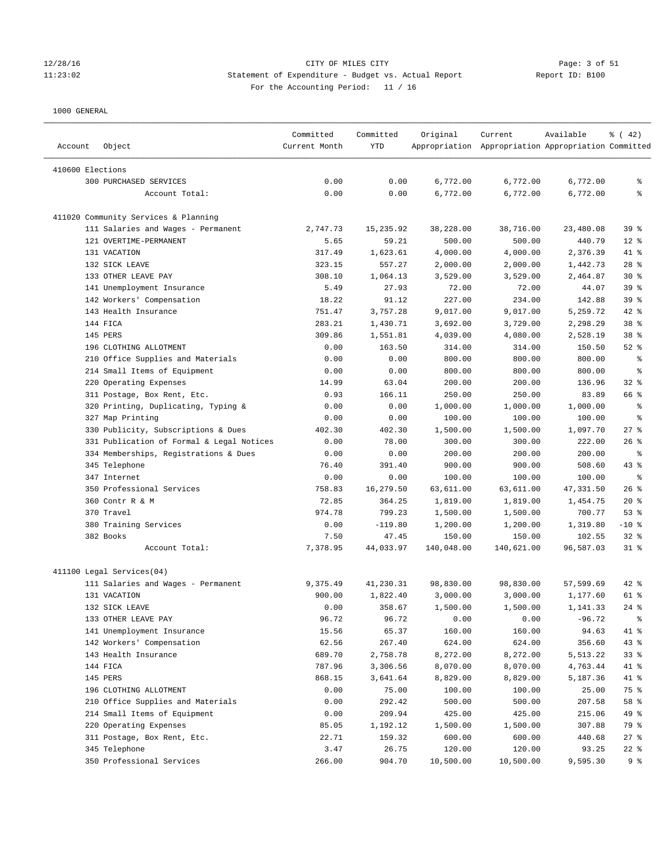### 12/28/16 CITY OF MILES CITY Page: 3 of 51 11:23:02 Statement of Expenditure - Budget vs. Actual Report Report ID: B100 For the Accounting Period: 11 / 16

| Account          | Object                                             | Committed<br>Current Month | Committed<br>YTD | Original   | Current<br>Appropriation Appropriation Appropriation Committed | Available | $\frac{3}{6}$ ( 42) |
|------------------|----------------------------------------------------|----------------------------|------------------|------------|----------------------------------------------------------------|-----------|---------------------|
| 410600 Elections |                                                    |                            |                  |            |                                                                |           |                     |
|                  | <b>300 PURCHASED SERVICES</b>                      | 0.00                       | 0.00             | 6,772.00   | 6,772.00                                                       | 6,772.00  | နွ                  |
|                  | Account Total:                                     | 0.00                       | 0.00             | 6,772.00   | 6,772.00                                                       | 6,772.00  | ి                   |
|                  |                                                    |                            |                  |            |                                                                |           |                     |
|                  | 411020 Community Services & Planning               |                            |                  |            |                                                                |           |                     |
|                  | 111 Salaries and Wages - Permanent                 | 2,747.73                   | 15,235.92        | 38,228.00  | 38,716.00                                                      | 23,480.08 | 39 %                |
|                  | 121 OVERTIME-PERMANENT                             | 5.65                       | 59.21            | 500.00     | 500.00                                                         | 440.79    | $12*$               |
|                  | 131 VACATION                                       | 317.49                     | 1,623.61         | 4,000.00   | 4,000.00                                                       | 2,376.39  | 41 %                |
|                  | 132 SICK LEAVE                                     | 323.15                     | 557.27           | 2,000.00   | 2,000.00                                                       | 1,442.73  | $28$ %              |
|                  | 133 OTHER LEAVE PAY                                | 308.10                     | 1,064.13         | 3,529.00   | 3,529.00                                                       | 2,464.87  | $30*$               |
|                  | 141 Unemployment Insurance                         | 5.49                       | 27.93            | 72.00      | 72.00                                                          | 44.07     | 39 %                |
|                  | 142 Workers' Compensation                          | 18.22                      | 91.12            | 227.00     | 234.00                                                         | 142.88    | 39 %                |
|                  | 143 Health Insurance                               | 751.47                     | 3,757.28         | 9,017.00   | 9,017.00                                                       | 5,259.72  | 42 %                |
|                  | 144 FICA                                           | 283.21                     | 1,430.71         | 3,692.00   | 3,729.00                                                       | 2,298.29  | 38 %                |
|                  | 145 PERS                                           | 309.86                     | 1,551.81         | 4,039.00   | 4,080.00                                                       | 2,528.19  | 38 %                |
|                  | 196 CLOTHING ALLOTMENT                             | 0.00                       | 163.50           | 314.00     | 314.00                                                         | 150.50    | $52$ $%$            |
|                  | 210 Office Supplies and Materials                  | 0.00                       | 0.00             | 800.00     | 800.00                                                         | 800.00    | နွ                  |
|                  | 214 Small Items of Equipment                       | 0.00                       | 0.00             | 800.00     | 800.00                                                         | 800.00    | နွ                  |
|                  | 220 Operating Expenses                             | 14.99                      | 63.04            | 200.00     | 200.00                                                         | 136.96    | 32%                 |
|                  | 311 Postage, Box Rent, Etc.                        | 0.93                       | 166.11           | 250.00     | 250.00                                                         | 83.89     | 66 %                |
|                  | 320 Printing, Duplicating, Typing &                | 0.00                       | 0.00             | 1,000.00   | 1,000.00                                                       | 1,000.00  | နွ                  |
|                  | 327 Map Printing                                   | 0.00                       | 0.00             | 100.00     | 100.00                                                         | 100.00    | နွ                  |
|                  | 330 Publicity, Subscriptions & Dues                | 402.30                     | 402.30           | 1,500.00   | 1,500.00                                                       | 1,097.70  | $27$ %              |
|                  | 331 Publication of Formal & Legal Notices          | 0.00                       | 78.00            | 300.00     | 300.00                                                         | 222.00    | 26%                 |
|                  | 334 Memberships, Registrations & Dues              | 0.00                       | 0.00             | 200.00     | 200.00                                                         | 200.00    | $\epsilon$          |
|                  | 345 Telephone                                      | 76.40                      | 391.40           | 900.00     | 900.00                                                         | 508.60    | $43$ %              |
|                  | 347 Internet                                       | 0.00                       | 0.00             | 100.00     | 100.00                                                         | 100.00    | ႜ                   |
|                  | 350 Professional Services                          | 758.83                     | 16,279.50        | 63,611.00  | 63,611.00                                                      | 47,331.50 | 26%                 |
|                  | 360 Contr R & M                                    | 72.85                      | 364.25           | 1,819.00   | 1,819.00                                                       | 1,454.75  | $20*$               |
|                  | 370 Travel                                         | 974.78                     | 799.23           | 1,500.00   | 1,500.00                                                       | 700.77    | 53%                 |
|                  | 380 Training Services                              | 0.00                       | $-119.80$        | 1,200.00   | 1,200.00                                                       | 1,319.80  | $-10$ %             |
|                  | 382 Books                                          | 7.50                       | 47.45            | 150.00     | 150.00                                                         | 102.55    | $32$ $%$            |
|                  | Account Total:                                     | 7,378.95                   | 44,033.97        | 140,048.00 | 140,621.00                                                     | 96,587.03 | $31$ %              |
|                  |                                                    |                            |                  |            |                                                                |           |                     |
|                  | 411100 Legal Services(04)                          | 9,375.49                   | 41,230.31        | 98,830.00  | 98,830.00                                                      | 57,599.69 | 42 %                |
|                  | 111 Salaries and Wages - Permanent<br>131 VACATION | 900.00                     | 1,822.40         | 3,000.00   | 3,000.00                                                       | 1,177.60  | 61 %                |
|                  | 132 SICK LEAVE                                     | 0.00                       | 358.67           | 1,500.00   | 1,500.00                                                       | 1,141.33  | $24$ %              |
|                  | 133 OTHER LEAVE PAY                                |                            |                  |            |                                                                |           |                     |
|                  |                                                    | 96.72                      | 96.72            | 0.00       | 0.00                                                           | $-96.72$  | $\frac{6}{6}$       |
|                  | 141 Unemployment Insurance                         | 15.56                      | 65.37<br>267.40  | 160.00     | 160.00                                                         | 94.63     | 41 %                |
|                  | 142 Workers' Compensation                          | 62.56                      |                  | 624.00     | 624.00                                                         | 356.60    | 43%                 |
|                  | 143 Health Insurance                               | 689.70                     | 2,758.78         | 8,272.00   | 8,272.00                                                       | 5,513.22  | 33%                 |
|                  | 144 FICA                                           | 787.96                     | 3,306.56         | 8,070.00   | 8,070.00                                                       | 4,763.44  | 41 %                |
|                  | 145 PERS                                           | 868.15                     | 3,641.64         | 8,829.00   | 8,829.00                                                       | 5,187.36  | 41 %                |
|                  | 196 CLOTHING ALLOTMENT                             | 0.00                       | 75.00            | 100.00     | 100.00                                                         | 25.00     | 75 %                |
|                  | 210 Office Supplies and Materials                  | 0.00                       | 292.42           | 500.00     | 500.00                                                         | 207.58    | 58 %                |
|                  | 214 Small Items of Equipment                       | 0.00                       | 209.94           | 425.00     | 425.00                                                         | 215.06    | 49 %                |
|                  | 220 Operating Expenses                             | 85.05                      | 1,192.12         | 1,500.00   | 1,500.00                                                       | 307.88    | 79 %                |
|                  | 311 Postage, Box Rent, Etc.                        | 22.71                      | 159.32           | 600.00     | 600.00                                                         | 440.68    | $27$ %              |
|                  | 345 Telephone                                      | 3.47                       | 26.75            | 120.00     | 120.00                                                         | 93.25     | $22$ %              |
|                  | 350 Professional Services                          | 266.00                     | 904.70           | 10,500.00  | 10,500.00                                                      | 9,595.30  | 9%                  |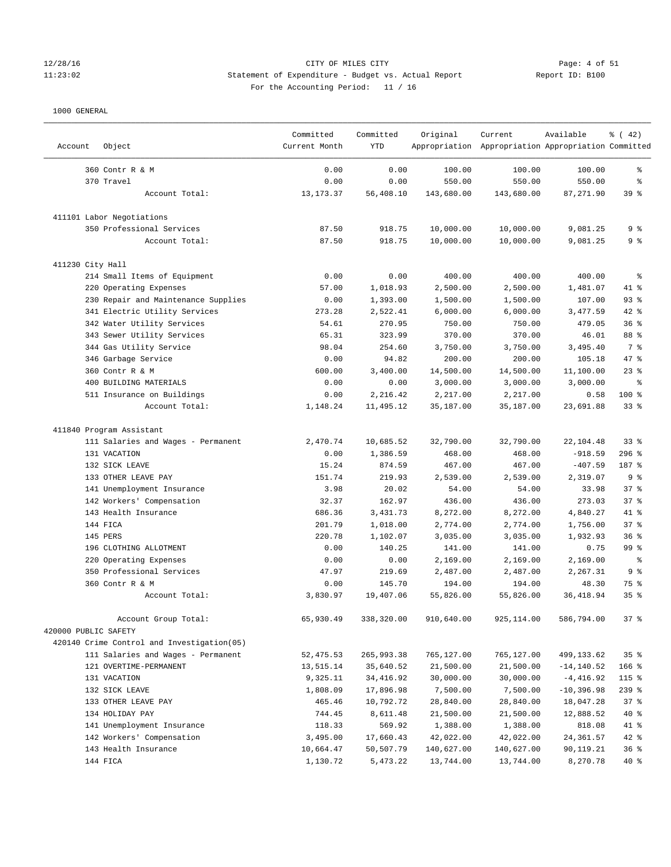# Page: 4 of 51<br>11:23:02 Statement of Expenditure - Budget vs. Actual Report 11:23:02 11:23:02 Statement of Expenditure - Budget vs. Actual Report Report ID: B100 For the Accounting Period: 11 / 16

————————————————————————————————————————————————————————————————————————————————————————————————————————————————————————————————————

|                                            | Committed     | Committed  | Original   | Current                                             | Available     | % (42)                   |
|--------------------------------------------|---------------|------------|------------|-----------------------------------------------------|---------------|--------------------------|
| Object<br>Account                          | Current Month | <b>YTD</b> |            | Appropriation Appropriation Appropriation Committed |               |                          |
| 360 Contr R & M                            | 0.00          | 0.00       | 100.00     | 100.00                                              | 100.00        | န့                       |
| 370 Travel                                 | 0.00          | 0.00       | 550.00     | 550.00                                              | 550.00        | နွ                       |
| Account Total:                             | 13, 173. 37   | 56,408.10  | 143,680.00 | 143,680.00                                          | 87,271.90     | 39%                      |
| 411101 Labor Negotiations                  |               |            |            |                                                     |               |                          |
| 350 Professional Services                  | 87.50         | 918.75     | 10,000.00  | 10,000.00                                           | 9,081.25      | 9 <sub>8</sub>           |
| Account Total:                             | 87.50         | 918.75     | 10,000.00  | 10,000.00                                           | 9,081.25      | 9%                       |
| 411230 City Hall                           |               |            |            |                                                     |               |                          |
| 214 Small Items of Equipment               | 0.00          | 0.00       | 400.00     | 400.00                                              | 400.00        | $\,{}^{\circ}\!\!\delta$ |
| 220 Operating Expenses                     | 57.00         | 1,018.93   | 2,500.00   | 2,500.00                                            | 1,481.07      | 41 %                     |
| 230 Repair and Maintenance Supplies        | 0.00          | 1,393.00   | 1,500.00   | 1,500.00                                            | 107.00        | 93%                      |
| 341 Electric Utility Services              | 273.28        | 2,522.41   | 6,000.00   | 6,000.00                                            | 3,477.59      | 42 %                     |
| 342 Water Utility Services                 | 54.61         | 270.95     | 750.00     | 750.00                                              | 479.05        | 36%                      |
| 343 Sewer Utility Services                 | 65.31         | 323.99     | 370.00     | 370.00                                              | 46.01         | 88 %                     |
| 344 Gas Utility Service                    | 98.04         | 254.60     | 3,750.00   | 3,750.00                                            | 3,495.40      | 7 %                      |
| 346 Garbage Service                        | 0.00          | 94.82      | 200.00     | 200.00                                              | 105.18        | 47 %                     |
| 360 Contr R & M                            | 600.00        | 3,400.00   | 14,500.00  | 14,500.00                                           | 11,100.00     | $23$ %                   |
| 400 BUILDING MATERIALS                     | 0.00          | 0.00       | 3,000.00   | 3,000.00                                            | 3,000.00      | နွ                       |
| 511 Insurance on Buildings                 | 0.00          | 2,216.42   | 2,217.00   | 2,217.00                                            | 0.58          | 100 %                    |
| Account Total:                             | 1,148.24      | 11,495.12  | 35,187.00  | 35,187.00                                           | 23,691.88     | $33$ $%$                 |
| 411840 Program Assistant                   |               |            |            |                                                     |               |                          |
| 111 Salaries and Wages - Permanent         | 2,470.74      | 10,685.52  | 32,790.00  | 32,790.00                                           | 22,104.48     | $33$ $%$                 |
| 131 VACATION                               | 0.00          | 1,386.59   | 468.00     | 468.00                                              | $-918.59$     | $296$ %                  |
| 132 SICK LEAVE                             | 15.24         | 874.59     | 467.00     | 467.00                                              | $-407.59$     | 187 %                    |
| 133 OTHER LEAVE PAY                        | 151.74        | 219.93     | 2,539.00   | 2,539.00                                            | 2,319.07      | 9%                       |
| 141 Unemployment Insurance                 | 3.98          | 20.02      | 54.00      | 54.00                                               | 33.98         | 37%                      |
| 142 Workers' Compensation                  | 32.37         | 162.97     | 436.00     | 436.00                                              | 273.03        | 37%                      |
| 143 Health Insurance                       | 686.36        | 3,431.73   | 8,272.00   | 8,272.00                                            | 4,840.27      | 41 %                     |
| 144 FICA                                   | 201.79        | 1,018.00   | 2,774.00   | 2,774.00                                            | 1,756.00      | 37%                      |
| 145 PERS                                   | 220.78        | 1,102.07   | 3,035.00   | 3,035.00                                            | 1,932.93      | 36%                      |
| 196 CLOTHING ALLOTMENT                     | 0.00          | 140.25     | 141.00     | 141.00                                              | 0.75          | 99 %                     |
| 220 Operating Expenses                     | 0.00          | 0.00       | 2,169.00   | 2,169.00                                            | 2,169.00      | $\epsilon$               |
| 350 Professional Services                  | 47.97         | 219.69     | 2,487.00   | 2,487.00                                            | 2,267.31      | 9%                       |
| 360 Contr R & M                            | 0.00          | 145.70     | 194.00     | 194.00                                              | 48.30         | 75 %                     |
| Account Total:                             | 3,830.97      | 19,407.06  | 55,826.00  | 55,826.00                                           | 36, 418.94    | 35%                      |
| Account Group Total:                       | 65,930.49     | 338,320.00 | 910,640.00 | 925,114.00                                          | 586,794.00    | 37%                      |
| 420000 PUBLIC SAFETY                       |               |            |            |                                                     |               |                          |
| 420140 Crime Control and Investigation(05) |               |            |            |                                                     |               |                          |
| 111 Salaries and Wages - Permanent         | 52, 475.53    | 265,993.38 | 765,127.00 | 765,127.00                                          | 499,133.62    | 35%                      |
| 121 OVERTIME-PERMANENT                     | 13,515.14     | 35,640.52  | 21,500.00  | 21,500.00                                           | $-14, 140.52$ | $166$ %                  |
| 131 VACATION                               | 9,325.11      | 34,416.92  | 30,000.00  | 30,000.00                                           | $-4,416.92$   | 115 %                    |
| 132 SICK LEAVE                             | 1,808.09      | 17,896.98  | 7,500.00   | 7,500.00                                            | $-10,396.98$  | $239$ $%$                |
| 133 OTHER LEAVE PAY                        | 465.46        | 10,792.72  | 28,840.00  | 28,840.00                                           | 18,047.28     | 37%                      |
| 134 HOLIDAY PAY                            | 744.45        | 8,611.48   | 21,500.00  | 21,500.00                                           | 12,888.52     | 40 %                     |
| 141 Unemployment Insurance                 | 118.33        | 569.92     | 1,388.00   | 1,388.00                                            | 818.08        | 41 %                     |
| 142 Workers' Compensation                  | 3,495.00      | 17,660.43  | 42,022.00  | 42,022.00                                           | 24,361.57     | $42$ %                   |
| 143 Health Insurance                       | 10,664.47     | 50,507.79  | 140,627.00 | 140,627.00                                          | 90,119.21     | 36%                      |
| 144 FICA                                   | 1,130.72      | 5,473.22   | 13,744.00  | 13,744.00                                           | 8,270.78      | $40*$                    |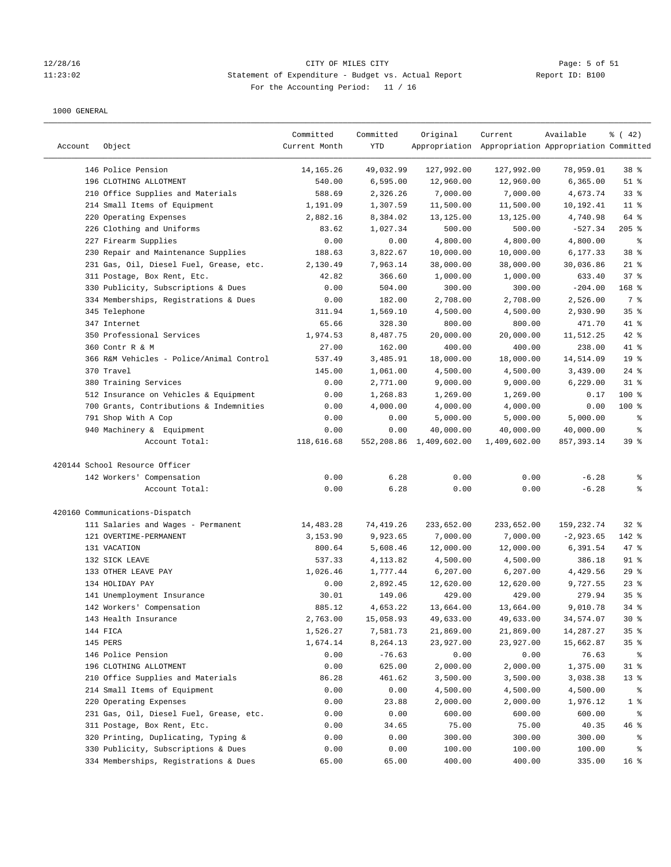### 12/28/16 CITY OF MILES CITY Page: 5 of 51 11:23:02 Statement of Expenditure - Budget vs. Actual Report Report ID: B100 For the Accounting Period: 11 / 16

| Account | Object                                   | Committed<br>Current Month | Committed<br>YTD | Original                | Current<br>Appropriation Appropriation Appropriation Committed | Available   | $\frac{1}{6}$ ( 42) |
|---------|------------------------------------------|----------------------------|------------------|-------------------------|----------------------------------------------------------------|-------------|---------------------|
|         | 146 Police Pension                       | 14, 165. 26                | 49,032.99        | 127,992.00              | 127,992.00                                                     | 78,959.01   | 38 <sup>8</sup>     |
|         | 196 CLOTHING ALLOTMENT                   | 540.00                     | 6,595.00         | 12,960.00               | 12,960.00                                                      | 6,365.00    | $51$ %              |
|         | 210 Office Supplies and Materials        | 588.69                     | 2,326.26         | 7,000.00                | 7,000.00                                                       | 4,673.74    | 33%                 |
|         | 214 Small Items of Equipment             | 1,191.09                   | 1,307.59         | 11,500.00               | 11,500.00                                                      | 10,192.41   | $11$ %              |
|         | 220 Operating Expenses                   | 2,882.16                   | 8,384.02         | 13,125.00               | 13,125.00                                                      | 4,740.98    | 64 %                |
|         | 226 Clothing and Uniforms                | 83.62                      | 1,027.34         | 500.00                  | 500.00                                                         | $-527.34$   | $205$ %             |
|         | 227 Firearm Supplies                     | 0.00                       | 0.00             | 4,800.00                | 4,800.00                                                       | 4,800.00    | နွ                  |
|         | 230 Repair and Maintenance Supplies      | 188.63                     | 3,822.67         | 10,000.00               | 10,000.00                                                      | 6,177.33    | 38 <sup>8</sup>     |
|         | 231 Gas, Oil, Diesel Fuel, Grease, etc.  | 2,130.49                   | 7,963.14         | 38,000.00               | 38,000.00                                                      | 30,036.86   | $21$ %              |
|         | 311 Postage, Box Rent, Etc.              | 42.82                      | 366.60           | 1,000.00                | 1,000.00                                                       | 633.40      | 37%                 |
|         | 330 Publicity, Subscriptions & Dues      | 0.00                       | 504.00           | 300.00                  | 300.00                                                         | $-204.00$   | $168$ %             |
|         | 334 Memberships, Registrations & Dues    | 0.00                       | 182.00           | 2,708.00                | 2,708.00                                                       | 2,526.00    | 7 %                 |
|         | 345 Telephone                            | 311.94                     | 1,569.10         | 4,500.00                | 4,500.00                                                       | 2,930.90    | 35%                 |
|         | 347 Internet                             | 65.66                      | 328.30           | 800.00                  | 800.00                                                         | 471.70      | 41 %                |
|         | 350 Professional Services                | 1,974.53                   | 8,487.75         | 20,000.00               | 20,000.00                                                      | 11,512.25   | 42 %                |
|         | 360 Contr R & M                          | 27.00                      | 162.00           | 400.00                  | 400.00                                                         | 238.00      | 41 %                |
|         | 366 R&M Vehicles - Police/Animal Control | 537.49                     | 3,485.91         | 18,000.00               | 18,000.00                                                      | 14,514.09   | 19 <sup>°</sup>     |
|         | 370 Travel                               | 145.00                     | 1,061.00         | 4,500.00                | 4,500.00                                                       | 3,439.00    | $24$ %              |
|         | 380 Training Services                    | 0.00                       | 2,771.00         | 9,000.00                | 9,000.00                                                       | 6,229.00    | $31$ %              |
|         | 512 Insurance on Vehicles & Equipment    | 0.00                       | 1,268.83         | 1,269.00                | 1,269.00                                                       | 0.17        | 100 %               |
|         | 700 Grants, Contributions & Indemnities  | 0.00                       | 4,000.00         | 4,000.00                | 4,000.00                                                       | 0.00        | $100$ %             |
|         | 791 Shop With A Cop                      | 0.00                       | 0.00             | 5,000.00                | 5,000.00                                                       | 5,000.00    | နွ                  |
|         | 940 Machinery & Equipment                | 0.00                       | 0.00             | 40,000.00               | 40,000.00                                                      | 40,000.00   | နွ                  |
|         | Account Total:                           | 118,616.68                 |                  | 552,208.86 1,409,602.00 | 1,409,602.00                                                   | 857, 393.14 | 39%                 |
|         | 420144 School Resource Officer           |                            |                  |                         |                                                                |             |                     |
|         | 142 Workers' Compensation                | 0.00                       | 6.28             | 0.00                    | 0.00                                                           | $-6.28$     | နွ                  |
|         | Account Total:                           | 0.00                       | 6.28             | 0.00                    | 0.00                                                           | $-6.28$     | ి                   |
|         | 420160 Communications-Dispatch           |                            |                  |                         |                                                                |             |                     |
|         | 111 Salaries and Wages - Permanent       | 14,483.28                  | 74,419.26        | 233,652.00              | 233,652.00                                                     | 159,232.74  | $32$ $%$            |
|         | 121 OVERTIME-PERMANENT                   | 3,153.90                   | 9,923.65         | 7,000.00                | 7,000.00                                                       | $-2,923.65$ | 142 %               |
|         | 131 VACATION                             | 800.64                     | 5,608.46         | 12,000.00               | 12,000.00                                                      | 6,391.54    | $47$ %              |
|         | 132 SICK LEAVE                           | 537.33                     | 4,113.82         | 4,500.00                | 4,500.00                                                       | 386.18      | $91$ %              |
|         | 133 OTHER LEAVE PAY                      | 1,026.46                   | 1,777.44         | 6, 207.00               | 6,207.00                                                       | 4,429.56    | 29%                 |
|         | 134 HOLIDAY PAY                          | 0.00                       | 2,892.45         | 12,620.00               | 12,620.00                                                      | 9,727.55    | $23$ $%$            |
|         | 141 Unemployment Insurance               | 30.01                      | 149.06           | 429.00                  | 429.00                                                         | 279.94      | 35%                 |
|         | 142 Workers' Compensation                | 885.12                     | 4,653.22         | 13,664.00               | 13,664.00                                                      | 9,010.78    | $34*$               |
|         | 143 Health Insurance                     | 2,763.00                   | 15,058.93        | 49,633.00               | 49,633.00                                                      | 34,574.07   | $30*$               |
|         | 144 FICA                                 | 1,526.27                   | 7,581.73         | 21,869.00               | 21,869.00                                                      | 14,287.27   | 35%                 |
|         | 145 PERS                                 | 1,674.14                   | 8,264.13         | 23,927.00               | 23,927.00                                                      | 15,662.87   | 35%                 |
|         | 146 Police Pension                       | 0.00                       | $-76.63$         | 0.00                    | 0.00                                                           | 76.63       | ႜ                   |
|         | 196 CLOTHING ALLOTMENT                   | 0.00                       | 625.00           | 2,000.00                | 2,000.00                                                       | 1,375.00    | $31$ %              |
|         | 210 Office Supplies and Materials        | 86.28                      | 461.62           | 3,500.00                | 3,500.00                                                       | 3,038.38    | 13 <sup>°</sup>     |
|         | 214 Small Items of Equipment             | 0.00                       | 0.00             | 4,500.00                | 4,500.00                                                       | 4,500.00    | ಿ                   |
|         | 220 Operating Expenses                   | 0.00                       | 23.88            | 2,000.00                | 2,000.00                                                       | 1,976.12    | 1 <sup>8</sup>      |
|         | 231 Gas, Oil, Diesel Fuel, Grease, etc.  | 0.00                       | 0.00             | 600.00                  | 600.00                                                         | 600.00      | ႜ                   |
|         | 311 Postage, Box Rent, Etc.              | 0.00                       | 34.65            | 75.00                   | 75.00                                                          | 40.35       | 46 %                |
|         | 320 Printing, Duplicating, Typing &      | 0.00                       | 0.00             | 300.00                  | 300.00                                                         | 300.00      | ိစ                  |
|         | 330 Publicity, Subscriptions & Dues      | 0.00                       | 0.00             | 100.00                  | 100.00                                                         | 100.00      | ိစ                  |
|         | 334 Memberships, Registrations & Dues    | 65.00                      | 65.00            | 400.00                  | 400.00                                                         | 335.00      | 16 <sup>°</sup>     |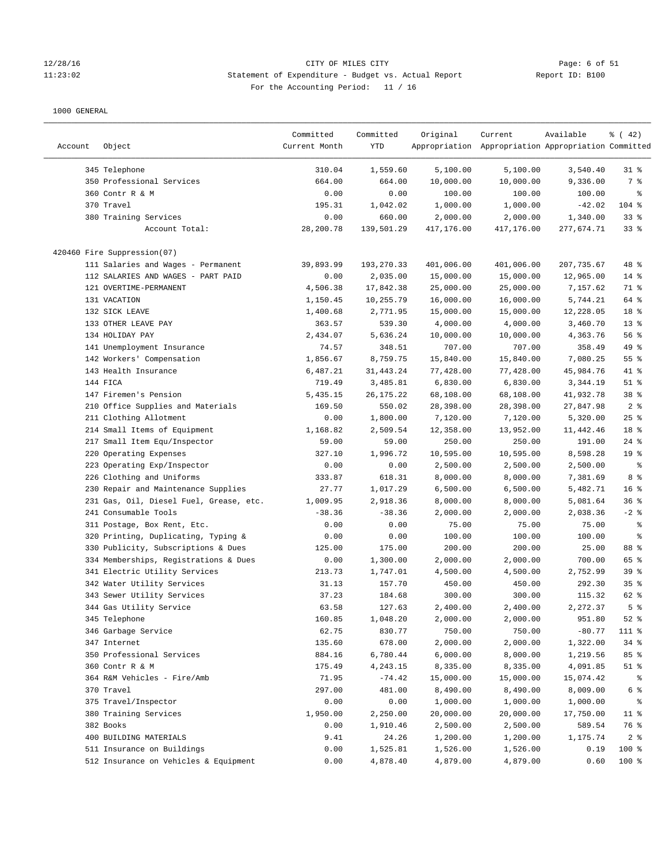### 12/28/16 CITY OF MILES CITY Page: 6 of 51 11:23:02 Statement of Expenditure - Budget vs. Actual Report Report ID: B100 For the Accounting Period: 11 / 16

| Account | Object                                                                 | Committed<br>Current Month | Committed<br>YTD     | Original             | Current<br>Appropriation Appropriation Appropriation Committed | Available            | $\frac{1}{6}$ ( 42) |
|---------|------------------------------------------------------------------------|----------------------------|----------------------|----------------------|----------------------------------------------------------------|----------------------|---------------------|
|         | 345 Telephone                                                          | 310.04                     | 1,559.60             | 5,100.00             | 5,100.00                                                       | 3,540.40             | $31$ %              |
|         | 350 Professional Services                                              | 664.00                     | 664.00               | 10,000.00            | 10,000.00                                                      | 9,336.00             | 7 %                 |
|         | 360 Contr R & M                                                        | 0.00                       | 0.00                 | 100.00               | 100.00                                                         | 100.00               | ႜ                   |
|         | 370 Travel                                                             | 195.31                     | 1,042.02             | 1,000.00             | 1,000.00                                                       | $-42.02$             | $104$ %             |
|         | 380 Training Services                                                  | 0.00                       | 660.00               | 2,000.00             | 2,000.00                                                       | 1,340.00             | 33%                 |
|         | Account Total:                                                         | 28,200.78                  | 139,501.29           | 417,176.00           | 417,176.00                                                     | 277,674.71           | $33$ $%$            |
|         | 420460 Fire Suppression(07)                                            |                            |                      |                      |                                                                |                      |                     |
|         | 111 Salaries and Wages - Permanent                                     | 39,893.99                  | 193,270.33           | 401,006.00           | 401,006.00                                                     | 207,735.67           | 48 %                |
|         | 112 SALARIES AND WAGES - PART PAID                                     | 0.00                       | 2,035.00             | 15,000.00            | 15,000.00                                                      | 12,965.00            | $14$ %              |
|         | 121 OVERTIME-PERMANENT                                                 | 4,506.38                   | 17,842.38            | 25,000.00            | 25,000.00                                                      | 7,157.62             | 71 %                |
|         | 131 VACATION                                                           | 1,150.45                   | 10,255.79            | 16,000.00            | 16,000.00                                                      | 5,744.21             | 64 %                |
|         | 132 SICK LEAVE                                                         | 1,400.68                   | 2,771.95             | 15,000.00            | 15,000.00                                                      | 12,228.05            | 18 %                |
|         | 133 OTHER LEAVE PAY                                                    | 363.57                     | 539.30               | 4,000.00             | 4,000.00                                                       | 3,460.70             | $13$ %              |
|         | 134 HOLIDAY PAY                                                        | 2,434.07                   | 5,636.24             | 10,000.00            | 10,000.00                                                      | 4,363.76             | 56%                 |
|         | 141 Unemployment Insurance                                             | 74.57                      | 348.51               | 707.00               | 707.00                                                         | 358.49               | 49 %                |
|         | 142 Workers' Compensation                                              | 1,856.67                   | 8,759.75             | 15,840.00            | 15,840.00                                                      | 7,080.25             | 55%                 |
|         | 143 Health Insurance                                                   | 6,487.21                   | 31,443.24            | 77,428.00            | 77,428.00                                                      | 45,984.76            | $41$ %              |
|         | 144 FICA                                                               | 719.49                     | 3,485.81             | 6,830.00             | 6,830.00                                                       | 3,344.19             | $51$ %              |
|         | 147 Firemen's Pension                                                  | 5,435.15                   | 26, 175. 22          | 68,108.00            | 68,108.00                                                      | 41,932.78            | 38 <sup>8</sup>     |
|         | 210 Office Supplies and Materials                                      | 169.50                     | 550.02               | 28,398.00            | 28,398.00                                                      | 27,847.98            | 2 <sup>8</sup>      |
|         | 211 Clothing Allotment                                                 | 0.00                       | 1,800.00             | 7,120.00             | 7,120.00                                                       | 5,320.00             | $25$ %              |
|         | 214 Small Items of Equipment                                           | 1,168.82                   | 2,509.54             | 12,358.00            | 13,952.00                                                      | 11,442.46            | 18 %                |
|         | 217 Small Item Equ/Inspector                                           | 59.00                      | 59.00                | 250.00               | 250.00                                                         | 191.00               | $24$ %              |
|         | 220 Operating Expenses                                                 | 327.10                     | 1,996.72             | 10,595.00            | 10,595.00                                                      | 8,598.28             | 19 <sup>°</sup>     |
|         | 223 Operating Exp/Inspector                                            | 0.00                       | 0.00                 | 2,500.00             | 2,500.00                                                       | 2,500.00             | ್ಠಿ                 |
|         | 226 Clothing and Uniforms                                              | 333.87                     | 618.31               | 8,000.00             | 8,000.00                                                       | 7,381.69             | 8 %                 |
|         | 230 Repair and Maintenance Supplies                                    | 27.77                      | 1,017.29             | 6,500.00             | 6,500.00                                                       | 5,482.71             | 16 <sup>8</sup>     |
|         | 231 Gas, Oil, Diesel Fuel, Grease, etc.                                | 1,009.95                   | 2,918.36             | 8,000.00             | 8,000.00                                                       | 5,081.64             | 36%                 |
|         | 241 Consumable Tools                                                   | $-38.36$                   | $-38.36$             | 2,000.00             | 2,000.00                                                       | 2,038.36             | $-2$ %              |
|         | 311 Postage, Box Rent, Etc.                                            | 0.00                       | 0.00                 | 75.00                | 75.00                                                          | 75.00                | ್ಠಿ                 |
|         | 320 Printing, Duplicating, Typing &                                    | 0.00                       | 0.00                 | 100.00               | 100.00                                                         | 100.00               | ್ಠಿ                 |
|         | 330 Publicity, Subscriptions & Dues                                    | 125.00                     | 175.00               | 200.00               | 200.00                                                         | 25.00                | 88 %                |
|         |                                                                        |                            |                      |                      |                                                                |                      | 65 %                |
|         | 334 Memberships, Registrations & Dues<br>341 Electric Utility Services | 0.00<br>213.73             | 1,300.00<br>1,747.01 | 2,000.00<br>4,500.00 | 2,000.00<br>4,500.00                                           | 700.00<br>2,752.99   | 39%                 |
|         | 342 Water Utility Services                                             | 31.13                      | 157.70               | 450.00               | 450.00                                                         | 292.30               | 35%                 |
|         | 343 Sewer Utility Services                                             | 37.23                      | 184.68               | 300.00               | 300.00                                                         | 115.32               | 62 %                |
|         | 344 Gas Utility Service                                                | 63.58                      | 127.63               | 2,400.00             |                                                                | 2,272.37             | 5 <sup>8</sup>      |
|         |                                                                        |                            |                      |                      | 2,400.00                                                       |                      |                     |
|         | 345 Telephone                                                          | 160.85                     | 1,048.20             | 2,000.00             | 2,000.00                                                       | 951.80               | $52$ $%$            |
|         | 346 Garbage Service                                                    | 62.75<br>135.60            | 830.77               | 750.00               | 750.00                                                         | $-80.77$<br>1,322.00 | 111 %               |
|         | 347 Internet                                                           |                            | 678.00               | 2,000.00             | 2,000.00                                                       |                      | $34$ %              |
|         | 350 Professional Services                                              | 884.16                     | 6,780.44             | 6,000.00             | 8,000.00                                                       | 1,219.56             | 85 %                |
|         | 360 Contr R & M                                                        | 175.49                     | 4,243.15             | 8,335.00             | 8,335.00                                                       | 4,091.85             | $51$ %              |
|         | 364 R&M Vehicles - Fire/Amb                                            | 71.95                      | $-74.42$             | 15,000.00            | 15,000.00                                                      | 15,074.42            | ိ                   |
|         | 370 Travel                                                             | 297.00                     | 481.00               | 8,490.00             | 8,490.00                                                       | 8,009.00             | 6 %                 |
|         | 375 Travel/Inspector                                                   | 0.00                       | 0.00                 | 1,000.00             | 1,000.00                                                       | 1,000.00             | ိင                  |
|         | 380 Training Services                                                  | 1,950.00                   | 2,250.00             | 20,000.00            | 20,000.00                                                      | 17,750.00            | $11$ %              |
|         | 382 Books                                                              | 0.00                       | 1,910.46             | 2,500.00             | 2,500.00                                                       | 589.54               | 76 %                |
|         | 400 BUILDING MATERIALS                                                 | 9.41                       | 24.26                | 1,200.00             | 1,200.00                                                       | 1,175.74             | 2 <sup>8</sup>      |
|         | 511 Insurance on Buildings                                             | 0.00                       | 1,525.81             | 1,526.00             | 1,526.00                                                       | 0.19                 | 100 %               |
|         | 512 Insurance on Vehicles & Equipment                                  | 0.00                       | 4,878.40             | 4,879.00             | 4,879.00                                                       | 0.60                 | 100 %               |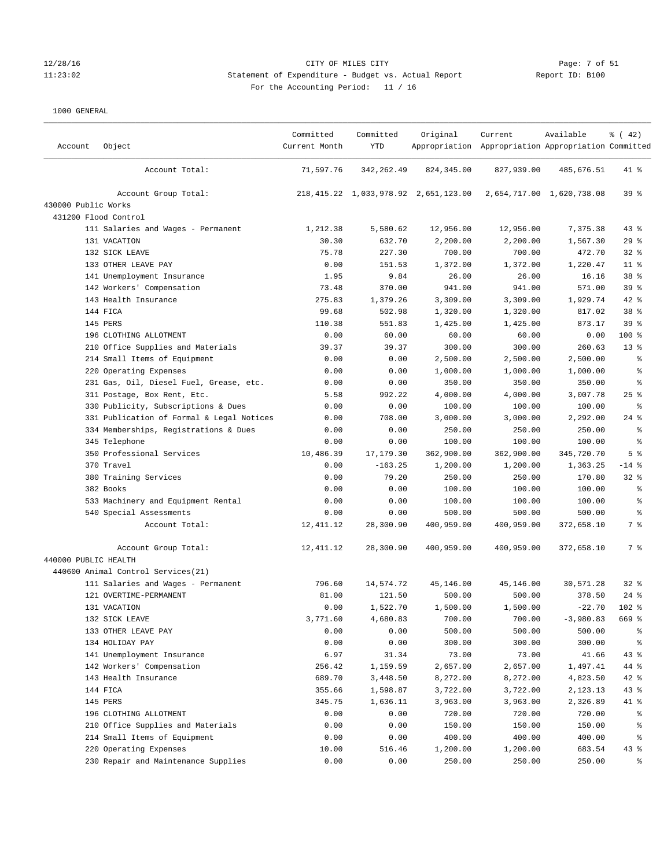# 12/28/16 CITY OF MILES CITY Page: 7 of 51 11:23:02 Statement of Expenditure - Budget vs. Actual Report Report ID: B100 For the Accounting Period: 11 / 16

| Account              | Object                                    | Committed<br>Current Month | Committed<br><b>YTD</b> | Original                                  | Current<br>Appropriation Appropriation Appropriation Committed | Available                 | $*(42)$         |
|----------------------|-------------------------------------------|----------------------------|-------------------------|-------------------------------------------|----------------------------------------------------------------|---------------------------|-----------------|
|                      | Account Total:                            | 71,597.76                  | 342, 262.49             | 824, 345.00                               | 827,939.00                                                     | 485,676.51                | 41 %            |
|                      | Account Group Total:                      |                            |                         | 218, 415.22 1, 033, 978.92 2, 651, 123.00 |                                                                | 2,654,717.00 1,620,738.08 | 39%             |
| 430000 Public Works  |                                           |                            |                         |                                           |                                                                |                           |                 |
|                      | 431200 Flood Control                      |                            |                         |                                           |                                                                |                           |                 |
|                      | 111 Salaries and Wages - Permanent        | 1,212.38                   | 5,580.62                | 12,956.00                                 | 12,956.00                                                      | 7,375.38                  | 43%             |
|                      | 131 VACATION                              | 30.30                      | 632.70                  | 2,200.00                                  | 2,200.00                                                       | 1,567.30                  | 29%             |
|                      | 132 SICK LEAVE                            | 75.78                      | 227.30                  | 700.00                                    | 700.00                                                         | 472.70                    | $32$ $%$        |
|                      | 133 OTHER LEAVE PAY                       | 0.00                       | 151.53                  | 1,372.00                                  | 1,372.00                                                       | 1,220.47                  | $11$ %          |
|                      | 141 Unemployment Insurance                | 1.95                       | 9.84                    | 26.00                                     | 26.00                                                          | 16.16                     | 38 <sup>8</sup> |
|                      | 142 Workers' Compensation                 | 73.48                      | 370.00                  | 941.00                                    | 941.00                                                         | 571.00                    | 39 %            |
|                      | 143 Health Insurance                      | 275.83                     | 1,379.26                | 3,309.00                                  | 3,309.00                                                       | 1,929.74                  | $42$ %          |
|                      | 144 FICA                                  | 99.68                      | 502.98                  | 1,320.00                                  | 1,320.00                                                       | 817.02                    | 38 %            |
|                      | 145 PERS                                  | 110.38                     | 551.83                  | 1,425.00                                  | 1,425.00                                                       | 873.17                    | 39 %            |
|                      | 196 CLOTHING ALLOTMENT                    | 0.00                       | 60.00                   | 60.00                                     | 60.00                                                          | 0.00                      | 100 %           |
|                      | 210 Office Supplies and Materials         | 39.37                      | 39.37                   | 300.00                                    | 300.00                                                         | 260.63                    | $13*$           |
|                      | 214 Small Items of Equipment              | 0.00                       | 0.00                    | 2,500.00                                  | 2,500.00                                                       | 2,500.00                  | ి               |
|                      | 220 Operating Expenses                    | 0.00                       | 0.00                    | 1,000.00                                  | 1,000.00                                                       | 1,000.00                  | န္              |
|                      | 231 Gas, Oil, Diesel Fuel, Grease, etc.   | 0.00                       | 0.00                    | 350.00                                    | 350.00                                                         | 350.00                    | န့              |
|                      | 311 Postage, Box Rent, Etc.               | 5.58                       | 992.22                  | 4,000.00                                  | 4,000.00                                                       | 3,007.78                  | $25$ %          |
|                      | 330 Publicity, Subscriptions & Dues       | 0.00                       | 0.00                    | 100.00                                    | 100.00                                                         | 100.00                    | နွ              |
|                      | 331 Publication of Formal & Legal Notices | 0.00                       | 708.00                  | 3,000.00                                  | 3,000.00                                                       | 2,292.00                  | $24$ %          |
|                      | 334 Memberships, Registrations & Dues     | 0.00                       | 0.00                    | 250.00                                    | 250.00                                                         | 250.00                    | နွ              |
|                      | 345 Telephone                             | 0.00                       | 0.00                    | 100.00                                    | 100.00                                                         | 100.00                    | $\epsilon$      |
|                      | 350 Professional Services                 | 10,486.39                  | 17,179.30               | 362,900.00                                | 362,900.00                                                     | 345,720.70                | 5 <sup>8</sup>  |
|                      | 370 Travel                                | 0.00                       | $-163.25$               | 1,200.00                                  | 1,200.00                                                       | 1,363.25                  | $-14$ %         |
|                      | 380 Training Services                     | 0.00                       | 79.20                   | 250.00                                    | 250.00                                                         | 170.80                    | $32$ $%$        |
|                      | 382 Books                                 | 0.00                       | 0.00                    | 100.00                                    | 100.00                                                         | 100.00                    | နွ              |
|                      | 533 Machinery and Equipment Rental        | 0.00                       | 0.00                    | 100.00                                    | 100.00                                                         | 100.00                    | ್ಠಿ             |
|                      | 540 Special Assessments                   | 0.00                       | 0.00                    | 500.00                                    | 500.00                                                         | 500.00                    | ್ಠಿ             |
|                      | Account Total:                            | 12, 411.12                 | 28,300.90               | 400,959.00                                | 400,959.00                                                     | 372,658.10                | 7 %             |
|                      | Account Group Total:                      | 12, 411.12                 | 28,300.90               | 400,959.00                                | 400,959.00                                                     | 372,658.10                | 7 %             |
| 440000 PUBLIC HEALTH |                                           |                            |                         |                                           |                                                                |                           |                 |
|                      | 440600 Animal Control Services(21)        |                            |                         |                                           |                                                                |                           |                 |
|                      | 111 Salaries and Wages - Permanent        | 796.60                     | 14,574.72               | 45,146.00                                 | 45,146.00                                                      | 30,571.28                 | $32$ $%$        |
|                      | 121 OVERTIME-PERMANENT                    | 81.00                      | 121.50                  | 500.00                                    | 500.00                                                         | 378.50                    | $24$ %          |
|                      | 131 VACATION                              | 0.00                       | 1,522.70                | 1,500.00                                  | 1,500.00                                                       | $-22.70$                  | $102*$          |
|                      | 132 SICK LEAVE                            | 3,771.60                   | 4,680.83                | 700.00                                    | 700.00                                                         | $-3,980.83$               | 669 %           |
|                      | 133 OTHER LEAVE PAY                       | 0.00                       | 0.00                    | 500.00                                    | 500.00                                                         | 500.00                    | ွေ              |
|                      | 134 HOLIDAY PAY                           | 0.00                       | 0.00                    | 300.00                                    | 300.00                                                         | 300.00                    | ိစ              |
|                      | 141 Unemployment Insurance                | 6.97                       | 31.34                   | 73.00                                     | 73.00                                                          | 41.66                     | $43*$           |
|                      | 142 Workers' Compensation                 | 256.42                     | 1,159.59                | 2,657.00                                  | 2,657.00                                                       | 1,497.41                  | 44 %            |
|                      | 143 Health Insurance                      | 689.70                     | 3,448.50                | 8,272.00                                  | 8,272.00                                                       | 4,823.50                  | $42$ %          |
|                      | 144 FICA                                  | 355.66                     | 1,598.87                | 3,722.00                                  | 3,722.00                                                       | 2,123.13                  | $43*$           |
|                      | 145 PERS                                  | 345.75                     | 1,636.11                | 3,963.00                                  | 3,963.00                                                       | 2,326.89                  | 41 %            |
|                      | 196 CLOTHING ALLOTMENT                    | 0.00                       | 0.00                    | 720.00                                    | 720.00                                                         | 720.00                    | နွ              |
|                      | 210 Office Supplies and Materials         | 0.00                       | 0.00                    | 150.00                                    | 150.00                                                         | 150.00                    | ႜ               |
|                      | 214 Small Items of Equipment              | 0.00                       | 0.00                    | 400.00                                    | 400.00                                                         | 400.00                    | ႜ               |
|                      | 220 Operating Expenses                    | 10.00                      | 516.46                  | 1,200.00                                  | 1,200.00                                                       | 683.54                    | 43%             |
|                      | 230 Repair and Maintenance Supplies       | 0.00                       | 0.00                    | 250.00                                    | 250.00                                                         | 250.00                    | နွ              |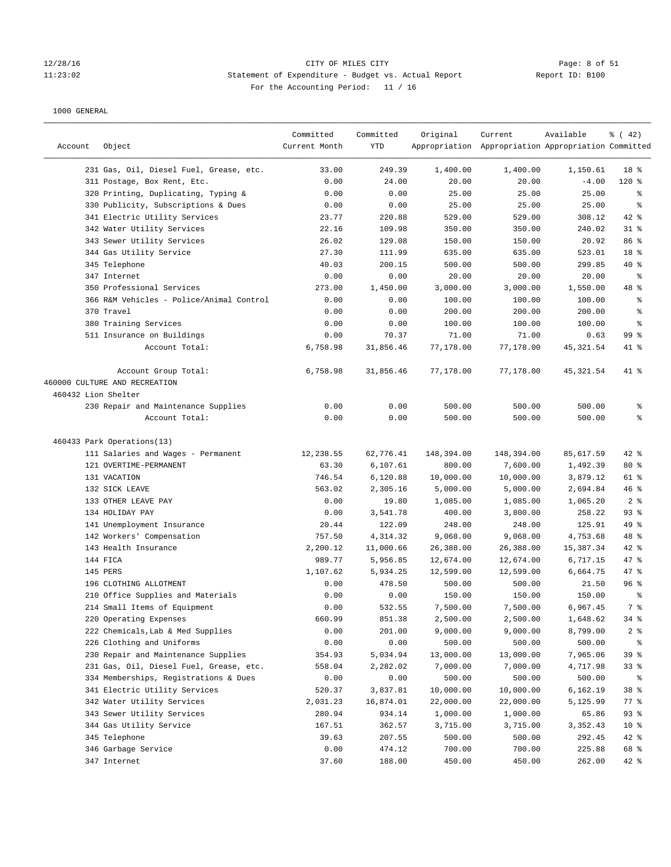# 12/28/16 CITY OF MILES CITY<br>11:23:02 Statement of Expenditure - Budget vs. Actual Report 11:23:02 Report ID: B100 11:23:02 Statement of Expenditure - Budget vs. Actual Report Report ID: B100 For the Accounting Period: 11 / 16

| Account             | Object                                                | Committed<br>Current Month | Committed<br>YTD | Original         | Current<br>Appropriation Appropriation Appropriation Committed | Available        | % (42)          |
|---------------------|-------------------------------------------------------|----------------------------|------------------|------------------|----------------------------------------------------------------|------------------|-----------------|
|                     | 231 Gas, Oil, Diesel Fuel, Grease, etc.               | 33.00                      | 249.39           | 1,400.00         | 1,400.00                                                       | 1,150.61         | 18 <sup>8</sup> |
|                     | 311 Postage, Box Rent, Etc.                           | 0.00                       | 24.00            | 20.00            | 20.00                                                          | $-4.00$          | $120$ %         |
|                     | 320 Printing, Duplicating, Typing &                   | 0.00                       | 0.00             | 25.00            | 25.00                                                          | 25.00            | ႜ               |
|                     | 330 Publicity, Subscriptions & Dues                   | 0.00                       | 0.00             | 25.00            | 25.00                                                          | 25.00            | နွ              |
|                     | 341 Electric Utility Services                         | 23.77                      | 220.88           | 529.00           | 529.00                                                         | 308.12           | $42$ %          |
|                     | 342 Water Utility Services                            | 22.16                      | 109.98           | 350.00           | 350.00                                                         | 240.02           | $31$ %          |
|                     | 343 Sewer Utility Services                            | 26.02                      | 129.08           | 150.00           | 150.00                                                         | 20.92            | 86 %            |
|                     | 344 Gas Utility Service                               | 27.30                      | 111.99           | 635.00           | 635.00                                                         | 523.01           | 18 %            |
|                     | 345 Telephone                                         | 40.03                      | 200.15           | 500.00           | 500.00                                                         | 299.85           | $40*$           |
|                     | 347 Internet                                          | 0.00                       | 0.00             | 20.00            | 20.00                                                          | 20.00            | နွ              |
|                     | 350 Professional Services                             | 273.00                     | 1,450.00         | 3,000.00         | 3,000.00                                                       | 1,550.00         | 48 %            |
|                     | 366 R&M Vehicles - Police/Animal Control              | 0.00                       | 0.00             | 100.00           | 100.00                                                         | 100.00           | နွ              |
|                     | 370 Travel                                            | 0.00                       | 0.00             | 200.00           | 200.00                                                         | 200.00           | နွ              |
|                     | 380 Training Services                                 | 0.00                       | 0.00             | 100.00           | 100.00                                                         | 100.00           | နွ              |
|                     | 511 Insurance on Buildings                            | 0.00                       | 70.37            | 71.00            | 71.00                                                          | 0.63             | 99 <sup>8</sup> |
|                     | Account Total:                                        | 6,758.98                   | 31,856.46        | 77,178.00        | 77,178.00                                                      | 45,321.54        | 41 %            |
|                     | Account Group Total:<br>460000 CULTURE AND RECREATION | 6,758.98                   | 31,856.46        | 77,178.00        | 77,178.00                                                      | 45,321.54        | 41 %            |
| 460432 Lion Shelter |                                                       |                            |                  |                  |                                                                |                  |                 |
|                     | 230 Repair and Maintenance Supplies<br>Account Total: | 0.00<br>0.00               | 0.00<br>0.00     | 500.00<br>500.00 | 500.00<br>500.00                                               | 500.00<br>500.00 | နွ<br>៖         |
|                     | 460433 Park Operations(13)                            |                            |                  |                  |                                                                |                  |                 |
|                     | 111 Salaries and Wages - Permanent                    | 12,238.55                  | 62,776.41        | 148,394.00       | 148,394.00                                                     | 85,617.59        | $42$ %          |
|                     | 121 OVERTIME-PERMANENT                                | 63.30                      | 6,107.61         | 800.00           | 7,600.00                                                       | 1,492.39         | $80*$           |
|                     | 131 VACATION                                          | 746.54                     | 6,120.88         | 10,000.00        | 10,000.00                                                      | 3,879.12         | 61 %            |
|                     | 132 SICK LEAVE                                        | 563.02                     | 2,305.16         | 5,000.00         | 5,000.00                                                       | 2,694.84         | 46%             |
|                     | 133 OTHER LEAVE PAY                                   | 0.00                       | 19.80            | 1,085.00         | 1,085.00                                                       | 1,065.20         | 2 <sup>8</sup>  |
|                     | 134 HOLIDAY PAY                                       | 0.00                       | 3,541.78         | 400.00           | 3,800.00                                                       | 258.22           | $93$ $%$        |
|                     | 141 Unemployment Insurance                            | 20.44                      | 122.09           | 248.00           | 248.00                                                         | 125.91           | 49 %            |
|                     | 142 Workers' Compensation                             | 757.50                     | 4,314.32         | 9,068.00         | 9,068.00                                                       | 4,753.68         | 48 %            |
|                     | 143 Health Insurance                                  | 2,200.12                   | 11,000.66        | 26,388.00        | 26,388.00                                                      | 15,387.34        | $42$ %          |
|                     | 144 FICA                                              | 989.77                     | 5,956.85         | 12,674.00        | 12,674.00                                                      | 6,717.15         | 47 %            |
|                     | 145 PERS                                              | 1,107.62                   | 5,934.25         | 12,599.00        | 12,599.00                                                      | 6,664.75         | $47$ %          |
|                     | 196 CLOTHING ALLOTMENT                                | 0.00                       | 478.50           | 500.00           | 500.00                                                         | 21.50            | 96 <sup>8</sup> |
|                     | 210 Office Supplies and Materials                     | 0.00                       | 0.00             | 150.00           | 150.00                                                         | 150.00           | ႜ               |
|                     | 214 Small Items of Equipment                          | 0.00                       | 532.55           | 7,500.00         | 7,500.00                                                       | 6,967.45         | 7 %             |
|                     | 220 Operating Expenses                                | 660.99                     | 851.38           | 2,500.00         | 2,500.00                                                       | 1,648.62         | 34%             |
|                     | 222 Chemicals, Lab & Med Supplies                     | 0.00                       | 201.00           | 9,000.00         | 9,000.00                                                       | 8,799.00         | $2$ $\approx$   |
|                     | 226 Clothing and Uniforms                             | 0.00                       | 0.00             | 500.00           | 500.00                                                         | 500.00           | နွ              |
|                     | 230 Repair and Maintenance Supplies                   | 354.93                     | 5,034.94         | 13,000.00        | 13,000.00                                                      | 7,965.06         | 39 %            |
|                     | 231 Gas, Oil, Diesel Fuel, Grease, etc.               | 558.04                     | 2,282.02         | 7,000.00         | 7,000.00                                                       | 4,717.98         | 33%             |
|                     | 334 Memberships, Registrations & Dues                 | 0.00                       | 0.00             | 500.00           | 500.00                                                         | 500.00           | ိ               |
|                     | 341 Electric Utility Services                         | 520.37                     | 3,837.81         | 10,000.00        | 10,000.00                                                      | 6,162.19         | 38 %            |
|                     | 342 Water Utility Services                            | 2,031.23                   | 16,874.01        | 22,000.00        | 22,000.00                                                      | 5,125.99         | 77 %            |
|                     | 343 Sewer Utility Services                            | 280.94                     | 934.14           | 1,000.00         | 1,000.00                                                       | 65.86            | 93%             |
|                     | 344 Gas Utility Service                               | 167.51                     | 362.57           | 3,715.00         | 3,715.00                                                       | 3,352.43         | 10 <sup>°</sup> |
|                     | 345 Telephone                                         | 39.63                      | 207.55           | 500.00           | 500.00                                                         | 292.45           | $42$ %          |
|                     | 346 Garbage Service                                   | 0.00                       | 474.12           | 700.00           | 700.00                                                         | 225.88           | 68 %            |
|                     | 347 Internet                                          | 37.60                      | 188.00           | 450.00           | 450.00                                                         | 262.00           | 42 %            |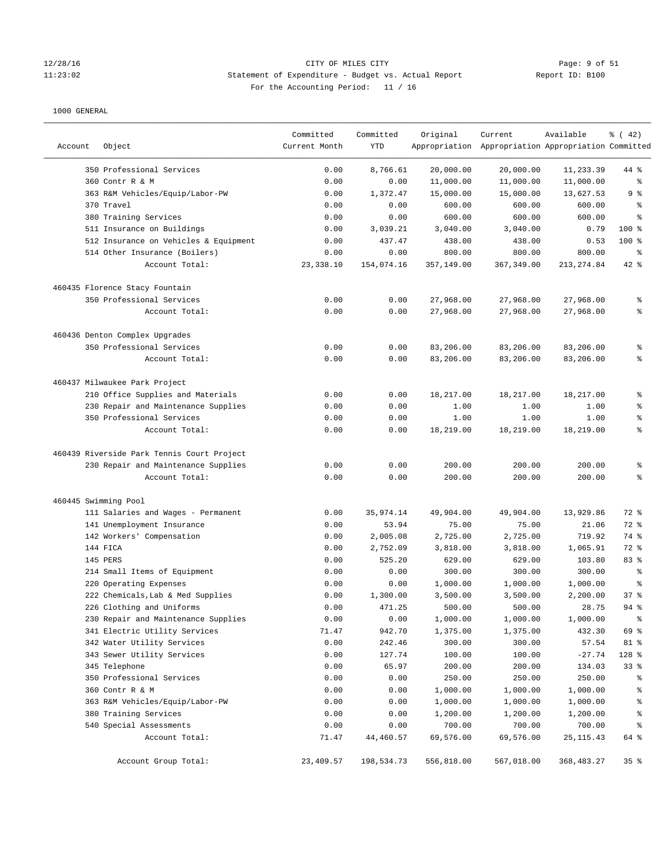### 12/28/16 CITY OF MILES CITY Page: 9 of 51 11:23:02 Statement of Expenditure - Budget vs. Actual Report Report ID: B100 For the Accounting Period: 11 / 16

| Account              | Object                                                           | Committed<br>Current Month | Committed<br><b>YTD</b> | Original             | Current<br>Appropriation Appropriation Appropriation Committed | Available            | % (42)   |
|----------------------|------------------------------------------------------------------|----------------------------|-------------------------|----------------------|----------------------------------------------------------------|----------------------|----------|
|                      | 350 Professional Services                                        | 0.00                       | 8,766.61                | 20,000.00            | 20,000.00                                                      | 11,233.39            | 44 %     |
|                      | 360 Contr R & M                                                  | 0.00                       | 0.00                    | 11,000.00            | 11,000.00                                                      | 11,000.00            | နွ       |
|                      | 363 R&M Vehicles/Equip/Labor-PW                                  | 0.00                       | 1,372.47                | 15,000.00            | 15,000.00                                                      | 13,627.53            | 9 %      |
|                      | 370 Travel                                                       | 0.00                       | 0.00                    | 600.00               | 600.00                                                         | 600.00               | ್ಠಿ      |
|                      | 380 Training Services                                            | 0.00                       | 0.00                    | 600.00               | 600.00                                                         | 600.00               | ៖        |
|                      | 511 Insurance on Buildings                                       | 0.00                       | 3,039.21                | 3,040.00             | 3,040.00                                                       | 0.79                 | 100 %    |
|                      | 512 Insurance on Vehicles & Equipment                            | 0.00                       | 437.47                  | 438.00               | 438.00                                                         | 0.53                 | $100$ %  |
|                      | 514 Other Insurance (Boilers)                                    | 0.00                       | 0.00                    | 800.00               | 800.00                                                         | 800.00               | နွ       |
|                      | Account Total:                                                   | 23, 338.10                 | 154,074.16              | 357,149.00           | 367, 349.00                                                    | 213, 274.84          | 42 %     |
|                      | 460435 Florence Stacy Fountain                                   |                            |                         |                      |                                                                |                      |          |
|                      | 350 Professional Services                                        | 0.00                       | 0.00                    | 27,968.00            | 27,968.00                                                      | 27,968.00            | နွ       |
|                      | Account Total:                                                   | 0.00                       | 0.00                    | 27,968.00            | 27,968.00                                                      | 27,968.00            | ి        |
|                      | 460436 Denton Complex Upgrades                                   |                            |                         |                      |                                                                |                      |          |
|                      | 350 Professional Services                                        | 0.00                       | 0.00                    | 83,206.00            | 83,206.00                                                      | 83,206.00            | ి        |
|                      | Account Total:                                                   | 0.00                       | 0.00                    | 83,206.00            | 83,206.00                                                      | 83,206.00            | ៖        |
|                      | 460437 Milwaukee Park Project                                    |                            |                         |                      |                                                                |                      |          |
|                      | 210 Office Supplies and Materials                                | 0.00                       | 0.00                    | 18,217.00            | 18,217.00                                                      | 18,217.00            | ್ಠಿ      |
|                      | 230 Repair and Maintenance Supplies                              | 0.00                       | 0.00                    | 1.00                 | 1.00                                                           | 1.00                 | နွ       |
|                      | 350 Professional Services                                        | 0.00                       | 0.00                    | 1.00                 | 1.00                                                           | 1.00                 | ి        |
|                      | Account Total:                                                   | 0.00                       | 0.00                    | 18,219.00            | 18,219.00                                                      | 18,219.00            | ి        |
|                      | 460439 Riverside Park Tennis Court Project                       |                            |                         |                      |                                                                |                      |          |
|                      | 230 Repair and Maintenance Supplies                              | 0.00                       | 0.00                    | 200.00               | 200.00                                                         | 200.00               | ి        |
|                      | Account Total:                                                   | 0.00                       | 0.00                    | 200.00               | 200.00                                                         | 200.00               | ៖        |
| 460445 Swimming Pool |                                                                  |                            |                         |                      |                                                                |                      |          |
|                      | 111 Salaries and Wages - Permanent                               | 0.00                       | 35,974.14               | 49,904.00            | 49,904.00                                                      | 13,929.86            | 72 %     |
|                      | 141 Unemployment Insurance                                       | 0.00                       | 53.94                   | 75.00                | 75.00                                                          | 21.06                | 72 %     |
|                      | 142 Workers' Compensation                                        | 0.00                       | 2,005.08                | 2,725.00             | 2,725.00                                                       | 719.92               | 74 %     |
|                      | 144 FICA                                                         | 0.00                       | 2,752.09                | 3,818.00             | 3,818.00                                                       | 1,065.91             | 72 %     |
|                      | 145 PERS                                                         | 0.00                       | 525.20                  | 629.00               | 629.00                                                         | 103.80               | 83 %     |
|                      | 214 Small Items of Equipment                                     | 0.00                       | 0.00                    | 300.00               | 300.00                                                         | 300.00               | ್ಠಿ      |
|                      | 220 Operating Expenses                                           | 0.00                       | 0.00                    | 1,000.00             | 1,000.00                                                       | 1,000.00<br>2,200.00 | ి<br>378 |
|                      | 222 Chemicals, Lab & Med Supplies                                | 0.00<br>0.00               | 1,300.00<br>471.25      | 3,500.00<br>500.00   | 3,500.00<br>500.00                                             | 28.75                | $94$ $%$ |
|                      | 226 Clothing and Uniforms<br>230 Repair and Maintenance Supplies | 0.00                       |                         |                      | 1,000.00                                                       | 1,000.00             | ್ಠಿ      |
|                      | 341 Electric Utility Services                                    | 71.47                      | 0.00<br>942.70          | 1,000.00<br>1,375.00 | 1,375.00                                                       | 432.30               | 69 %     |
|                      | 342 Water Utility Services                                       | 0.00                       | 242.46                  | 300.00               | 300.00                                                         | 57.54                | 81 %     |
|                      | 343 Sewer Utility Services                                       | 0.00                       | 127.74                  | 100.00               | 100.00                                                         | $-27.74$             | 128 %    |
|                      | 345 Telephone                                                    | 0.00                       | 65.97                   | 200.00               | 200.00                                                         | 134.03               | 33%      |
|                      | 350 Professional Services                                        | 0.00                       | 0.00                    | 250.00               | 250.00                                                         | 250.00               | န့       |
|                      | 360 Contr R & M                                                  | 0.00                       | 0.00                    | 1,000.00             | 1,000.00                                                       | 1,000.00             | န့       |
|                      | 363 R&M Vehicles/Equip/Labor-PW                                  | 0.00                       | 0.00                    | 1,000.00             | 1,000.00                                                       | 1,000.00             | န့       |
|                      | 380 Training Services                                            | 0.00                       | 0.00                    | 1,200.00             | 1,200.00                                                       | 1,200.00             | န့       |
|                      | 540 Special Assessments                                          | 0.00                       | 0.00                    | 700.00               | 700.00                                                         | 700.00               | န့       |
|                      | Account Total:                                                   | 71.47                      | 44,460.57               | 69,576.00            | 69,576.00                                                      | 25, 115.43           | 64 %     |
|                      | Account Group Total:                                             | 23,409.57                  | 198,534.73              | 556,818.00           | 567,018.00                                                     | 368, 483. 27         | 35%      |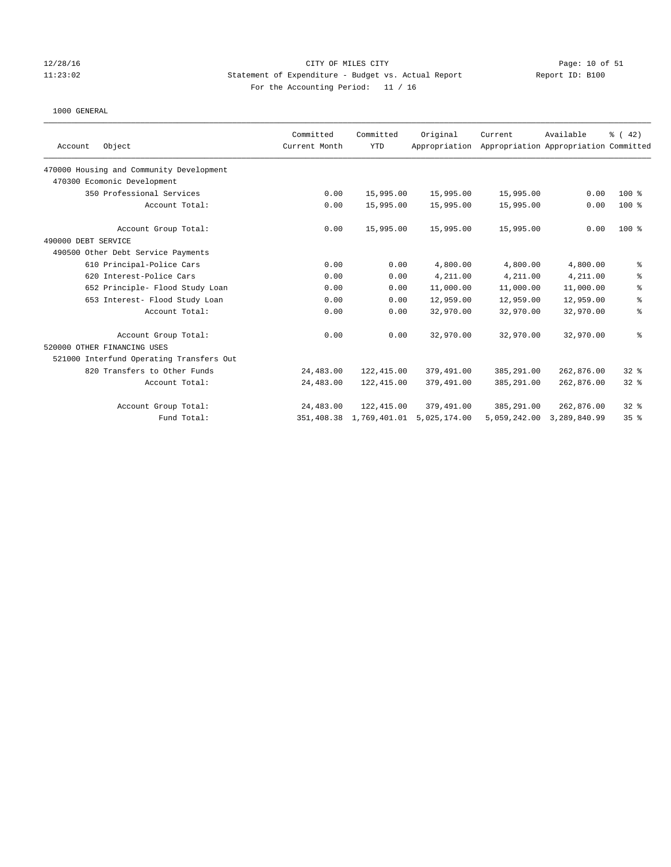## 12/28/16 CITY OF MILES CITY Page: 10 of 51 11:23:02 Statement of Expenditure - Budget vs. Actual Report Report ID: B100 For the Accounting Period: 11 / 16

|                                          | Committed     | Committed    | Original      | Current      | Available                             | $\frac{1}{6}$ (42) |
|------------------------------------------|---------------|--------------|---------------|--------------|---------------------------------------|--------------------|
| Object<br>Account                        | Current Month | <b>YTD</b>   | Appropriation |              | Appropriation Appropriation Committed |                    |
| 470000 Housing and Community Development |               |              |               |              |                                       |                    |
| 470300 Ecomonic Development              |               |              |               |              |                                       |                    |
| 350 Professional Services                | 0.00          | 15,995.00    | 15,995.00     | 15,995.00    | 0.00                                  | $100*$             |
| Account Total:                           | 0.00          | 15,995.00    | 15,995.00     | 15,995.00    | 0.00                                  | $100$ %            |
| Account Group Total:                     | 0.00          | 15,995.00    | 15,995.00     | 15,995.00    | 0.00                                  | $100$ %            |
| 490000 DEBT SERVICE                      |               |              |               |              |                                       |                    |
| 490500 Other Debt Service Payments       |               |              |               |              |                                       |                    |
| 610 Principal-Police Cars                | 0.00          | 0.00         | 4,800.00      | 4,800.00     | 4,800.00                              | ್ಠಿ                |
| 620 Interest-Police Cars                 | 0.00          | 0.00         | 4,211.00      | 4,211.00     | 4,211.00                              | ి                  |
| 652 Principle- Flood Study Loan          | 0.00          | 0.00         | 11,000.00     | 11,000.00    | 11,000.00                             | နွ                 |
| 653 Interest- Flood Study Loan           | 0.00          | 0.00         | 12,959.00     | 12,959.00    | 12,959.00                             | $\,$ $\,$ $\,$     |
| Account Total:                           | 0.00          | 0.00         | 32,970.00     | 32,970.00    | 32,970.00                             | နွ                 |
| Account Group Total:                     | 0.00          | 0.00         | 32,970.00     | 32,970.00    | 32,970.00                             | ి                  |
| 520000 OTHER FINANCING USES              |               |              |               |              |                                       |                    |
| 521000 Interfund Operating Transfers Out |               |              |               |              |                                       |                    |
| 820 Transfers to Other Funds             | 24,483.00     | 122,415.00   | 379,491.00    | 385,291.00   | 262,876.00                            | 32%                |
| Account Total:                           | 24,483.00     | 122,415.00   | 379,491.00    | 385,291.00   | 262,876.00                            | 32%                |
| Account Group Total:                     | 24,483.00     | 122,415.00   | 379,491.00    | 385,291.00   | 262,876.00                            | $32*$              |
| Fund Total:                              | 351,408.38    | 1,769,401.01 | 5,025,174.00  | 5,059,242.00 | 3,289,840.99                          | 35 <sup>8</sup>    |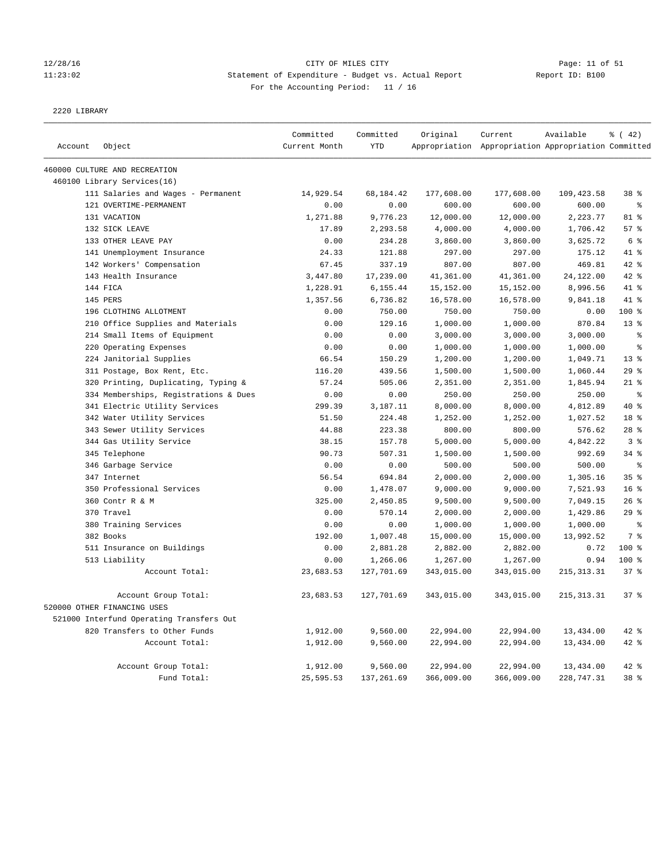# 12/28/16 Page: 11 of 51 11:23:02 Statement of Expenditure - Budget vs. Actual Report Report ID: B100 For the Accounting Period: 11 / 16

2220 LIBRARY

|         |                                          | Committed     | Committed  | Original   | Current                                             | Available   | % (42)          |
|---------|------------------------------------------|---------------|------------|------------|-----------------------------------------------------|-------------|-----------------|
| Account | Object                                   | Current Month | <b>YTD</b> |            | Appropriation Appropriation Appropriation Committed |             |                 |
|         | 460000 CULTURE AND RECREATION            |               |            |            |                                                     |             |                 |
|         | 460100 Library Services(16)              |               |            |            |                                                     |             |                 |
|         | 111 Salaries and Wages - Permanent       | 14,929.54     | 68,184.42  | 177,608.00 | 177,608.00                                          | 109,423.58  | 38 %            |
|         | 121 OVERTIME-PERMANENT                   | 0.00          | 0.00       | 600.00     | 600.00                                              | 600.00      | န္              |
|         | 131 VACATION                             | 1,271.88      | 9,776.23   | 12,000.00  | 12,000.00                                           | 2,223.77    | 81 %            |
|         | 132 SICK LEAVE                           | 17.89         | 2,293.58   | 4,000.00   | 4,000.00                                            | 1,706.42    | 57%             |
|         | 133 OTHER LEAVE PAY                      | 0.00          | 234.28     | 3,860.00   | 3,860.00                                            | 3,625.72    | 6 %             |
|         | 141 Unemployment Insurance               | 24.33         | 121.88     | 297.00     | 297.00                                              | 175.12      | 41 %            |
|         | 142 Workers' Compensation                | 67.45         | 337.19     | 807.00     | 807.00                                              | 469.81      | $42$ %          |
|         | 143 Health Insurance                     | 3,447.80      | 17,239.00  | 41,361.00  | 41,361.00                                           | 24,122.00   | 42 %            |
|         | 144 FICA                                 | 1,228.91      | 6,155.44   | 15,152.00  | 15,152.00                                           | 8,996.56    | 41 %            |
|         | 145 PERS                                 | 1,357.56      | 6,736.82   | 16,578.00  | 16,578.00                                           | 9,841.18    | 41 %            |
|         | 196 CLOTHING ALLOTMENT                   | 0.00          | 750.00     | 750.00     | 750.00                                              | 0.00        | $100*$          |
|         | 210 Office Supplies and Materials        | 0.00          | 129.16     | 1,000.00   | 1,000.00                                            | 870.84      | $13*$           |
|         | 214 Small Items of Equipment             | 0.00          | 0.00       | 3,000.00   | 3,000.00                                            | 3,000.00    | $\epsilon$      |
|         | 220 Operating Expenses                   | 0.00          | 0.00       | 1,000.00   | 1,000.00                                            | 1,000.00    | る               |
|         | 224 Janitorial Supplies                  | 66.54         | 150.29     | 1,200.00   | 1,200.00                                            | 1,049.71    | 13 <sup>8</sup> |
|         | 311 Postage, Box Rent, Etc.              | 116.20        | 439.56     | 1,500.00   | 1,500.00                                            | 1,060.44    | 29%             |
|         | 320 Printing, Duplicating, Typing &      | 57.24         | 505.06     | 2,351.00   | 2,351.00                                            | 1,845.94    | $21$ %          |
|         | 334 Memberships, Registrations & Dues    | 0.00          | 0.00       | 250.00     | 250.00                                              | 250.00      | $\,$ $\,$ $\,$  |
|         | 341 Electric Utility Services            | 299.39        | 3,187.11   | 8,000.00   | 8,000.00                                            | 4,812.89    | $40*$           |
|         | 342 Water Utility Services               | 51.50         | 224.48     | 1,252.00   | 1,252.00                                            | 1,027.52    | 18 %            |
|         | 343 Sewer Utility Services               | 44.88         | 223.38     | 800.00     | 800.00                                              | 576.62      | $28$ %          |
|         | 344 Gas Utility Service                  | 38.15         | 157.78     | 5,000.00   | 5,000.00                                            | 4,842.22    | 3%              |
|         | 345 Telephone                            | 90.73         | 507.31     | 1,500.00   | 1,500.00                                            | 992.69      | 34%             |
|         | 346 Garbage Service                      | 0.00          | 0.00       | 500.00     | 500.00                                              | 500.00      | $\epsilon$      |
|         | 347 Internet                             | 56.54         | 694.84     | 2,000.00   | 2,000.00                                            | 1,305.16    | 35 <sup>8</sup> |
|         | 350 Professional Services                | 0.00          | 1,478.07   | 9,000.00   | 9,000.00                                            | 7,521.93    | 16 <sup>8</sup> |
|         | 360 Contr R & M                          | 325.00        | 2,450.85   | 9,500.00   | 9,500.00                                            | 7,049.15    | 26%             |
|         | 370 Travel                               | 0.00          | 570.14     | 2,000.00   | 2,000.00                                            | 1,429.86    | 29%             |
|         | 380 Training Services                    | 0.00          | 0.00       | 1,000.00   | 1,000.00                                            | 1,000.00    | $\epsilon$      |
|         | 382 Books                                | 192.00        | 1,007.48   | 15,000.00  | 15,000.00                                           | 13,992.52   | 7 <sup>°</sup>  |
|         | 511 Insurance on Buildings               | 0.00          | 2,881.28   | 2,882.00   | 2,882.00                                            | 0.72        | 100 %           |
|         | 513 Liability                            | 0.00          | 1,266.06   | 1,267.00   | 1,267.00                                            | 0.94        | $100*$          |
|         | Account Total:                           | 23,683.53     | 127,701.69 | 343,015.00 | 343,015.00                                          | 215, 313.31 | 37 <sup>8</sup> |
|         | Account Group Total:                     | 23,683.53     | 127,701.69 | 343,015.00 | 343,015.00                                          | 215, 313.31 | 37%             |
|         | 520000 OTHER FINANCING USES              |               |            |            |                                                     |             |                 |
|         | 521000 Interfund Operating Transfers Out |               |            |            |                                                     |             |                 |
|         | 820 Transfers to Other Funds             | 1,912.00      | 9,560.00   | 22,994.00  | 22,994.00                                           | 13,434.00   | 42 %            |
|         | Account Total:                           | 1,912.00      | 9,560.00   | 22,994.00  | 22,994.00                                           | 13,434.00   | 42 %            |
|         | Account Group Total:                     | 1,912.00      | 9,560.00   | 22,994.00  | 22,994.00                                           | 13,434.00   | 42 %            |
|         | Fund Total:                              | 25,595.53     | 137,261.69 | 366,009.00 | 366,009.00                                          | 228,747.31  | 38 %            |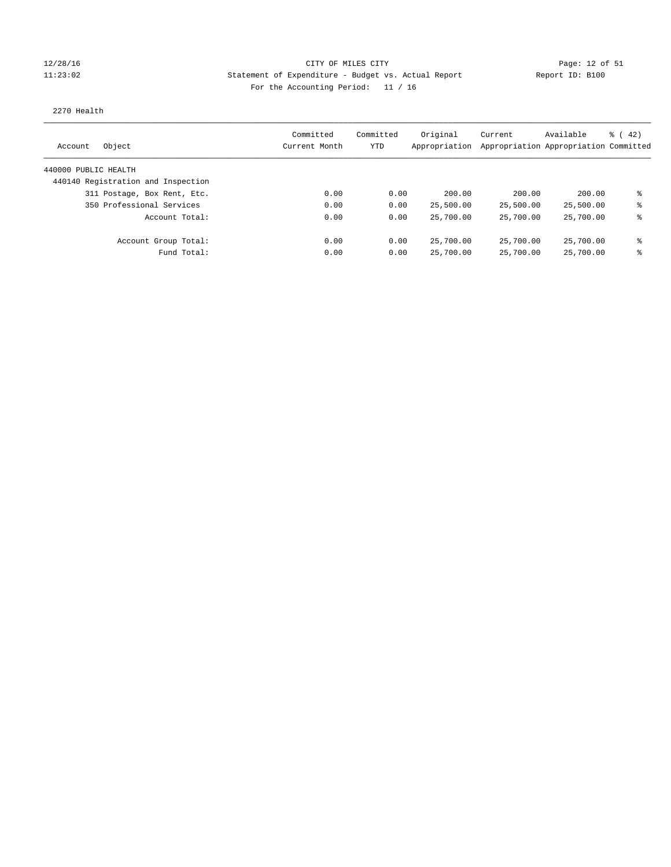## 12/28/16 CITY OF MILES CITY Page: 12 of 51 11:23:02 Statement of Expenditure - Budget vs. Actual Report Report ID: B100 For the Accounting Period: 11 / 16

### 2270 Health

| Object<br>Account                  | Committed<br>Current Month | Committed<br>YTD | Original<br>Appropriation | Current   | Available<br>Appropriation Appropriation Committed | $\frac{1}{6}$ ( 42) |
|------------------------------------|----------------------------|------------------|---------------------------|-----------|----------------------------------------------------|---------------------|
| 440000 PUBLIC HEALTH               |                            |                  |                           |           |                                                    |                     |
| 440140 Registration and Inspection |                            |                  |                           |           |                                                    |                     |
| 311 Postage, Box Rent, Etc.        | 0.00                       | 0.00             | 200.00                    | 200.00    | 200.00                                             | ま                   |
| 350 Professional Services          | 0.00                       | 0.00             | 25,500.00                 | 25,500.00 | 25,500.00                                          | နွ                  |
| Account Total:                     | 0.00                       | 0.00             | 25,700.00                 | 25,700.00 | 25,700.00                                          | ⊱                   |
| Account Group Total:               | 0.00                       | 0.00             | 25,700.00                 | 25,700.00 | 25,700.00                                          | နွ                  |
| Fund Total:                        | 0.00                       | 0.00             | 25,700.00                 | 25,700.00 | 25,700.00                                          | နွ                  |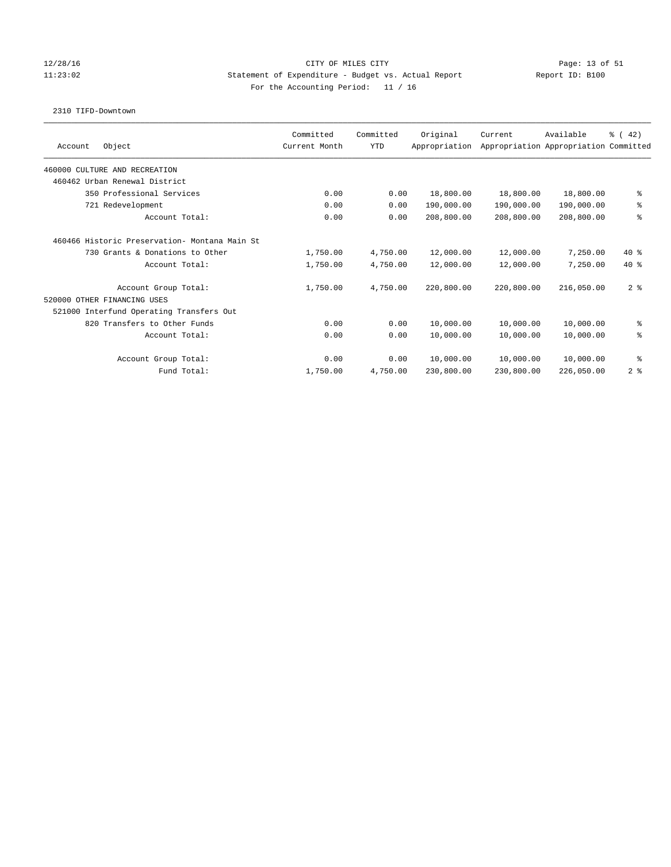## 12/28/16 CITY OF MILES CITY Page: 13 of 51 11:23:02 Statement of Expenditure - Budget vs. Actual Report Report ID: B100 For the Accounting Period: 11 / 16

### 2310 TIFD-Downtown

| Object<br>Account                             | Committed<br>Current Month | Committed<br><b>YTD</b> | Original<br>Appropriation | Current    | Available<br>Appropriation Appropriation Committed | $\frac{1}{6}$ (42) |
|-----------------------------------------------|----------------------------|-------------------------|---------------------------|------------|----------------------------------------------------|--------------------|
|                                               |                            |                         |                           |            |                                                    |                    |
| 460000 CULTURE AND RECREATION                 |                            |                         |                           |            |                                                    |                    |
| 460462 Urban Renewal District                 |                            |                         |                           |            |                                                    |                    |
| 350 Professional Services                     | 0.00                       | 0.00                    | 18,800.00                 | 18,800.00  | 18,800.00                                          | နွ                 |
| 721 Redevelopment                             | 0.00                       | 0.00                    | 190,000.00                | 190,000.00 | 190,000.00                                         | る                  |
| Account Total:                                | 0.00                       | 0.00                    | 208,800.00                | 208,800.00 | 208,800.00                                         | る                  |
| 460466 Historic Preservation- Montana Main St |                            |                         |                           |            |                                                    |                    |
| 730 Grants & Donations to Other               | 1,750.00                   | 4,750.00                | 12,000.00                 | 12,000.00  | 7,250.00                                           | $40*$              |
| Account Total:                                | 1,750.00                   | 4,750.00                | 12,000.00                 | 12,000.00  | 7,250.00                                           | $40*$              |
| Account Group Total:                          | 1,750.00                   | 4,750.00                | 220,800.00                | 220,800.00 | 216,050.00                                         | 2 <sup>8</sup>     |
| 520000 OTHER FINANCING USES                   |                            |                         |                           |            |                                                    |                    |
| 521000 Interfund Operating Transfers Out      |                            |                         |                           |            |                                                    |                    |
| 820 Transfers to Other Funds                  | 0.00                       | 0.00                    | 10,000.00                 | 10,000.00  | 10,000.00                                          | る                  |
| Account Total:                                | 0.00                       | 0.00                    | 10,000.00                 | 10,000.00  | 10,000.00                                          | る                  |
| Account Group Total:                          | 0.00                       | 0.00                    | 10,000.00                 | 10,000.00  | 10,000.00                                          | နွ                 |
| Fund Total:                                   | 1,750.00                   | 4,750.00                | 230,800.00                | 230,800.00 | 226,050.00                                         | 2 <sup>8</sup>     |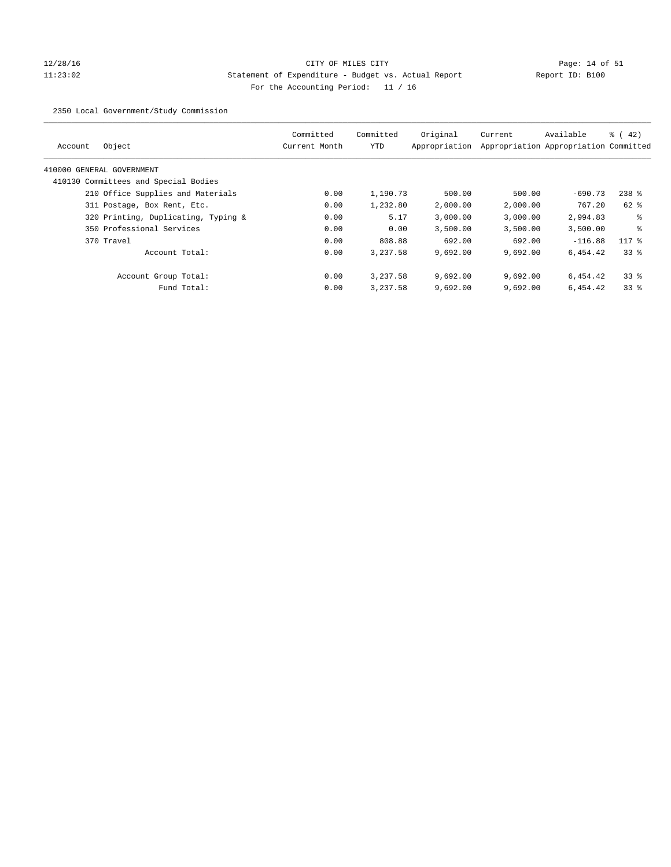# 12/28/16 Page: 14 of 51 11:23:02 Statement of Expenditure - Budget vs. Actual Report Report ID: B100 For the Accounting Period: 11 / 16

2350 Local Government/Study Commission

|                                      | Committed     | Committed | Original      | Current  | Available                             | $\frac{1}{6}$ ( 42) |
|--------------------------------------|---------------|-----------|---------------|----------|---------------------------------------|---------------------|
| Object<br>Account                    | Current Month | YTD       | Appropriation |          | Appropriation Appropriation Committed |                     |
| 410000 GENERAL GOVERNMENT            |               |           |               |          |                                       |                     |
| 410130 Committees and Special Bodies |               |           |               |          |                                       |                     |
| 210 Office Supplies and Materials    | 0.00          | 1,190.73  | 500.00        | 500.00   | $-690.73$                             | $238$ $%$           |
| 311 Postage, Box Rent, Etc.          | 0.00          | 1,232.80  | 2,000.00      | 2,000.00 | 767.20                                | $62$ $%$            |
| 320 Printing, Duplicating, Typing &  | 0.00          | 5.17      | 3,000.00      | 3,000.00 | 2,994.83                              | ႜ                   |
| 350 Professional Services            | 0.00          | 0.00      | 3,500.00      | 3.500.00 | 3,500.00                              | နွ                  |
| 370 Travel                           | 0.00          | 808.88    | 692.00        | 692.00   | $-116.88$                             | $117$ %             |
| Account Total:                       | 0.00          | 3,237.58  | 9,692.00      | 9.692.00 | 6,454.42                              | 338                 |
| Account Group Total:                 | 0.00          | 3,237.58  | 9,692.00      | 9.692.00 | 6,454.42                              | 338                 |
| Fund Total:                          | 0.00          | 3,237.58  | 9,692.00      | 9,692.00 | 6,454.42                              | 338                 |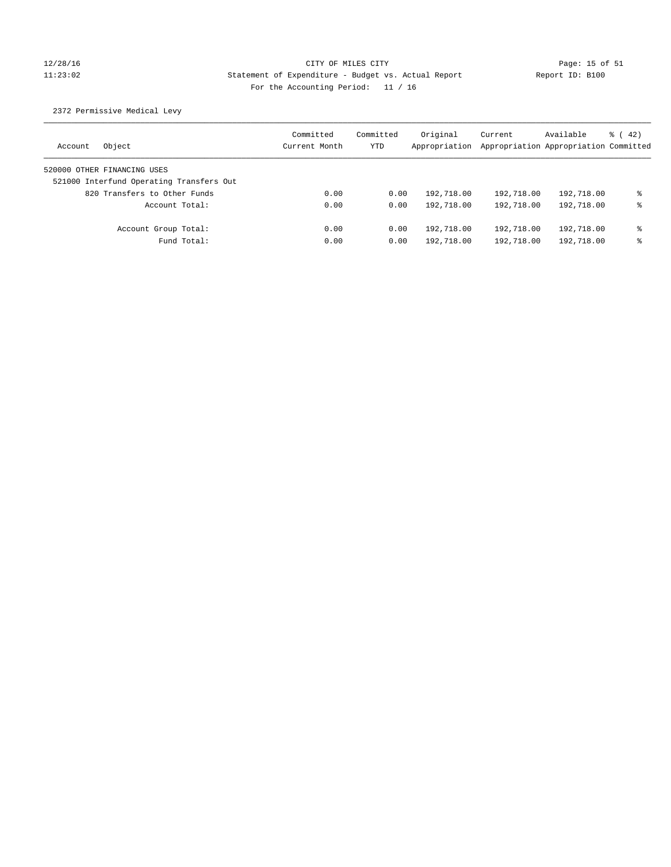# 12/28/16 CITY OF MILES CITY Page: 15 of 51 11:23:02 Statement of Expenditure - Budget vs. Actual Report Report ID: B100 For the Accounting Period: 11 / 16

## 2372 Permissive Medical Levy

| Object<br>Account                        | Committed<br>Current Month | Committed<br>YTD | Original<br>Appropriation | Current<br>Appropriation Appropriation Committed | Available  | $\frac{1}{6}$ (42) |
|------------------------------------------|----------------------------|------------------|---------------------------|--------------------------------------------------|------------|--------------------|
| 520000 OTHER FINANCING USES              |                            |                  |                           |                                                  |            |                    |
| 521000 Interfund Operating Transfers Out |                            |                  |                           |                                                  |            |                    |
| 820 Transfers to Other Funds             | 0.00                       | 0.00             | 192,718.00                | 192,718.00                                       | 192,718.00 | နွ                 |
| Account Total:                           | 0.00                       | 0.00             | 192,718.00                | 192,718.00                                       | 192,718.00 | နွ                 |
| Account Group Total:                     | 0.00                       | 0.00             | 192,718.00                | 192,718.00                                       | 192,718.00 | နွ                 |
| Fund Total:                              | 0.00                       | 0.00             | 192,718.00                | 192,718.00                                       | 192,718.00 | ⊱                  |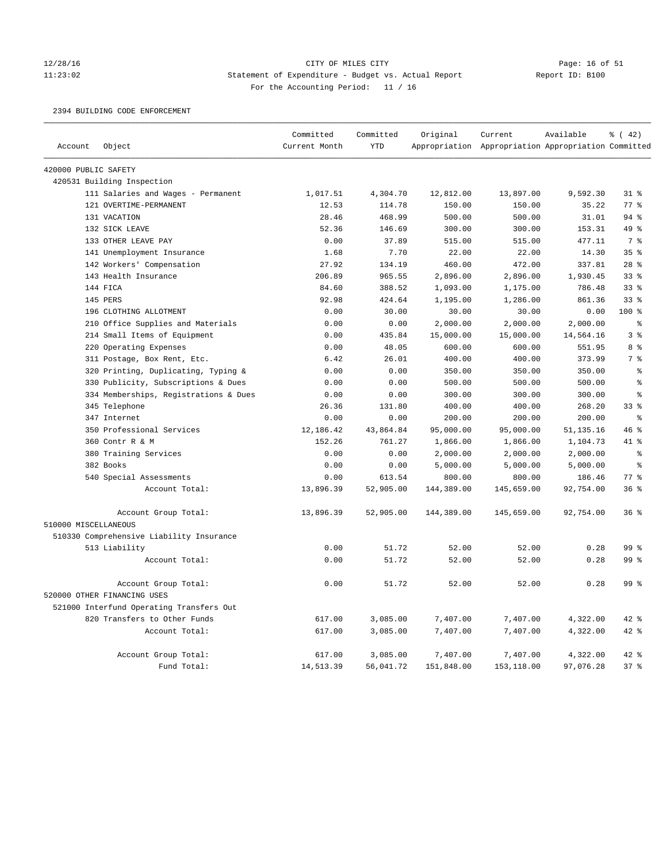# 12/28/16 CITY OF MILES CITY<br>11:23:02 Statement of Expenditure - Budget vs. Actual Report Report ID: B100 11:23:02 Statement of Expenditure - Budget vs. Actual Report Report ID: B100 For the Accounting Period: 11 / 16

## 2394 BUILDING CODE ENFORCEMENT

|                      |                                          | Committed     | Committed  | Original   | Current                                             | Available   | % (42)          |
|----------------------|------------------------------------------|---------------|------------|------------|-----------------------------------------------------|-------------|-----------------|
| Account              | Object                                   | Current Month | <b>YTD</b> |            | Appropriation Appropriation Appropriation Committed |             |                 |
| 420000 PUBLIC SAFETY |                                          |               |            |            |                                                     |             |                 |
|                      | 420531 Building Inspection               |               |            |            |                                                     |             |                 |
|                      | 111 Salaries and Wages - Permanent       | 1,017.51      | 4,304.70   | 12,812.00  | 13,897.00                                           | 9,592.30    | 31.8            |
|                      | 121 OVERTIME-PERMANENT                   | 12.53         | 114.78     | 150.00     | 150.00                                              | 35.22       | 77.8            |
|                      | 131 VACATION                             | 28.46         | 468.99     | 500.00     | 500.00                                              | 31.01       | $94$ %          |
|                      | 132 SICK LEAVE                           | 52.36         | 146.69     | 300.00     | 300.00                                              | 153.31      | 49 %            |
|                      | 133 OTHER LEAVE PAY                      | 0.00          | 37.89      | 515.00     | 515.00                                              | 477.11      | 7 <sup>°</sup>  |
|                      | 141 Unemployment Insurance               | 1.68          | 7.70       | 22.00      | 22.00                                               | 14.30       | 35%             |
|                      | 142 Workers' Compensation                | 27.92         | 134.19     | 460.00     | 472.00                                              | 337.81      | 28 <sup>8</sup> |
|                      | 143 Health Insurance                     | 206.89        | 965.55     | 2,896.00   | 2,896.00                                            | 1,930.45    | 33 <sup>8</sup> |
|                      | 144 FICA                                 | 84.60         | 388.52     | 1,093.00   | 1,175.00                                            | 786.48      | 33%             |
|                      | 145 PERS                                 | 92.98         | 424.64     | 1,195.00   | 1,286.00                                            | 861.36      | 33%             |
|                      | 196 CLOTHING ALLOTMENT                   | 0.00          | 30.00      | 30.00      | 30.00                                               | 0.00        | $100*$          |
|                      | 210 Office Supplies and Materials        | 0.00          | 0.00       | 2,000.00   | 2,000.00                                            | 2,000.00    | နွ              |
|                      | 214 Small Items of Equipment             | 0.00          | 435.84     | 15,000.00  | 15,000.00                                           | 14,564.16   | 3 <sup>8</sup>  |
|                      | 220 Operating Expenses                   | 0.00          | 48.05      | 600.00     | 600.00                                              | 551.95      | 8 %             |
|                      | 311 Postage, Box Rent, Etc.              | 6.42          | 26.01      | 400.00     | 400.00                                              | 373.99      | 7%              |
|                      | 320 Printing, Duplicating, Typing &      | 0.00          | 0.00       | 350.00     | 350.00                                              | 350.00      | န့              |
|                      | 330 Publicity, Subscriptions & Dues      | 0.00          | 0.00       | 500.00     | 500.00                                              | 500.00      | ి               |
|                      | 334 Memberships, Registrations & Dues    | 0.00          | 0.00       | 300.00     | 300.00                                              | 300.00      | 昙               |
|                      | 345 Telephone                            | 26.36         | 131.80     | 400.00     | 400.00                                              | 268.20      | 33 <sup>8</sup> |
|                      | 347 Internet                             | 0.00          | 0.00       | 200.00     | 200.00                                              | 200.00      | န့              |
|                      | 350 Professional Services                | 12,186.42     | 43,864.84  | 95,000.00  | 95,000.00                                           | 51, 135. 16 | 46%             |
|                      | 360 Contr R & M                          | 152.26        | 761.27     | 1,866.00   | 1,866.00                                            | 1,104.73    | $41*$           |
|                      | 380 Training Services                    | 0.00          | 0.00       | 2,000.00   | 2,000.00                                            | 2,000.00    | ి               |
|                      | 382 Books                                | 0.00          | 0.00       | 5,000.00   | 5,000.00                                            | 5,000.00    | $\approx$       |
|                      | 540 Special Assessments                  | 0.00          | 613.54     | 800.00     | 800.00                                              | 186.46      | $77$ $%$        |
|                      | Account Total:                           | 13,896.39     | 52,905.00  | 144,389.00 | 145,659.00                                          | 92,754.00   | 36%             |
|                      | Account Group Total:                     | 13,896.39     | 52,905.00  | 144,389.00 | 145,659.00                                          | 92,754.00   | 36%             |
| 510000 MISCELLANEOUS |                                          |               |            |            |                                                     |             |                 |
|                      | 510330 Comprehensive Liability Insurance |               |            |            |                                                     |             |                 |
|                      | 513 Liability                            | 0.00          | 51.72      | 52.00      | 52.00                                               | 0.28        | 99 %            |
|                      | Account Total:                           | 0.00          | 51.72      | 52.00      | 52.00                                               | 0.28        | 99 %            |
|                      | Account Group Total:                     | 0.00          | 51.72      | 52.00      | 52.00                                               | 0.28        | 99 <sup>8</sup> |
|                      | 520000 OTHER FINANCING USES              |               |            |            |                                                     |             |                 |
|                      | 521000 Interfund Operating Transfers Out |               |            |            |                                                     |             |                 |
|                      | 820 Transfers to Other Funds             | 617.00        | 3,085.00   | 7,407.00   | 7,407.00                                            | 4,322.00    | 42 %            |
|                      | Account Total:                           | 617.00        | 3,085.00   | 7,407.00   | 7,407.00                                            | 4,322.00    | 42 %            |
|                      | Account Group Total:                     | 617.00        | 3,085.00   | 7,407.00   | 7,407.00                                            | 4,322.00    | $42$ $%$        |
|                      | Fund Total:                              | 14,513.39     | 56,041.72  | 151,848.00 | 153,118.00                                          | 97,076.28   | 37%             |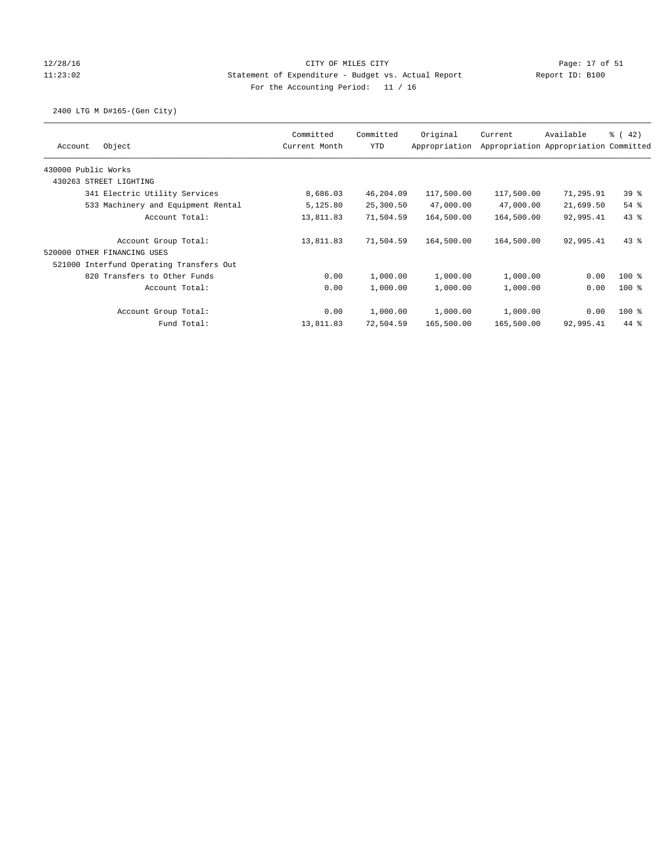## 12/28/16 CITY OF MILES CITY Page: 17 of 51 11:23:02 Statement of Expenditure - Budget vs. Actual Report Report ID: B100 For the Accounting Period: 11 / 16

## 2400 LTG M D#165-(Gen City)

| Object<br>Account                        | Committed<br>Current Month | Committed<br><b>YTD</b> | Original<br>Appropriation | Current    | Available<br>Appropriation Appropriation Committed | $\frac{3}{6}$ ( 42) |
|------------------------------------------|----------------------------|-------------------------|---------------------------|------------|----------------------------------------------------|---------------------|
| 430000 Public Works                      |                            |                         |                           |            |                                                    |                     |
| 430263 STREET LIGHTING                   |                            |                         |                           |            |                                                    |                     |
| 341 Electric Utility Services            | 8,686.03                   | 46,204.09               | 117,500.00                | 117,500.00 | 71,295.91                                          | 39 <sup>8</sup>     |
| 533 Machinery and Equipment Rental       | 5,125.80                   | 25,300.50               | 47,000.00                 | 47,000.00  | 21,699.50                                          | $54$ $%$            |
| Account Total:                           | 13,811.83                  | 71,504.59               | 164,500.00                | 164,500.00 | 92,995.41                                          | $43$ %              |
| Account Group Total:                     | 13,811.83                  | 71,504.59               | 164,500.00                | 164,500.00 | 92,995.41                                          | $43*$               |
| 520000 OTHER FINANCING USES              |                            |                         |                           |            |                                                    |                     |
| 521000 Interfund Operating Transfers Out |                            |                         |                           |            |                                                    |                     |
| 820 Transfers to Other Funds             | 0.00                       | 1,000.00                | 1,000.00                  | 1,000.00   | 0.00                                               | $100$ %             |
| Account Total:                           | 0.00                       | 1,000.00                | 1,000.00                  | 1,000.00   | 0.00                                               | $100*$              |
| Account Group Total:                     | 0.00                       | 1,000.00                | 1,000.00                  | 1,000.00   | 0.00                                               | $100*$              |
| Fund Total:                              | 13,811.83                  | 72,504.59               | 165,500.00                | 165,500.00 | 92,995.41                                          | $44*$               |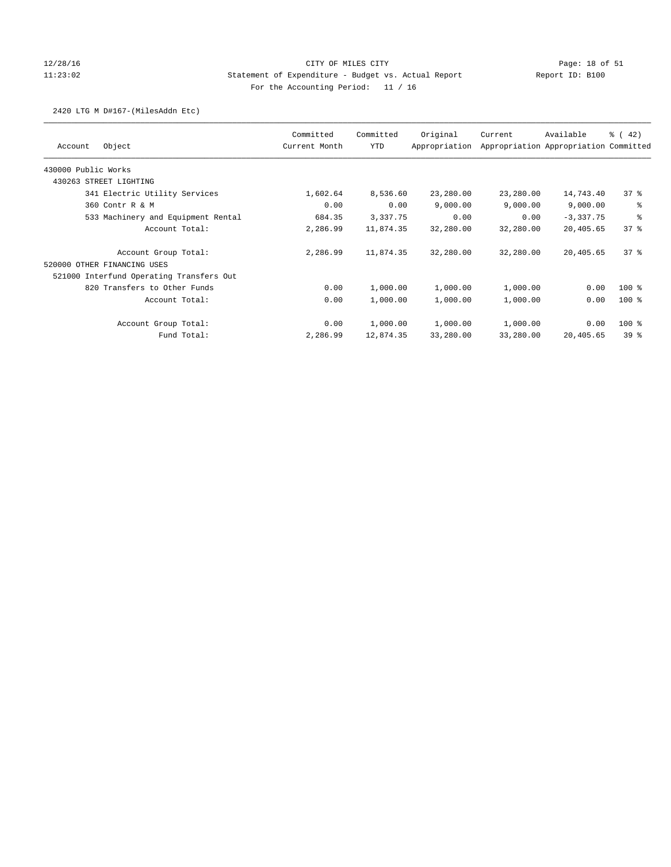## 12/28/16 CITY OF MILES CITY Page: 18 of 51 11:23:02 Statement of Expenditure - Budget vs. Actual Report Report ID: B100 For the Accounting Period: 11 / 16

## 2420 LTG M D#167-(MilesAddn Etc)

|                                          | Committed     | Committed | Original      | Current   | Available                             | $\frac{1}{6}$ (42) |
|------------------------------------------|---------------|-----------|---------------|-----------|---------------------------------------|--------------------|
| Object<br>Account                        | Current Month | YTD       | Appropriation |           | Appropriation Appropriation Committed |                    |
| 430000 Public Works                      |               |           |               |           |                                       |                    |
| 430263 STREET LIGHTING                   |               |           |               |           |                                       |                    |
| 341 Electric Utility Services            | 1,602.64      | 8,536.60  | 23,280.00     | 23,280.00 | 14,743.40                             | $37$ %             |
| 360 Contr R & M                          | 0.00          | 0.00      | 9,000.00      | 9,000.00  | 9,000.00                              | る                  |
| 533 Machinery and Equipment Rental       | 684.35        | 3,337.75  | 0.00          | 0.00      | $-3,337.75$                           | る                  |
| Account Total:                           | 2,286.99      | 11,874.35 | 32,280.00     | 32,280.00 | 20,405.65                             | 378                |
| Account Group Total:                     | 2,286.99      | 11,874.35 | 32,280.00     | 32,280.00 | 20,405.65                             | 378                |
| 520000 OTHER FINANCING USES              |               |           |               |           |                                       |                    |
| 521000 Interfund Operating Transfers Out |               |           |               |           |                                       |                    |
| 820 Transfers to Other Funds             | 0.00          | 1,000.00  | 1,000.00      | 1,000.00  | 0.00                                  | $100$ %            |
| Account Total:                           | 0.00          | 1,000.00  | 1,000.00      | 1,000.00  | 0.00                                  | $100$ %            |
| Account Group Total:                     | 0.00          | 1,000.00  | 1,000.00      | 1,000.00  | 0.00                                  | $100$ %            |
| Fund Total:                              | 2,286.99      | 12,874.35 | 33,280.00     | 33,280.00 | 20,405.65                             | 39 <sup>8</sup>    |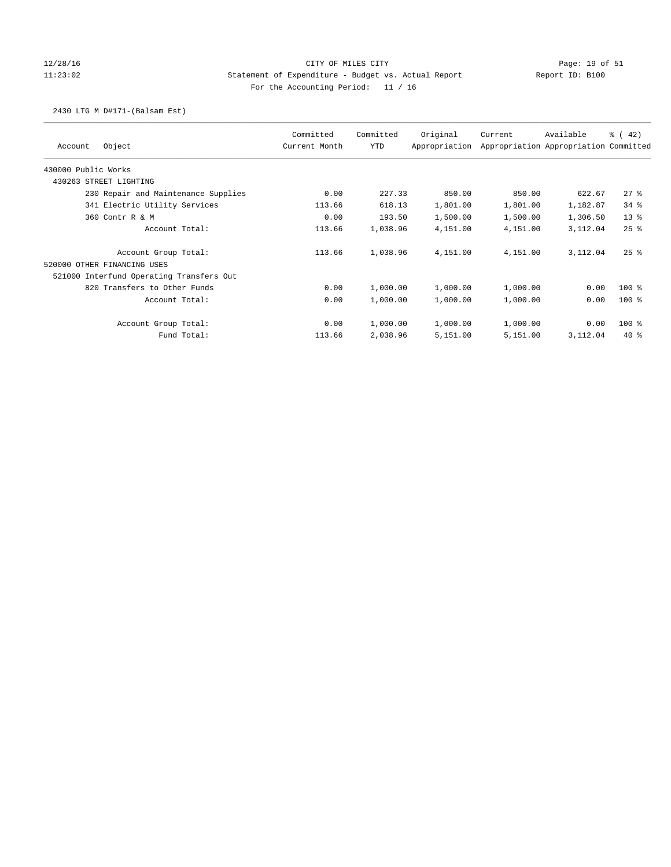## 12/28/16 CITY OF MILES CITY Page: 19 of 51 11:23:02 Statement of Expenditure - Budget vs. Actual Report Report ID: B100 For the Accounting Period: 11 / 16

## 2430 LTG M D#171-(Balsam Est)

| Object<br>Account                        | Committed<br>Current Month | Committed<br><b>YTD</b> | Original<br>Appropriation | Current  | Available<br>Appropriation Appropriation Committed | % (42)   |
|------------------------------------------|----------------------------|-------------------------|---------------------------|----------|----------------------------------------------------|----------|
|                                          |                            |                         |                           |          |                                                    |          |
| 430000 Public Works                      |                            |                         |                           |          |                                                    |          |
| 430263 STREET LIGHTING                   |                            |                         |                           |          |                                                    |          |
| 230 Repair and Maintenance Supplies      | 0.00                       | 227.33                  | 850.00                    | 850.00   | 622.67                                             | 278      |
| 341 Electric Utility Services            | 113.66                     | 618.13                  | 1,801.00                  | 1,801.00 | 1,182.87                                           | $34$ $%$ |
| 360 Contr R & M                          | 0.00                       | 193.50                  | 1,500.00                  | 1,500.00 | 1,306.50                                           | $13*$    |
| Account Total:                           | 113.66                     | 1,038.96                | 4,151.00                  | 4,151.00 | 3,112.04                                           | $25$ %   |
| Account Group Total:                     | 113.66                     | 1,038.96                | 4,151.00                  | 4,151.00 | 3,112.04                                           | $25$ $%$ |
| 520000 OTHER FINANCING USES              |                            |                         |                           |          |                                                    |          |
| 521000 Interfund Operating Transfers Out |                            |                         |                           |          |                                                    |          |
| 820 Transfers to Other Funds             | 0.00                       | 1,000.00                | 1,000.00                  | 1,000.00 | 0.00                                               | $100$ %  |
| Account Total:                           | 0.00                       | 1,000.00                | 1,000.00                  | 1,000.00 | 0.00                                               | $100*$   |
| Account Group Total:                     | 0.00                       | 1,000.00                | 1,000.00                  | 1,000.00 | 0.00                                               | $100*$   |
| Fund Total:                              | 113.66                     | 2,038.96                | 5,151.00                  | 5,151.00 | 3,112.04                                           | $40*$    |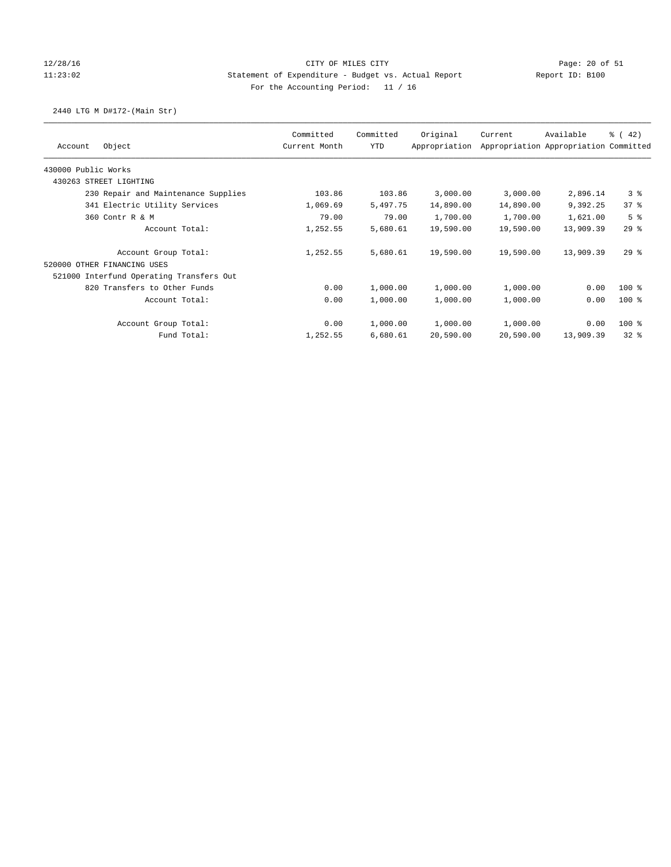## 12/28/16 CITY OF MILES CITY Page: 20 of 51 11:23:02 Statement of Expenditure - Budget vs. Actual Report Report ID: B100 For the Accounting Period: 11 / 16

## 2440 LTG M D#172-(Main Str)

| Object<br>Account                        | Committed<br>Current Month | Committed<br>YTD | Original<br>Appropriation | Current   | Available<br>Appropriation Appropriation Committed | $\frac{1}{6}$ (42) |
|------------------------------------------|----------------------------|------------------|---------------------------|-----------|----------------------------------------------------|--------------------|
| 430000 Public Works                      |                            |                  |                           |           |                                                    |                    |
| 430263 STREET LIGHTING                   |                            |                  |                           |           |                                                    |                    |
| 230 Repair and Maintenance Supplies      | 103.86                     | 103.86           | 3,000.00                  | 3,000.00  | 2,896.14                                           | 3 <sup>8</sup>     |
| 341 Electric Utility Services            | 1,069.69                   | 5,497.75         | 14,890.00                 | 14,890.00 | 9,392.25                                           | 378                |
| 360 Contr R & M                          | 79.00                      | 79.00            | 1,700.00                  | 1,700.00  | 1,621.00                                           | 5 <sup>8</sup>     |
| Account Total:                           | 1,252.55                   | 5,680.61         | 19,590.00                 | 19,590.00 | 13,909.39                                          | 298                |
| Account Group Total:                     | 1,252.55                   | 5,680.61         | 19,590.00                 | 19,590.00 | 13,909.39                                          | 298                |
| 520000 OTHER FINANCING USES              |                            |                  |                           |           |                                                    |                    |
| 521000 Interfund Operating Transfers Out |                            |                  |                           |           |                                                    |                    |
| 820 Transfers to Other Funds             | 0.00                       | 1,000.00         | 1,000.00                  | 1,000.00  | 0.00                                               | $100$ %            |
| Account Total:                           | 0.00                       | 1,000.00         | 1,000.00                  | 1,000.00  | 0.00                                               | $100$ %            |
| Account Group Total:                     | 0.00                       | 1,000.00         | 1,000.00                  | 1,000.00  | 0.00                                               | $100$ %            |
| Fund Total:                              | 1,252.55                   | 6,680.61         | 20,590.00                 | 20,590.00 | 13,909.39                                          | 328                |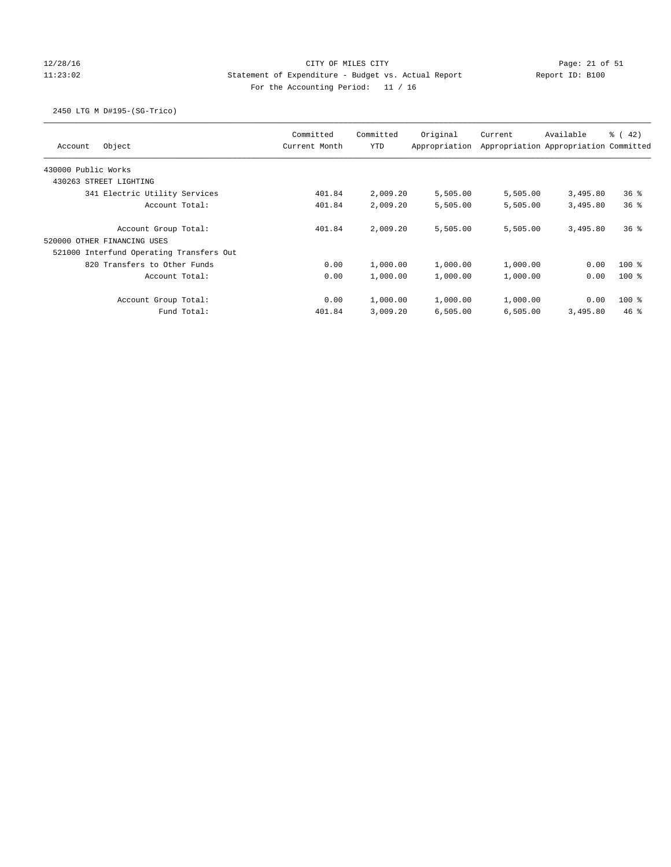# 12/28/16 CITY OF MILES CITY Page: 21 of 51 11:23:02 Statement of Expenditure - Budget vs. Actual Report Report ID: B100 For the Accounting Period: 11 / 16

## 2450 LTG M D#195-(SG-Trico)

| Object<br>Account                        | Committed<br>Current Month | Committed<br><b>YTD</b> | Original<br>Appropriation | Current  | Available<br>Appropriation Appropriation Committed | $\frac{1}{6}$ ( 42) |
|------------------------------------------|----------------------------|-------------------------|---------------------------|----------|----------------------------------------------------|---------------------|
| 430000 Public Works                      |                            |                         |                           |          |                                                    |                     |
| 430263 STREET LIGHTING                   |                            |                         |                           |          |                                                    |                     |
| 341 Electric Utility Services            | 401.84                     | 2,009.20                | 5,505.00                  | 5,505.00 | 3,495.80                                           | 36%                 |
| Account Total:                           | 401.84                     | 2,009.20                | 5,505.00                  | 5,505.00 | 3,495.80                                           | $36*$               |
| Account Group Total:                     | 401.84                     | 2,009.20                | 5,505.00                  | 5,505.00 | 3,495.80                                           | $36*$               |
| OTHER FINANCING USES<br>520000           |                            |                         |                           |          |                                                    |                     |
| 521000 Interfund Operating Transfers Out |                            |                         |                           |          |                                                    |                     |
| 820 Transfers to Other Funds             | 0.00                       | 1,000.00                | 1,000.00                  | 1,000.00 | 0.00                                               | $100*$              |
| Account Total:                           | 0.00                       | 1,000.00                | 1,000.00                  | 1,000.00 | 0.00                                               | $100*$              |
| Account Group Total:                     | 0.00                       | 1,000.00                | 1,000.00                  | 1,000.00 | 0.00                                               | $100*$              |
| Fund Total:                              | 401.84                     | 3,009.20                | 6,505.00                  | 6,505.00 | 3,495.80                                           | $46$ %              |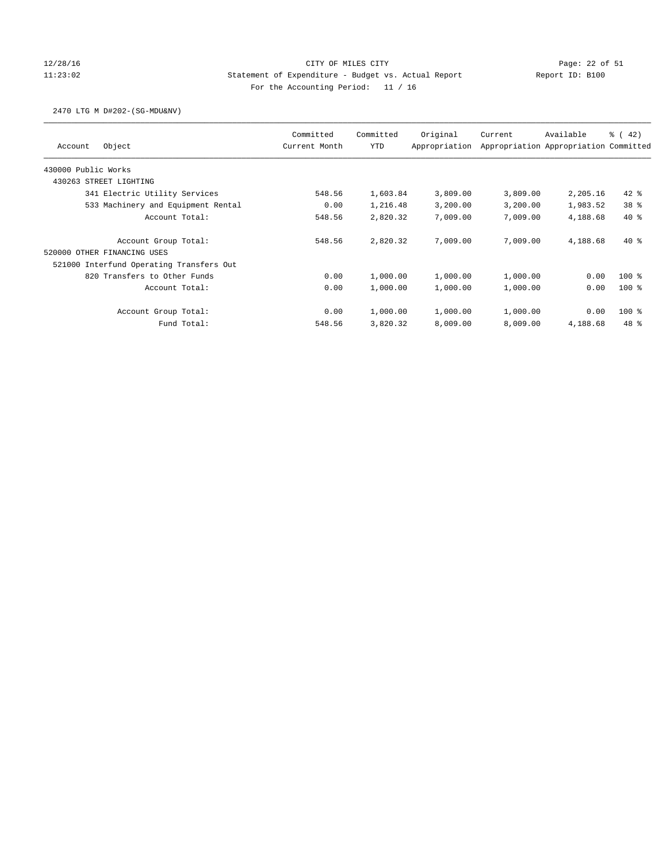# 12/28/16 Page: 22 of 51 11:23:02 Statement of Expenditure - Budget vs. Actual Report Report ID: B100 For the Accounting Period: 11 / 16

## 2470 LTG M D#202-(SG-MDU&NV)

| Object<br>Account                        | Committed<br>Current Month | Committed<br>YTD | Original<br>Appropriation | Current  | Available<br>Appropriation Appropriation Committed | $\frac{1}{6}$ ( 42) |
|------------------------------------------|----------------------------|------------------|---------------------------|----------|----------------------------------------------------|---------------------|
| 430000 Public Works                      |                            |                  |                           |          |                                                    |                     |
| 430263 STREET LIGHTING                   |                            |                  |                           |          |                                                    |                     |
| 341 Electric Utility Services            | 548.56                     | 1,603.84         | 3,809.00                  | 3,809.00 | 2,205.16                                           | $42$ $%$            |
| 533 Machinery and Equipment Rental       | 0.00                       | 1,216.48         | 3,200.00                  | 3,200.00 | 1,983.52                                           | 38 <sup>8</sup>     |
| Account Total:                           | 548.56                     | 2,820.32         | 7,009.00                  | 7,009.00 | 4,188.68                                           | $40*$               |
| Account Group Total:                     | 548.56                     | 2,820.32         | 7,009.00                  | 7,009.00 | 4,188.68                                           | $40*$               |
| 520000 OTHER FINANCING USES              |                            |                  |                           |          |                                                    |                     |
| 521000 Interfund Operating Transfers Out |                            |                  |                           |          |                                                    |                     |
| 820 Transfers to Other Funds             | 0.00                       | 1,000.00         | 1,000.00                  | 1,000.00 | 0.00                                               | $100$ %             |
| Account Total:                           | 0.00                       | 1,000.00         | 1,000.00                  | 1,000.00 | 0.00                                               | $100*$              |
| Account Group Total:                     | 0.00                       | 1,000.00         | 1,000.00                  | 1,000.00 | 0.00                                               | $100$ %             |
| Fund Total:                              | 548.56                     | 3,820.32         | 8,009.00                  | 8,009.00 | 4,188.68                                           | $48*$               |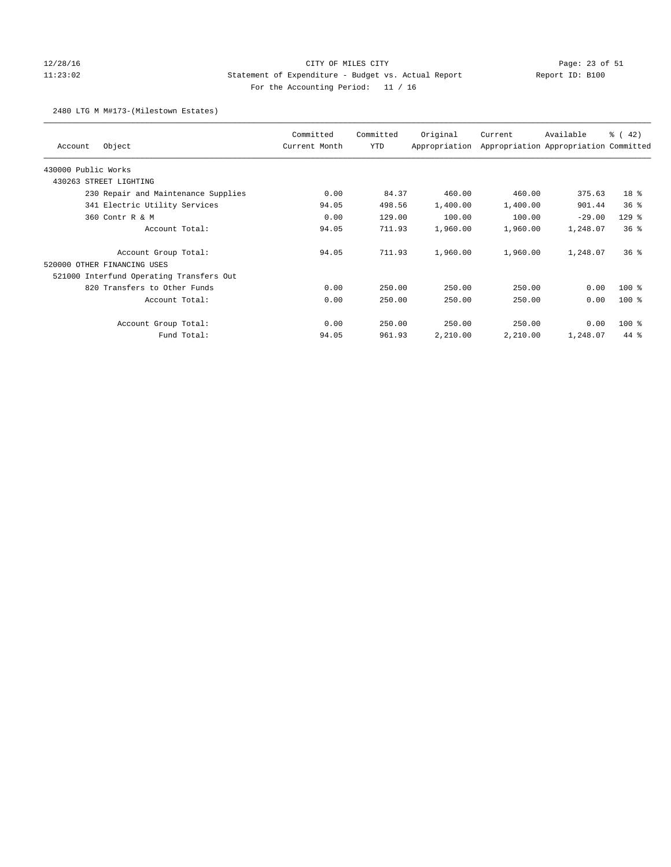# 12/28/16 CITY OF MILES CITY Page: 23 of 51 11:23:02 Statement of Expenditure - Budget vs. Actual Report Report ID: B100 For the Accounting Period: 11 / 16

### 2480 LTG M M#173-(Milestown Estates)

|                                          | Committed     | Committed | Original      | Current  | Available                             | $\frac{1}{6}$ (42) |
|------------------------------------------|---------------|-----------|---------------|----------|---------------------------------------|--------------------|
| Object<br>Account                        | Current Month | YTD       | Appropriation |          | Appropriation Appropriation Committed |                    |
| 430000 Public Works                      |               |           |               |          |                                       |                    |
| 430263 STREET LIGHTING                   |               |           |               |          |                                       |                    |
| 230 Repair and Maintenance Supplies      | 0.00          | 84.37     | 460.00        | 460.00   | 375.63                                | 18 %               |
| 341 Electric Utility Services            | 94.05         | 498.56    | 1,400.00      | 1,400.00 | 901.44                                | $36*$              |
| 360 Contr R & M                          | 0.00          | 129.00    | 100.00        | 100.00   | $-29.00$                              | $129$ %            |
| Account Total:                           | 94.05         | 711.93    | 1,960.00      | 1,960.00 | 1,248.07                              | 36%                |
| Account Group Total:                     | 94.05         | 711.93    | 1,960.00      | 1,960.00 | 1,248.07                              | $36*$              |
| 520000 OTHER FINANCING USES              |               |           |               |          |                                       |                    |
| 521000 Interfund Operating Transfers Out |               |           |               |          |                                       |                    |
| 820 Transfers to Other Funds             | 0.00          | 250.00    | 250.00        | 250.00   | 0.00                                  | $100$ %            |
| Account Total:                           | 0.00          | 250.00    | 250.00        | 250.00   | 0.00                                  | $100$ %            |
| Account Group Total:                     | 0.00          | 250.00    | 250.00        | 250.00   | 0.00                                  | $100$ %            |
| Fund Total:                              | 94.05         | 961.93    | 2,210.00      | 2,210.00 | 1,248.07                              | $44*$              |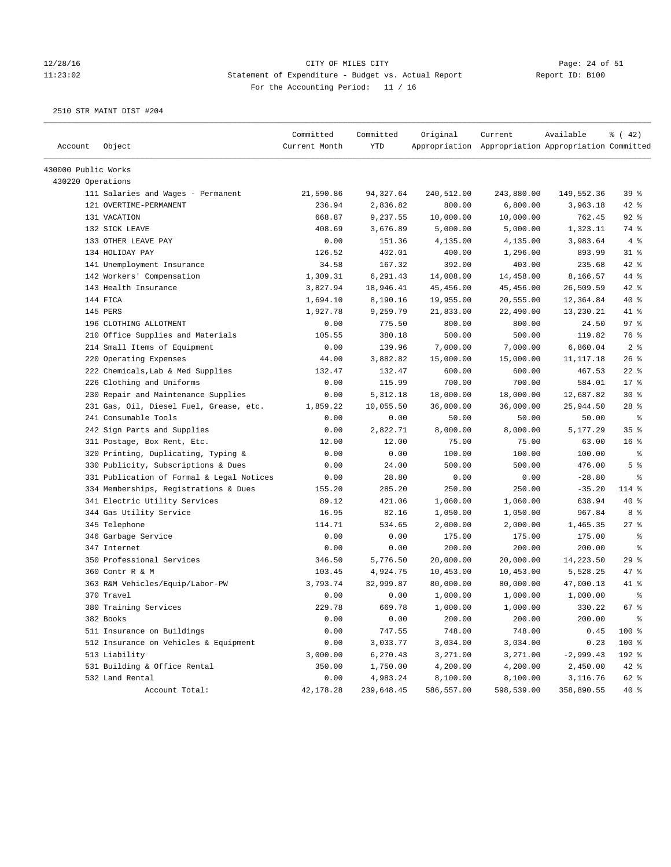### 12/28/16 CITY OF MILES CITY Page: 24 of 51 11:23:02 Statement of Expenditure - Budget vs. Actual Report Report ID: B100 For the Accounting Period: 11 / 16

|                     |                                           | Committed     | Committed  | Original   | Current                                             | Available   | $\frac{1}{6}$ ( 42)      |
|---------------------|-------------------------------------------|---------------|------------|------------|-----------------------------------------------------|-------------|--------------------------|
| Account             | Object                                    | Current Month | YTD        |            | Appropriation Appropriation Appropriation Committed |             |                          |
| 430000 Public Works |                                           |               |            |            |                                                     |             |                          |
| 430220 Operations   |                                           |               |            |            |                                                     |             |                          |
|                     | 111 Salaries and Wages - Permanent        | 21,590.86     | 94,327.64  | 240,512.00 | 243,880.00                                          | 149,552.36  | 39%                      |
|                     | 121 OVERTIME-PERMANENT                    | 236.94        | 2,836.82   | 800.00     | 6,800.00                                            | 3,963.18    | $42$ %                   |
|                     | 131 VACATION                              | 668.87        | 9,237.55   | 10,000.00  | 10,000.00                                           | 762.45      | $92$ %                   |
|                     | 132 SICK LEAVE                            | 408.69        | 3,676.89   | 5,000.00   | 5,000.00                                            | 1,323.11    | 74 %                     |
|                     | 133 OTHER LEAVE PAY                       | 0.00          | 151.36     | 4,135.00   | 4,135.00                                            | 3,983.64    | 4%                       |
|                     | 134 HOLIDAY PAY                           | 126.52        | 402.01     | 400.00     | 1,296.00                                            | 893.99      | $31$ %                   |
|                     | 141 Unemployment Insurance                | 34.58         | 167.32     | 392.00     | 403.00                                              | 235.68      | 42 %                     |
|                     | 142 Workers' Compensation                 | 1,309.31      | 6,291.43   | 14,008.00  | 14,458.00                                           | 8,166.57    | 44 %                     |
|                     | 143 Health Insurance                      | 3,827.94      | 18,946.41  | 45, 456.00 | 45,456.00                                           | 26,509.59   | 42 %                     |
|                     | 144 FICA                                  | 1,694.10      | 8,190.16   | 19,955.00  | 20,555.00                                           | 12,364.84   | $40*$                    |
|                     | 145 PERS                                  | 1,927.78      | 9,259.79   | 21,833.00  | 22,490.00                                           | 13,230.21   | 41 %                     |
|                     | 196 CLOTHING ALLOTMENT                    | 0.00          | 775.50     | 800.00     | 800.00                                              | 24.50       | 97%                      |
|                     | 210 Office Supplies and Materials         | 105.55        | 380.18     | 500.00     | 500.00                                              | 119.82      | 76 %                     |
|                     | 214 Small Items of Equipment              | 0.00          | 139.96     | 7,000.00   | 7,000.00                                            | 6,860.04    | 2 <sup>8</sup>           |
|                     | 220 Operating Expenses                    | 44.00         | 3,882.82   | 15,000.00  | 15,000.00                                           | 11,117.18   | 26%                      |
|                     | 222 Chemicals, Lab & Med Supplies         | 132.47        | 132.47     | 600.00     | 600.00                                              | 467.53      | $22$ %                   |
|                     | 226 Clothing and Uniforms                 | 0.00          | 115.99     | 700.00     | 700.00                                              | 584.01      | 17 <sup>°</sup>          |
|                     | 230 Repair and Maintenance Supplies       | 0.00          | 5, 312.18  | 18,000.00  | 18,000.00                                           | 12,687.82   | $30*$                    |
|                     | 231 Gas, Oil, Diesel Fuel, Grease, etc.   | 1,859.22      | 10,055.50  | 36,000.00  | 36,000.00                                           | 25,944.50   | $28$ %                   |
|                     | 241 Consumable Tools                      | 0.00          | 0.00       | 50.00      | 50.00                                               | 50.00       | ႜ                        |
|                     | 242 Sign Parts and Supplies               | 0.00          | 2,822.71   | 8,000.00   | 8,000.00                                            | 5,177.29    | 35%                      |
|                     | 311 Postage, Box Rent, Etc.               | 12.00         | 12.00      | 75.00      | 75.00                                               | 63.00       | 16 <sup>8</sup>          |
|                     | 320 Printing, Duplicating, Typing &       | 0.00          | 0.00       | 100.00     | 100.00                                              | 100.00      | ್ಠಿ                      |
|                     | 330 Publicity, Subscriptions & Dues       | 0.00          | 24.00      | 500.00     | 500.00                                              | 476.00      | 5 <sup>8</sup>           |
|                     | 331 Publication of Formal & Legal Notices | 0.00          | 28.80      | 0.00       | 0.00                                                | $-28.80$    | နွ                       |
|                     | 334 Memberships, Registrations & Dues     | 155.20        | 285.20     | 250.00     | 250.00                                              | $-35.20$    | 114 %                    |
|                     | 341 Electric Utility Services             | 89.12         | 421.06     | 1,060.00   | 1,060.00                                            | 638.94      | 40 %                     |
|                     | 344 Gas Utility Service                   | 16.95         | 82.16      | 1,050.00   | 1,050.00                                            | 967.84      | 8 %                      |
|                     | 345 Telephone                             | 114.71        | 534.65     | 2,000.00   | 2,000.00                                            | 1,465.35    | $27$ %                   |
|                     | 346 Garbage Service                       | 0.00          | 0.00       | 175.00     | 175.00                                              | 175.00      | ႜ                        |
|                     | 347 Internet                              | 0.00          | 0.00       | 200.00     | 200.00                                              | 200.00      | နွ                       |
|                     | 350 Professional Services                 | 346.50        | 5,776.50   | 20,000.00  | 20,000.00                                           | 14,223.50   | 29%                      |
|                     | 360 Contr R & M                           | 103.45        | 4,924.75   | 10,453.00  | 10,453.00                                           | 5,528.25    | 47 %                     |
|                     | 363 R&M Vehicles/Equip/Labor-PW           | 3,793.74      | 32,999.87  | 80,000.00  | 80,000.00                                           | 47,000.13   | 41 %                     |
|                     | 370 Travel                                | 0.00          | 0.00       | 1,000.00   | 1,000.00                                            | 1,000.00    | နွ                       |
|                     | 380 Training Services                     | 229.78        | 669.78     | 1,000.00   | 1,000.00                                            | 330.22      | 67 <sup>8</sup>          |
|                     | 382 Books                                 | 0.00          | 0.00       | 200.00     | 200.00                                              | 200.00      | $\,{}^{\circ}\!\!\delta$ |
|                     | 511 Insurance on Buildings                | 0.00          | 747.55     | 748.00     | 748.00                                              | 0.45        | 100 %                    |
|                     | 512 Insurance on Vehicles & Equipment     | 0.00          | 3,033.77   | 3,034.00   | 3,034.00                                            | 0.23        | 100 %                    |
|                     | 513 Liability                             | 3,000.00      | 6,270.43   | 3,271.00   | 3,271.00                                            | $-2,999.43$ | 192 %                    |
|                     | 531 Building & Office Rental              | 350.00        | 1,750.00   | 4,200.00   | 4,200.00                                            | 2,450.00    | $42$ %                   |
|                     | 532 Land Rental                           | 0.00          | 4,983.24   | 8,100.00   | 8,100.00                                            | 3,116.76    | 62 %                     |
|                     | Account Total:                            | 42,178.28     | 239,648.45 | 586,557.00 | 598,539.00                                          | 358,890.55  | 40 %                     |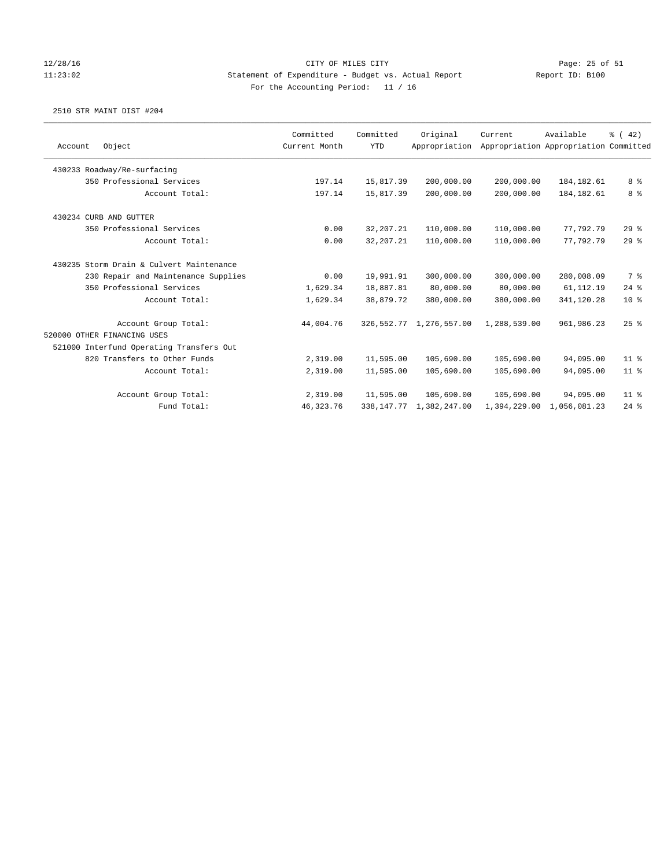## 12/28/16 CITY OF MILES CITY Page: 25 of 51 11:23:02 Statement of Expenditure - Budget vs. Actual Report Report ID: B100 For the Accounting Period: 11 / 16

|                                          | Committed     | Committed   | Original      | Current                    | Available   | $\frac{6}{6}$ ( 42)                                                                                                                                                                                                           |
|------------------------------------------|---------------|-------------|---------------|----------------------------|-------------|-------------------------------------------------------------------------------------------------------------------------------------------------------------------------------------------------------------------------------|
| Object                                   | Current Month | <b>YTD</b>  | Appropriation |                            |             |                                                                                                                                                                                                                               |
| 430233 Roadway/Re-surfacing              |               |             |               |                            |             |                                                                                                                                                                                                                               |
| 350 Professional Services                | 197.14        | 15,817.39   | 200,000.00    |                            | 184, 182.61 | 8 %                                                                                                                                                                                                                           |
| Account Total:                           | 197.14        | 15,817.39   | 200,000.00    |                            | 184, 182.61 | 8 %                                                                                                                                                                                                                           |
| 430234 CURB AND GUTTER                   |               |             |               |                            |             |                                                                                                                                                                                                                               |
| 350 Professional Services                | 0.00          | 32, 207. 21 | 110,000.00    |                            | 77,792.79   | 29%                                                                                                                                                                                                                           |
| Account Total:                           | 0.00          | 32, 207. 21 | 110,000.00    |                            | 77.792.79   | 29%                                                                                                                                                                                                                           |
| 430235 Storm Drain & Culvert Maintenance |               |             |               |                            |             |                                                                                                                                                                                                                               |
| 230 Repair and Maintenance Supplies      | 0.00          | 19,991.91   | 300,000.00    |                            | 280,008.09  | 7 %                                                                                                                                                                                                                           |
| 350 Professional Services                | 1,629.34      | 18,887.81   | 80,000.00     |                            | 61,112.19   | 24%                                                                                                                                                                                                                           |
| Account Total:                           | 1,629.34      | 38,879.72   | 380,000.00    |                            | 341,120.28  | $10*$                                                                                                                                                                                                                         |
| Account Group Total:                     | 44,004.76     |             | 1,276,557.00  |                            | 961, 986.23 | 25%                                                                                                                                                                                                                           |
| 520000 OTHER FINANCING USES              |               |             |               |                            |             |                                                                                                                                                                                                                               |
| 521000 Interfund Operating Transfers Out |               |             |               |                            |             |                                                                                                                                                                                                                               |
| 820 Transfers to Other Funds             | 2,319.00      | 11,595.00   | 105,690.00    |                            | 94,095.00   | $11$ %                                                                                                                                                                                                                        |
| Account Total:                           | 2,319.00      | 11,595.00   | 105,690.00    |                            | 94,095.00   | $11*$                                                                                                                                                                                                                         |
| Account Group Total:                     | 2,319.00      | 11,595.00   | 105,690.00    |                            | 94,095.00   | $11$ %                                                                                                                                                                                                                        |
| Fund Total:                              | 46, 323. 76   |             | 1,382,247.00  |                            |             | $24$ %                                                                                                                                                                                                                        |
|                                          |               |             |               | 326,552.77<br>338, 147. 77 |             | Appropriation Appropriation Committed<br>200,000.00<br>200,000.00<br>110,000.00<br>110,000.00<br>300,000.00<br>80,000.00<br>380,000.00<br>1,288,539.00<br>105,690.00<br>105,690.00<br>105,690.00<br>1,394,229.00 1,056,081.23 |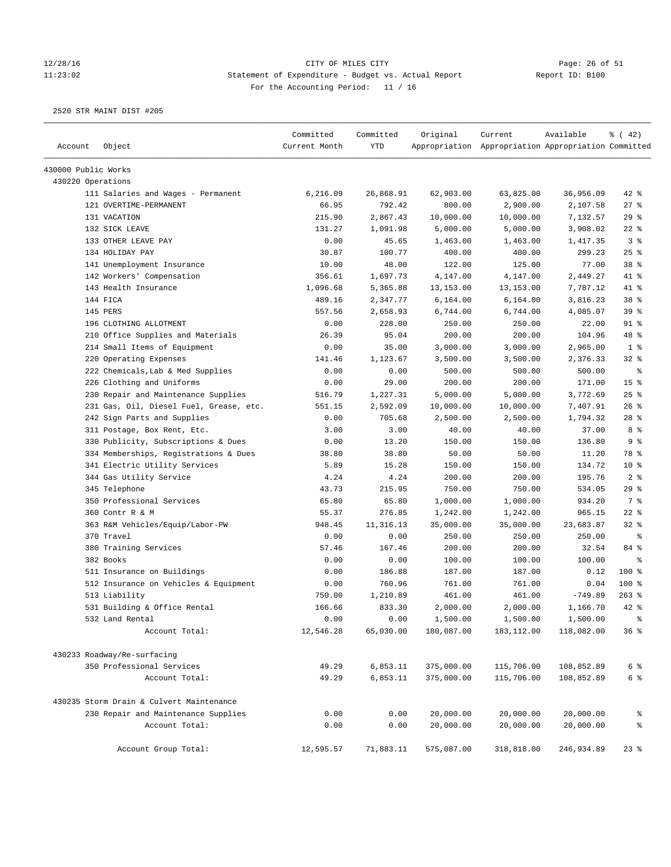# 12/28/16 Page: 26 of 51 11:23:02 Statement of Expenditure - Budget vs. Actual Report Report ID: B100 For the Accounting Period: 11 / 16

| Account             | Object                                   | Committed<br>Current Month | Committed<br><b>YTD</b> | Original   | Current<br>Appropriation Appropriation Appropriation Committed | Available  | $\frac{1}{6}$ ( 42) |
|---------------------|------------------------------------------|----------------------------|-------------------------|------------|----------------------------------------------------------------|------------|---------------------|
|                     |                                          |                            |                         |            |                                                                |            |                     |
| 430000 Public Works |                                          |                            |                         |            |                                                                |            |                     |
| 430220 Operations   |                                          |                            |                         |            |                                                                |            |                     |
|                     | 111 Salaries and Wages - Permanent       | 6,216.09                   | 26,868.91               | 62,903.00  | 63,825.00                                                      | 36,956.09  | $42$ %              |
|                     | 121 OVERTIME-PERMANENT                   | 66.95                      | 792.42                  | 800.00     | 2,900.00                                                       | 2,107.58   | 27%                 |
|                     | 131 VACATION                             | 215.90                     | 2,867.43                | 10,000.00  | 10,000.00                                                      | 7,132.57   | 29%                 |
|                     | 132 SICK LEAVE                           | 131.27                     | 1,091.98                | 5,000.00   | 5,000.00                                                       | 3,908.02   | $22$ %              |
|                     | 133 OTHER LEAVE PAY                      | 0.00                       | 45.65                   | 1,463.00   | 1,463.00                                                       | 1,417.35   | 3%                  |
|                     | 134 HOLIDAY PAY                          | 30.87                      | 100.77                  | 400.00     | 400.00                                                         | 299.23     | 25%                 |
|                     | 141 Unemployment Insurance               | 10.00                      | 48.00                   | 122.00     | 125.00                                                         | 77.00      | 38 %                |
|                     | 142 Workers' Compensation                | 356.61                     | 1,697.73                | 4,147.00   | 4,147.00                                                       | 2,449.27   | 41 %                |
|                     | 143 Health Insurance                     | 1,096.68                   | 5,365.88                | 13,153.00  | 13, 153.00                                                     | 7,787.12   | 41 %                |
|                     | 144 FICA                                 | 489.16                     | 2,347.77                | 6,164.00   | 6,164.00                                                       | 3,816.23   | 38 <sup>8</sup>     |
|                     | 145 PERS                                 | 557.56                     | 2,658.93                | 6,744.00   | 6,744.00                                                       | 4,085.07   | 39 <sup>8</sup>     |
|                     | 196 CLOTHING ALLOTMENT                   | 0.00                       | 228.00                  | 250.00     | 250.00                                                         | 22.00      | $91$ %              |
|                     | 210 Office Supplies and Materials        | 26.39                      | 95.04                   | 200.00     | 200.00                                                         | 104.96     | 48 %                |
|                     | 214 Small Items of Equipment             | 0.00                       | 35.00                   | 3,000.00   | 3,000.00                                                       | 2,965.00   | 1 <sup>8</sup>      |
|                     | 220 Operating Expenses                   | 141.46                     | 1,123.67                | 3,500.00   | 3,500.00                                                       | 2,376.33   | $32$ $%$            |
|                     | 222 Chemicals, Lab & Med Supplies        | 0.00                       | 0.00                    | 500.00     | 500.00                                                         | 500.00     | နွ                  |
|                     | 226 Clothing and Uniforms                | 0.00                       | 29.00                   | 200.00     | 200.00                                                         | 171.00     | 15 <sup>°</sup>     |
|                     | 230 Repair and Maintenance Supplies      | 516.79                     | 1,227.31                | 5,000.00   | 5,000.00                                                       | 3,772.69   | $25$ %              |
|                     | 231 Gas, Oil, Diesel Fuel, Grease, etc.  | 551.15                     | 2,592.09                | 10,000.00  | 10,000.00                                                      | 7,407.91   | 26%                 |
|                     | 242 Sign Parts and Supplies              | 0.00                       | 705.68                  | 2,500.00   | 2,500.00                                                       | 1,794.32   | $28$ %              |
|                     | 311 Postage, Box Rent, Etc.              | 3.00                       | 3.00                    | 40.00      | 40.00                                                          | 37.00      | 8 %                 |
|                     | 330 Publicity, Subscriptions & Dues      | 0.00                       | 13.20                   | 150.00     | 150.00                                                         | 136.80     | 9 <sup>8</sup>      |
|                     | 334 Memberships, Registrations & Dues    | 38.80                      | 38.80                   | 50.00      | 50.00                                                          | 11.20      | 78 %                |
|                     | 341 Electric Utility Services            | 5.89                       | 15.28                   | 150.00     | 150.00                                                         | 134.72     | $10*$               |
|                     | 344 Gas Utility Service                  | 4.24                       | 4.24                    | 200.00     | 200.00                                                         | 195.76     | 2 <sup>8</sup>      |
|                     | 345 Telephone                            | 43.73                      | 215.95                  | 750.00     | 750.00                                                         | 534.05     | $29$ %              |
|                     | 350 Professional Services                | 65.80                      | 65.80                   | 1,000.00   | 1,000.00                                                       | 934.20     | 7 %                 |
|                     | 360 Contr R & M                          | 55.37                      | 276.85                  | 1,242.00   | 1,242.00                                                       | 965.15     | $22$ %              |
|                     | 363 R&M Vehicles/Equip/Labor-PW          | 948.45                     | 11,316.13               | 35,000.00  | 35,000.00                                                      | 23,683.87  | 32%                 |
|                     | 370 Travel                               | 0.00                       | 0.00                    | 250.00     | 250.00                                                         | 250.00     | ႜ                   |
|                     | 380 Training Services                    | 57.46                      | 167.46                  | 200.00     | 200.00                                                         | 32.54      | 84 %                |
|                     | 382 Books                                | 0.00                       | 0.00                    | 100.00     | 100.00                                                         | 100.00     | နွ                  |
|                     | 511 Insurance on Buildings               | 0.00                       | 186.88                  | 187.00     | 187.00                                                         | 0.12       | 100 %               |
|                     | 512 Insurance on Vehicles & Equipment    | 0.00                       | 760.96                  | 761.00     | 761.00                                                         | 0.04       | 100 %               |
|                     | 513 Liability                            | 750.00                     | 1,210.89                | 461.00     | 461.00                                                         | $-749.89$  | $263$ %             |
|                     | 531 Building & Office Rental             | 166.66                     | 833.30                  | 2,000.00   | 2,000.00                                                       | 1,166.70   | $42$ $%$            |
|                     | 532 Land Rental                          | 0.00                       | 0.00                    | 1,500.00   | 1,500.00                                                       | 1,500.00   | $\,$ $\,$ $\,$      |
|                     | Account Total:                           | 12,546.28                  | 65,030.00               | 180,087.00 | 183, 112.00                                                    | 118,082.00 | 36%                 |
|                     | 430233 Roadway/Re-surfacing              |                            |                         |            |                                                                |            |                     |
|                     | 350 Professional Services                | 49.29                      | 6,853.11                | 375,000.00 | 115,706.00                                                     | 108,852.89 | 6 <sup>8</sup>      |
|                     | Account Total:                           | 49.29                      | 6,853.11                | 375,000.00 | 115,706.00                                                     | 108,852.89 | 6 <sup>8</sup>      |
|                     | 430235 Storm Drain & Culvert Maintenance |                            |                         |            |                                                                |            |                     |
|                     | 230 Repair and Maintenance Supplies      | 0.00                       | 0.00                    | 20,000.00  | 20,000.00                                                      | 20,000.00  | ိစ                  |
|                     | Account Total:                           | 0.00                       | 0.00                    | 20,000.00  | 20,000.00                                                      | 20,000.00  | $\epsilon$          |
|                     |                                          |                            |                         |            |                                                                |            |                     |
|                     | Account Group Total:                     | 12,595.57                  | 71,883.11               | 575,087.00 | 318,818.00                                                     | 246,934.89 | $23$ $%$            |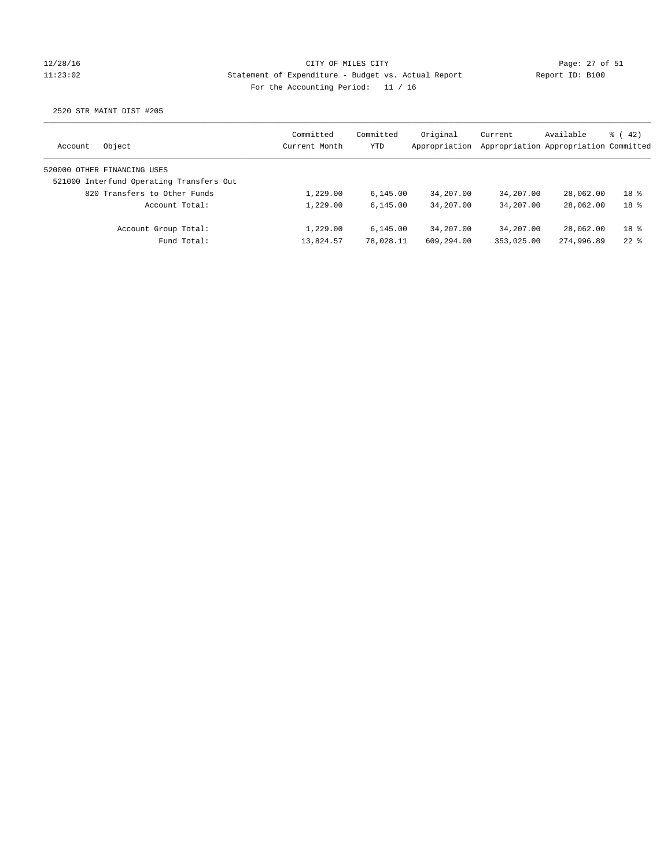## 12/28/16 CITY OF MILES CITY Page: 27 of 51 11:23:02 Statement of Expenditure - Budget vs. Actual Report Report ID: B100 For the Accounting Period: 11 / 16

| Object<br>Account                        | Committed<br>Current Month | Committed<br>YTD | Original<br>Appropriation | Current    | Available<br>Appropriation Appropriation Committed | $\frac{1}{6}$ ( 42) |
|------------------------------------------|----------------------------|------------------|---------------------------|------------|----------------------------------------------------|---------------------|
| 520000 OTHER FINANCING USES              |                            |                  |                           |            |                                                    |                     |
| 521000 Interfund Operating Transfers Out |                            |                  |                           |            |                                                    |                     |
| 820 Transfers to Other Funds             | 1,229.00                   | 6, 145.00        | 34,207.00                 | 34,207.00  | 28,062.00                                          | 18 %                |
| Account Total:                           | 1,229.00                   | 6.145.00         | 34,207.00                 | 34,207.00  | 28,062.00                                          | 18 %                |
| Account Group Total:                     | 1,229.00                   | 6.145.00         | 34,207.00                 | 34,207.00  | 28,062.00                                          | 18 %                |
| Fund Total:                              | 13,824.57                  | 78,028.11        | 609,294.00                | 353,025.00 | 274,996.89                                         | $22$ $%$            |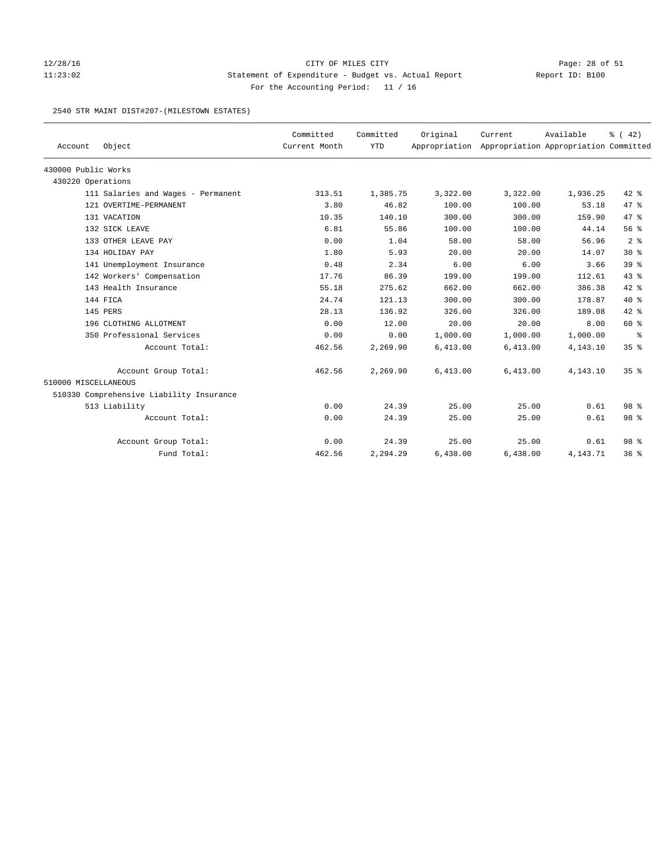## 12/28/16 CITY OF MILES CITY Page: 28 of 51 11:23:02 Statement of Expenditure - Budget vs. Actual Report Report ID: B100 For the Accounting Period: 11 / 16

#### 2540 STR MAINT DIST#207-(MILESTOWN ESTATES)

| Account              | Object                                   | Committed<br>Current Month | Committed<br><b>YTD</b> | Original | Current<br>Appropriation Appropriation Appropriation Committed | Available | % (42)          |
|----------------------|------------------------------------------|----------------------------|-------------------------|----------|----------------------------------------------------------------|-----------|-----------------|
|                      |                                          |                            |                         |          |                                                                |           |                 |
| 430000 Public Works  |                                          |                            |                         |          |                                                                |           |                 |
| 430220 Operations    |                                          |                            |                         |          |                                                                |           |                 |
|                      | 111 Salaries and Wages - Permanent       | 313.51                     | 1,385.75                | 3,322.00 | 3,322.00                                                       | 1,936.25  | $42$ %          |
|                      | 121 OVERTIME-PERMANENT                   | 3.80                       | 46.82                   | 100.00   | 100.00                                                         | 53.18     | 47 %            |
|                      | 131 VACATION                             | 10.35                      | 140.10                  | 300.00   | 300.00                                                         | 159.90    | 47.8            |
|                      | 132 SICK LEAVE                           | 6.81                       | 55.86                   | 100.00   | 100.00                                                         | 44.14     | 56%             |
|                      | 133 OTHER LEAVE PAY                      | 0.00                       | 1.04                    | 58.00    | 58.00                                                          | 56.96     | 2 <sup>8</sup>  |
|                      | 134 HOLIDAY PAY                          | 1.80                       | 5.93                    | 20.00    | 20.00                                                          | 14.07     | $30*$           |
|                      | 141 Unemployment Insurance               | 0.48                       | 2.34                    | 6.00     | 6.00                                                           | 3.66      | 39 %            |
|                      | 142 Workers' Compensation                | 17.76                      | 86.39                   | 199.00   | 199.00                                                         | 112.61    | 43%             |
|                      | 143 Health Insurance                     | 55.18                      | 275.62                  | 662.00   | 662.00                                                         | 386.38    | $42$ %          |
|                      | 144 FICA                                 | 24.74                      | 121.13                  | 300.00   | 300.00                                                         | 178.87    | $40*$           |
|                      | 145 PERS                                 | 28.13                      | 136.92                  | 326.00   | 326.00                                                         | 189.08    | $42*$           |
|                      | 196 CLOTHING ALLOTMENT                   | 0.00                       | 12.00                   | 20.00    | 20.00                                                          | 8.00      | 60 %            |
|                      | 350 Professional Services                | 0.00                       | 0.00                    | 1,000.00 | 1,000.00                                                       | 1,000.00  | နွ              |
|                      | Account Total:                           | 462.56                     | 2,269.90                | 6,413.00 | 6,413.00                                                       | 4,143.10  | 35%             |
|                      | Account Group Total:                     | 462.56                     | 2,269.90                | 6,413.00 | 6,413.00                                                       | 4,143.10  | 35 <sup>8</sup> |
| 510000 MISCELLANEOUS |                                          |                            |                         |          |                                                                |           |                 |
|                      | 510330 Comprehensive Liability Insurance |                            |                         |          |                                                                |           |                 |
|                      | 513 Liability                            | 0.00                       | 24.39                   | 25.00    | 25.00                                                          | 0.61      | 98 <sup>8</sup> |
|                      | Account Total:                           | 0.00                       | 24.39                   | 25.00    | 25.00                                                          | 0.61      | 98 %            |
|                      | Account Group Total:                     | 0.00                       | 24.39                   | 25.00    | 25.00                                                          | 0.61      | 98 <sup>8</sup> |
|                      | Fund Total:                              | 462.56                     | 2,294.29                | 6,438.00 | 6,438.00                                                       | 4,143.71  | 36%             |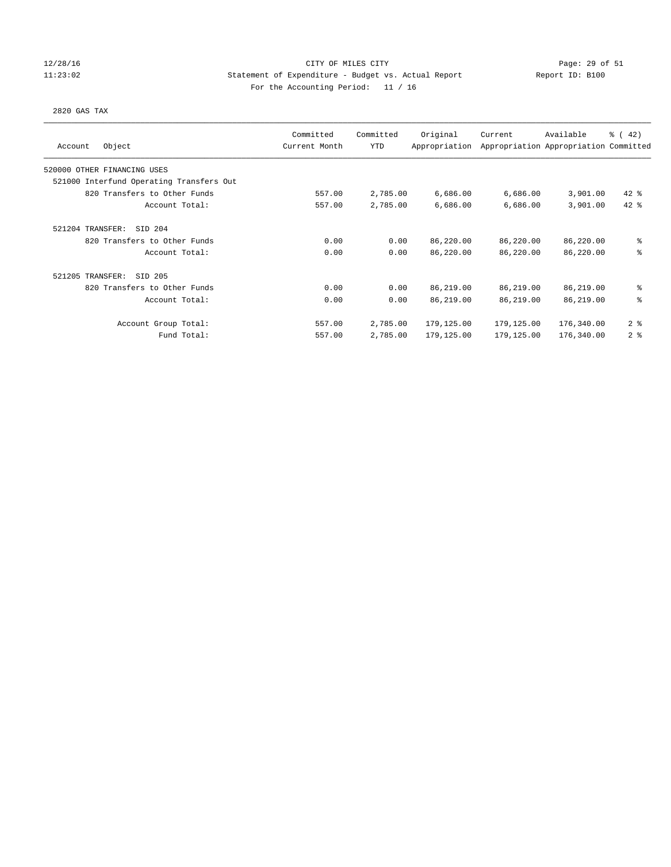## 12/28/16 CITY OF MILES CITY Page: 29 of 51 11:23:02 Statement of Expenditure - Budget vs. Actual Report Report ID: B100 For the Accounting Period: 11 / 16

### 2820 GAS TAX

| Object<br>Account                        | Committed<br>Current Month | Committed<br><b>YTD</b> | Original<br>Appropriation | Current    | Available<br>Appropriation Appropriation Committed | $\frac{1}{6}$ (42) |
|------------------------------------------|----------------------------|-------------------------|---------------------------|------------|----------------------------------------------------|--------------------|
| 520000 OTHER FINANCING USES              |                            |                         |                           |            |                                                    |                    |
| 521000 Interfund Operating Transfers Out |                            |                         |                           |            |                                                    |                    |
| 820 Transfers to Other Funds             | 557.00                     | 2,785.00                | 6,686.00                  | 6,686.00   | 3,901.00                                           | $42$ %             |
| Account Total:                           | 557.00                     | 2,785.00                | 6,686.00                  | 6,686.00   | 3,901.00                                           | $42$ %             |
| 521204 TRANSFER:<br>SID 204              |                            |                         |                           |            |                                                    |                    |
| 820 Transfers to Other Funds             | 0.00                       | 0.00                    | 86,220.00                 | 86,220.00  | 86,220.00                                          | ి                  |
| Account Total:                           | 0.00                       | 0.00                    | 86,220.00                 | 86,220.00  | 86,220.00                                          | る                  |
| 521205 TRANSFER:<br>SID 205              |                            |                         |                           |            |                                                    |                    |
| 820 Transfers to Other Funds             | 0.00                       | 0.00                    | 86,219.00                 | 86,219.00  | 86,219.00                                          | နွ                 |
| Account Total:                           | 0.00                       | 0.00                    | 86,219.00                 | 86,219.00  | 86,219.00                                          | 昙                  |
| Account Group Total:                     | 557.00                     | 2,785.00                | 179,125.00                | 179,125.00 | 176,340.00                                         | 2 <sup>8</sup>     |
| Fund Total:                              | 557.00                     | 2,785.00                | 179,125.00                | 179,125.00 | 176,340.00                                         | 2 <sup>8</sup>     |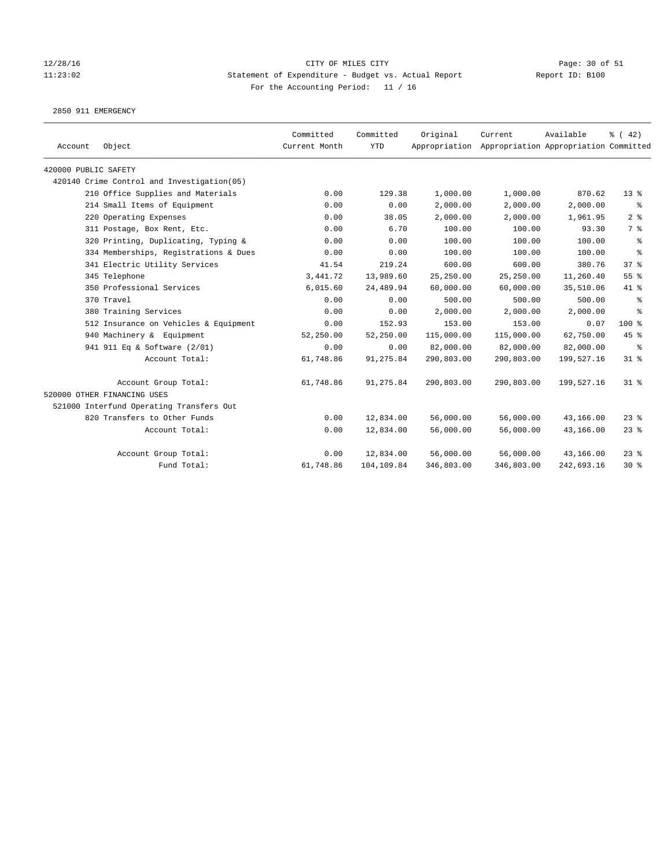# 12/28/16 Page: 30 of 51 11:23:02 Statement of Expenditure - Budget vs. Actual Report Report ID: B100 For the Accounting Period: 11 / 16

2850 911 EMERGENCY

| Account              | Object                                      | Committed<br>Current Month | Committed<br><b>YTD</b> | Original   | Current<br>Appropriation Appropriation Appropriation Committed | Available  | $\frac{1}{6}$ (42) |
|----------------------|---------------------------------------------|----------------------------|-------------------------|------------|----------------------------------------------------------------|------------|--------------------|
| 420000 PUBLIC SAFETY |                                             |                            |                         |            |                                                                |            |                    |
|                      | 420140 Crime Control and Investigation (05) |                            |                         |            |                                                                |            |                    |
|                      | 210 Office Supplies and Materials           | 0.00                       | 129.38                  | 1,000.00   | 1,000.00                                                       | 870.62     | $13*$              |
|                      | 214 Small Items of Equipment                | 0.00                       | 0.00                    | 2,000.00   | 2,000.00                                                       | 2,000.00   | ႜ                  |
|                      | 220 Operating Expenses                      | 0.00                       | 38.05                   | 2,000.00   | 2,000.00                                                       | 1,961.95   | 2 <sup>8</sup>     |
|                      | 311 Postage, Box Rent, Etc.                 | 0.00                       | 6.70                    | 100.00     | 100.00                                                         | 93.30      | 7 %                |
|                      | 320 Printing, Duplicating, Typing &         | 0.00                       | 0.00                    | 100.00     | 100.00                                                         | 100.00     | နွ                 |
|                      | 334 Memberships, Registrations & Dues       | 0.00                       | 0.00                    | 100.00     | 100.00                                                         | 100.00     | နွ                 |
|                      | 341 Electric Utility Services               | 41.54                      | 219.24                  | 600.00     | 600.00                                                         | 380.76     | 37 <sup>8</sup>    |
|                      | 345 Telephone                               | 3,441.72                   | 13,989.60               | 25,250.00  | 25,250.00                                                      | 11,260.40  | 55%                |
|                      | 350 Professional Services                   | 6,015.60                   | 24,489.94               | 60,000.00  | 60,000.00                                                      | 35,510.06  | 41 %               |
|                      | 370 Travel                                  | 0.00                       | 0.00                    | 500.00     | 500.00                                                         | 500.00     | နွ                 |
|                      | 380 Training Services                       | 0.00                       | 0.00                    | 2.000.00   | 2,000.00                                                       | 2,000.00   | နွ                 |
|                      | 512 Insurance on Vehicles & Equipment       | 0.00                       | 152.93                  | 153.00     | 153.00                                                         | 0.07       | 100 %              |
|                      | 940 Machinery & Equipment                   | 52,250.00                  | 52,250.00               | 115,000.00 | 115,000.00                                                     | 62,750.00  | 45 %               |
|                      | 941 911 Eq & Software (2/01)                | 0.00                       | 0.00                    | 82,000.00  | 82,000.00                                                      | 82,000.00  | နွ                 |
|                      | Account Total:                              | 61,748.86                  | 91,275.84               | 290,803.00 | 290,803.00                                                     | 199,527.16 | $31$ %             |
|                      | Account Group Total:                        | 61,748.86                  | 91,275.84               | 290,803.00 | 290,803.00                                                     | 199,527.16 | $31$ %             |
|                      | 520000 OTHER FINANCING USES                 |                            |                         |            |                                                                |            |                    |
|                      | 521000 Interfund Operating Transfers Out    |                            |                         |            |                                                                |            |                    |
|                      | 820 Transfers to Other Funds                | 0.00                       | 12,834.00               | 56,000.00  | 56,000.00                                                      | 43,166.00  | $23$ $%$           |
|                      | Account Total:                              | 0.00                       | 12,834.00               | 56,000.00  | 56,000.00                                                      | 43,166.00  | $23$ %             |
|                      | Account Group Total:                        | 0.00                       | 12,834.00               | 56,000.00  | 56,000.00                                                      | 43,166.00  | $23$ %             |
|                      | Fund Total:                                 | 61,748.86                  | 104,109.84              | 346,803.00 | 346,803.00                                                     | 242,693.16 | $30*$              |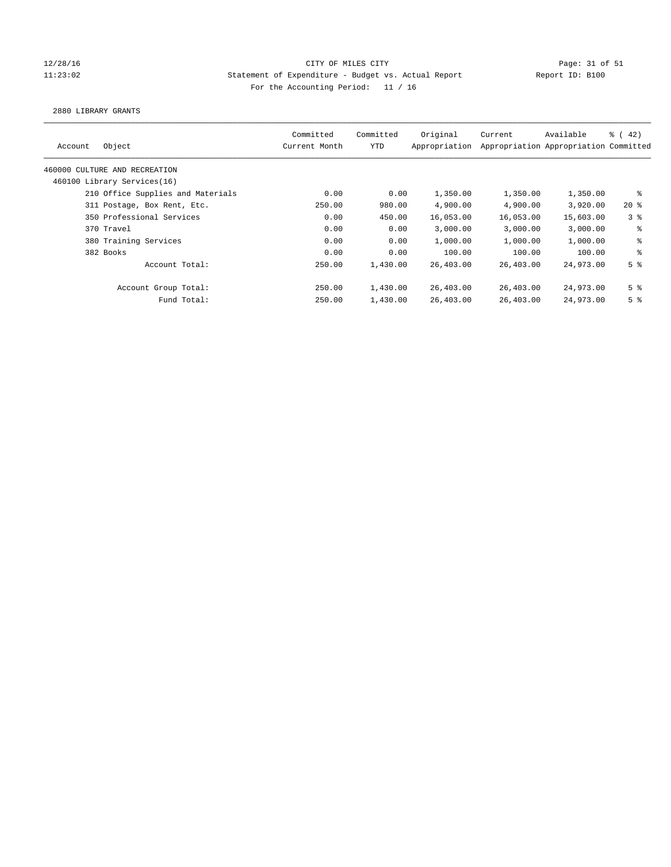## 12/28/16 CITY OF MILES CITY Page: 31 of 51 11:23:02 Statement of Expenditure - Budget vs. Actual Report Report ID: B100 For the Accounting Period: 11 / 16

#### 2880 LIBRARY GRANTS

| Committed<br>Current Month | Committed<br>YTD | Original<br>Appropriation | Current                                                                              | Available | $\frac{1}{6}$ ( 42)                                                                                                                                 |
|----------------------------|------------------|---------------------------|--------------------------------------------------------------------------------------|-----------|-----------------------------------------------------------------------------------------------------------------------------------------------------|
|                            |                  |                           |                                                                                      |           |                                                                                                                                                     |
|                            |                  |                           |                                                                                      |           |                                                                                                                                                     |
| 0.00                       |                  | 1,350.00                  |                                                                                      | 1,350.00  | နွ                                                                                                                                                  |
| 250.00                     |                  | 4,900.00                  |                                                                                      | 3,920.00  | $20*$                                                                                                                                               |
| 0.00                       |                  | 16,053.00                 |                                                                                      | 15,603.00 | 3 <sup>8</sup>                                                                                                                                      |
| 0.00                       |                  | 3,000.00                  |                                                                                      | 3,000.00  | နွ                                                                                                                                                  |
| 0.00                       |                  | 1,000.00                  |                                                                                      | 1,000.00  | နွ                                                                                                                                                  |
| 0.00                       |                  | 100.00                    |                                                                                      | 100.00    | ి                                                                                                                                                   |
| 250.00                     |                  | 26,403.00                 |                                                                                      | 24,973,00 | 5 <sup>8</sup>                                                                                                                                      |
| 250.00                     |                  | 26,403.00                 |                                                                                      | 24,973.00 | 5 <sup>8</sup>                                                                                                                                      |
| 250.00                     |                  | 26,403.00                 |                                                                                      | 24,973.00 | 5 <sup>8</sup>                                                                                                                                      |
|                            |                  |                           | 0.00<br>980.00<br>450.00<br>0.00<br>0.00<br>0.00<br>1,430.00<br>1,430.00<br>1,430.00 |           | Appropriation Appropriation Committed<br>1,350.00<br>4,900.00<br>16,053.00<br>3,000.00<br>1,000.00<br>100.00<br>26,403.00<br>26,403.00<br>26,403.00 |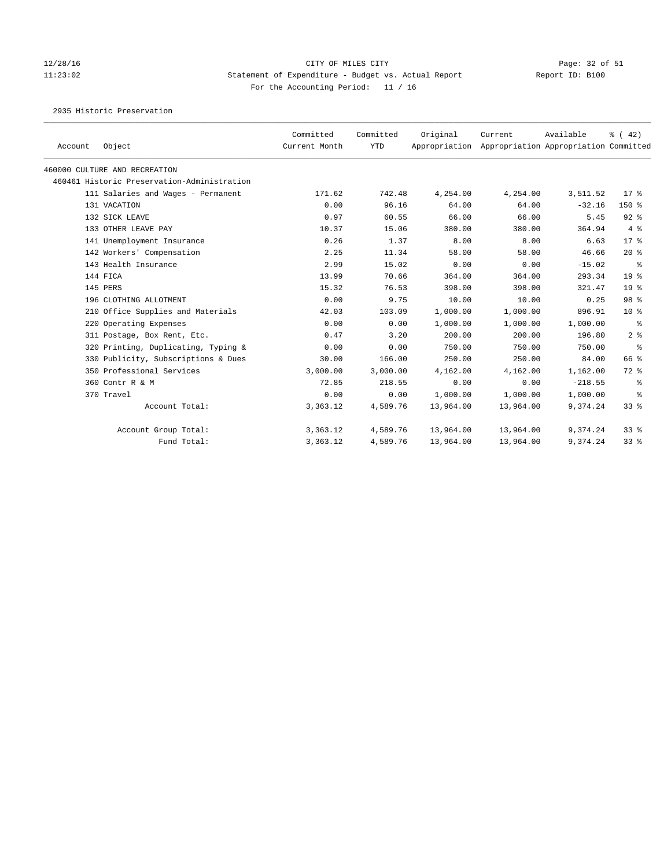# 12/28/16 Page: 32 of 51 11:23:02 Statement of Expenditure - Budget vs. Actual Report Report ID: B100 For the Accounting Period: 11 / 16

2935 Historic Preservation

| Account | Object                                      | Committed<br>Current Month | Committed<br><b>YTD</b> | Original<br>Appropriation | Current   | Available<br>Appropriation Appropriation Committed | $\frac{1}{6}$ ( 42) |
|---------|---------------------------------------------|----------------------------|-------------------------|---------------------------|-----------|----------------------------------------------------|---------------------|
|         | 460000 CULTURE AND RECREATION               |                            |                         |                           |           |                                                    |                     |
|         | 460461 Historic Preservation-Administration |                            |                         |                           |           |                                                    |                     |
|         | 111 Salaries and Wages - Permanent          | 171.62                     | 742.48                  | 4,254.00                  | 4,254.00  | 3,511.52                                           | $17*$               |
|         | 131 VACATION                                | 0.00                       | 96.16                   | 64.00                     | 64.00     | $-32.16$                                           | $150*$              |
|         | 132 SICK LEAVE                              | 0.97                       | 60.55                   | 66.00                     | 66.00     | 5.45                                               | $92$ $%$            |
|         | 133 OTHER LEAVE PAY                         | 10.37                      | 15.06                   | 380.00                    | 380.00    | 364.94                                             | 4%                  |
|         | 141 Unemployment Insurance                  | 0.26                       | 1.37                    | 8.00                      | 8.00      | 6.63                                               | $17*$               |
|         | 142 Workers' Compensation                   | 2.25                       | 11.34                   | 58.00                     | 58.00     | 46.66                                              | $20*$               |
|         | 143 Health Insurance                        | 2.99                       | 15.02                   | 0.00                      | 0.00      | $-15.02$                                           | နွ                  |
|         | 144 FICA                                    | 13.99                      | 70.66                   | 364.00                    | 364.00    | 293.34                                             | 19 <sup>°</sup>     |
|         | 145 PERS                                    | 15.32                      | 76.53                   | 398.00                    | 398.00    | 321.47                                             | 19 <sup>°</sup>     |
|         | 196 CLOTHING ALLOTMENT                      | 0.00                       | 9.75                    | 10.00                     | 10.00     | 0.25                                               | 98 %                |
|         | 210 Office Supplies and Materials           | 42.03                      | 103.09                  | 1,000.00                  | 1,000.00  | 896.91                                             | $10*$               |
|         | 220 Operating Expenses                      | 0.00                       | 0.00                    | 1,000.00                  | 1,000.00  | 1,000.00                                           | ႜ                   |
|         | 311 Postage, Box Rent, Etc.                 | 0.47                       | 3.20                    | 200.00                    | 200.00    | 196.80                                             | 2 <sup>8</sup>      |
|         | 320 Printing, Duplicating, Typing &         | 0.00                       | 0.00                    | 750.00                    | 750.00    | 750.00                                             | ႜ                   |
|         | 330 Publicity, Subscriptions & Dues         | 30.00                      | 166.00                  | 250.00                    | 250.00    | 84.00                                              | 66 %                |
|         | 350 Professional Services                   | 3,000.00                   | 3,000.00                | 4,162.00                  | 4,162.00  | 1,162.00                                           | 72 %                |
|         | 360 Contr R & M                             | 72.85                      | 218.55                  | 0.00                      | 0.00      | $-218.55$                                          | နွ                  |
|         | 370 Travel                                  | 0.00                       | 0.00                    | 1,000.00                  | 1,000.00  | 1,000.00                                           | ႜ                   |
|         | Account Total:                              | 3,363.12                   | 4,589.76                | 13,964.00                 | 13,964.00 | 9,374.24                                           | $33$ $%$            |
|         | Account Group Total:                        | 3,363.12                   | 4,589.76                | 13,964.00                 | 13,964.00 | 9,374.24                                           | 338                 |
|         | Fund Total:                                 | 3,363.12                   | 4,589.76                | 13,964.00                 | 13,964.00 | 9,374.24                                           | 338                 |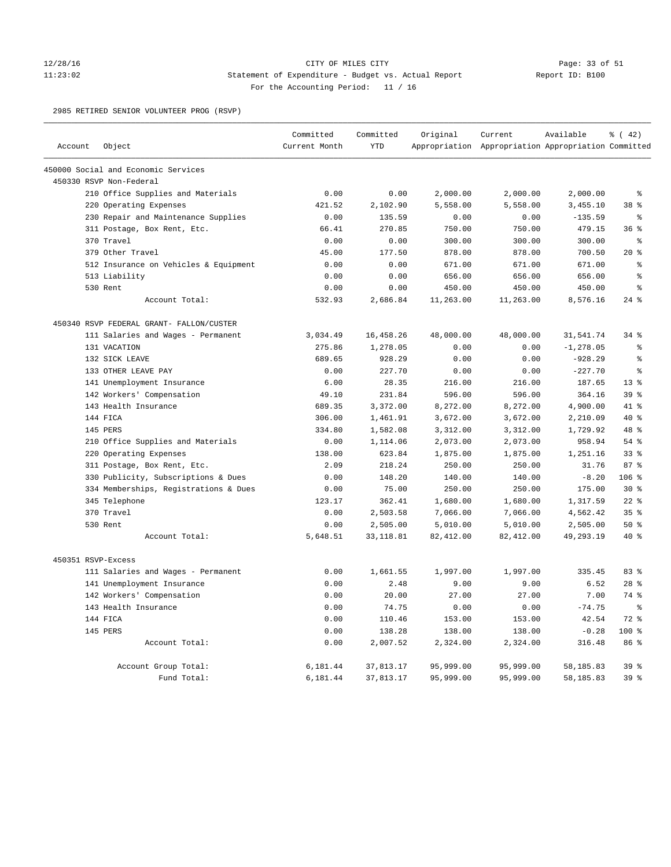## 12/28/16 CITY OF MILES CITY Page: 33 of 51 11:23:02 Statement of Expenditure - Budget vs. Actual Report Report ID: B100 For the Accounting Period: 11 / 16

2985 RETIRED SENIOR VOLUNTEER PROG (RSVP)

|                    |                                          | Committed     | Committed  | Original   | Current                                             | Available    | % (42)          |
|--------------------|------------------------------------------|---------------|------------|------------|-----------------------------------------------------|--------------|-----------------|
| Account            | Object                                   | Current Month | <b>YTD</b> |            | Appropriation Appropriation Appropriation Committed |              |                 |
|                    | 450000 Social and Economic Services      |               |            |            |                                                     |              |                 |
|                    | 450330 RSVP Non-Federal                  |               |            |            |                                                     |              |                 |
|                    | 210 Office Supplies and Materials        | 0.00          | 0.00       | 2,000.00   | 2,000.00                                            | 2,000.00     | ៖               |
|                    | 220 Operating Expenses                   | 421.52        | 2,102.90   | 5,558.00   | 5,558.00                                            | 3,455.10     | 38 %            |
|                    | 230 Repair and Maintenance Supplies      | 0.00          | 135.59     | 0.00       | 0.00                                                | $-135.59$    | ి               |
|                    | 311 Postage, Box Rent, Etc.              | 66.41         | 270.85     | 750.00     | 750.00                                              | 479.15       | 36%             |
|                    | 370 Travel                               | 0.00          | 0.00       | 300.00     | 300.00                                              | 300.00       | နွ              |
|                    | 379 Other Travel                         | 45.00         | 177.50     | 878.00     | 878.00                                              | 700.50       | $20*$           |
|                    | 512 Insurance on Vehicles & Equipment    | 0.00          | 0.00       | 671.00     | 671.00                                              | 671.00       | ៖               |
|                    | 513 Liability                            | 0.00          | 0.00       | 656.00     | 656.00                                              | 656.00       | $\approx$       |
|                    | 530 Rent                                 | 0.00          | 0.00       | 450.00     | 450.00                                              | 450.00       | န့              |
|                    | Account Total:                           | 532.93        | 2,686.84   | 11,263.00  | 11,263.00                                           | 8,576.16     | $24$ $%$        |
|                    | 450340 RSVP FEDERAL GRANT- FALLON/CUSTER |               |            |            |                                                     |              |                 |
|                    | 111 Salaries and Wages - Permanent       | 3,034.49      | 16,458.26  | 48,000.00  | 48,000.00                                           | 31,541.74    | $34$ $%$        |
|                    | 131 VACATION                             | 275.86        | 1,278.05   | 0.00       | 0.00                                                | $-1, 278.05$ | ి               |
|                    | 132 SICK LEAVE                           | 689.65        | 928.29     | 0.00       | 0.00                                                | $-928.29$    | ៖               |
|                    | 133 OTHER LEAVE PAY                      | 0.00          | 227.70     | 0.00       | 0.00                                                | $-227.70$    | ま               |
|                    | 141 Unemployment Insurance               | 6.00          | 28.35      | 216.00     | 216.00                                              | 187.65       | 13 <sup>8</sup> |
|                    | 142 Workers' Compensation                | 49.10         | 231.84     | 596.00     | 596.00                                              | 364.16       | 39 %            |
|                    | 143 Health Insurance                     | 689.35        | 3,372.00   | 8,272.00   | 8,272.00                                            | 4,900.00     | $41*$           |
|                    | 144 FICA                                 | 306.00        | 1,461.91   | 3,672.00   | 3,672.00                                            | 2,210.09     | $40*$           |
|                    | 145 PERS                                 | 334.80        | 1,582.08   | 3,312.00   | 3,312.00                                            | 1,729.92     | 48 %            |
|                    | 210 Office Supplies and Materials        | 0.00          | 1,114.06   | 2,073.00   | 2,073.00                                            | 958.94       | $54$ $%$        |
|                    | 220 Operating Expenses                   | 138.00        | 623.84     | 1,875.00   | 1,875.00                                            | 1,251.16     | 33%             |
|                    | 311 Postage, Box Rent, Etc.              | 2.09          | 218.24     | 250.00     | 250.00                                              | 31.76        | 87%             |
|                    | 330 Publicity, Subscriptions & Dues      | 0.00          | 148.20     | 140.00     | 140.00                                              | $-8.20$      | 106 %           |
|                    | 334 Memberships, Registrations & Dues    | 0.00          | 75.00      | 250.00     | 250.00                                              | 175.00       | $30*$           |
|                    | 345 Telephone                            | 123.17        | 362.41     | 1,680.00   | 1,680.00                                            | 1,317.59     | $22$ %          |
|                    | 370 Travel                               | 0.00          | 2,503.58   | 7,066.00   | 7,066.00                                            | 4,562.42     | 35%             |
|                    | 530 Rent                                 | 0.00          | 2,505.00   | 5,010.00   | 5,010.00                                            | 2,505.00     | 50%             |
|                    | Account Total:                           | 5,648.51      | 33, 118.81 | 82, 412.00 | 82, 412.00                                          | 49,293.19    | $40*$           |
| 450351 RSVP-Excess |                                          |               |            |            |                                                     |              |                 |
|                    | 111 Salaries and Wages - Permanent       | 0.00          | 1,661.55   | 1,997.00   | 1,997.00                                            | 335.45       | 83 %            |
|                    | 141 Unemployment Insurance               | 0.00          | 2.48       | 9.00       | 9.00                                                | 6.52         | $28$ $%$        |
|                    | 142 Workers' Compensation                | 0.00          | 20.00      | 27.00      | 27.00                                               | 7.00         | 74 %            |
|                    | 143 Health Insurance                     | 0.00          | 74.75      | 0.00       | 0.00                                                | $-74.75$     | $\epsilon$      |
|                    | 144 FICA                                 | 0.00          | 110.46     | 153.00     | 153.00                                              | 42.54        | $72$ $%$        |
|                    | 145 PERS                                 | 0.00          | 138.28     | 138.00     | 138.00                                              | $-0.28$      | 100%            |
|                    | Account Total:                           | 0.00          | 2,007.52   | 2,324.00   | 2,324.00                                            | 316.48       | 86 %            |
|                    | Account Group Total:                     | 6,181.44      | 37,813.17  | 95,999.00  | 95,999.00                                           | 58,185.83    | 39 <sup>8</sup> |
|                    | Fund Total:                              | 6,181.44      | 37,813.17  | 95,999.00  | 95,999.00                                           | 58,185.83    | 39 %            |
|                    |                                          |               |            |            |                                                     |              |                 |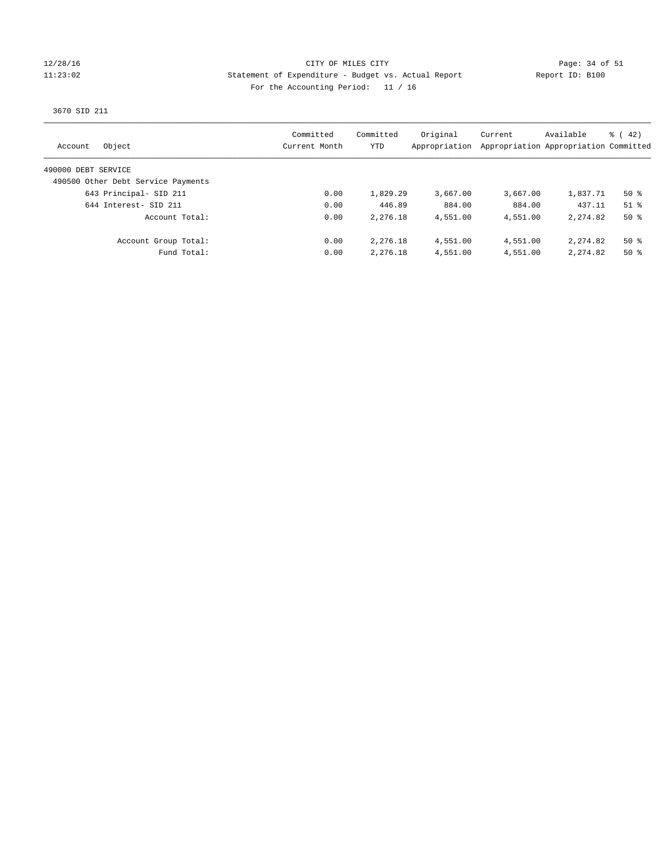## 12/28/16 CITY OF MILES CITY Page: 34 of 51 11:23:02 Statement of Expenditure - Budget vs. Actual Report Report ID: B100 For the Accounting Period: 11 / 16

## 3670 SID 211

| Object<br>Account                  | Committed<br>Current Month | Committed<br>YTD | Original<br>Appropriation | Current  | Available<br>Appropriation Appropriation Committed | $\frac{1}{6}$ ( 42) |
|------------------------------------|----------------------------|------------------|---------------------------|----------|----------------------------------------------------|---------------------|
| 490000 DEBT SERVICE                |                            |                  |                           |          |                                                    |                     |
| 490500 Other Debt Service Payments |                            |                  |                           |          |                                                    |                     |
| 643 Principal- SID 211             | 0.00                       | 1,829.29         | 3,667,00                  | 3,667.00 | 1,837.71                                           | $50*$               |
| 644 Interest- SID 211              | 0.00                       | 446.89           | 884.00                    | 884.00   | 437.11                                             | $51$ $\frac{6}{3}$  |
| Account Total:                     | 0.00                       | 2,276.18         | 4,551.00                  | 4,551.00 | 2, 274, 82                                         | $50*$               |
| Account Group Total:               | 0.00                       | 2,276.18         | 4,551.00                  | 4,551.00 | 2, 274, 82                                         | $50*$               |
| Fund Total:                        | 0.00                       | 2,276.18         | 4,551.00                  | 4,551.00 | 2, 274, 82                                         | $50*$               |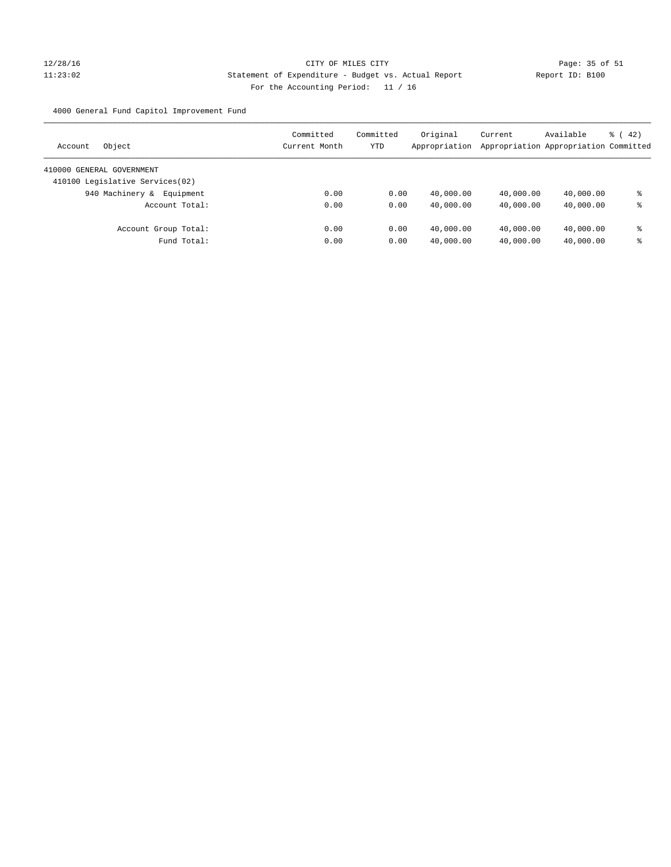# 12/28/16 Page: 35 of 51 11:23:02 Statement of Expenditure - Budget vs. Actual Report Report ID: B100 For the Accounting Period: 11 / 16

4000 General Fund Capitol Improvement Fund

| Object<br>Account               | Committed<br>Current Month | Committed<br>YTD | Original<br>Appropriation | Current<br>Appropriation Appropriation Committed | Available | $\frac{1}{6}$ ( 42) |
|---------------------------------|----------------------------|------------------|---------------------------|--------------------------------------------------|-----------|---------------------|
| 410000 GENERAL GOVERNMENT       |                            |                  |                           |                                                  |           |                     |
| 410100 Legislative Services(02) |                            |                  |                           |                                                  |           |                     |
| 940 Machinery &<br>Equipment    | 0.00                       | 0.00             | 40,000.00                 | 40,000.00                                        | 40,000.00 | ⊱                   |
| Account Total:                  | 0.00                       | 0.00             | 40,000.00                 | 40,000.00                                        | 40,000.00 | နွ                  |
| Account Group Total:            | 0.00                       | 0.00             | 40,000.00                 | 40,000.00                                        | 40,000.00 | နွ                  |
| Fund Total:                     | 0.00                       | 0.00             | 40,000.00                 | 40,000.00                                        | 40,000.00 | နွ                  |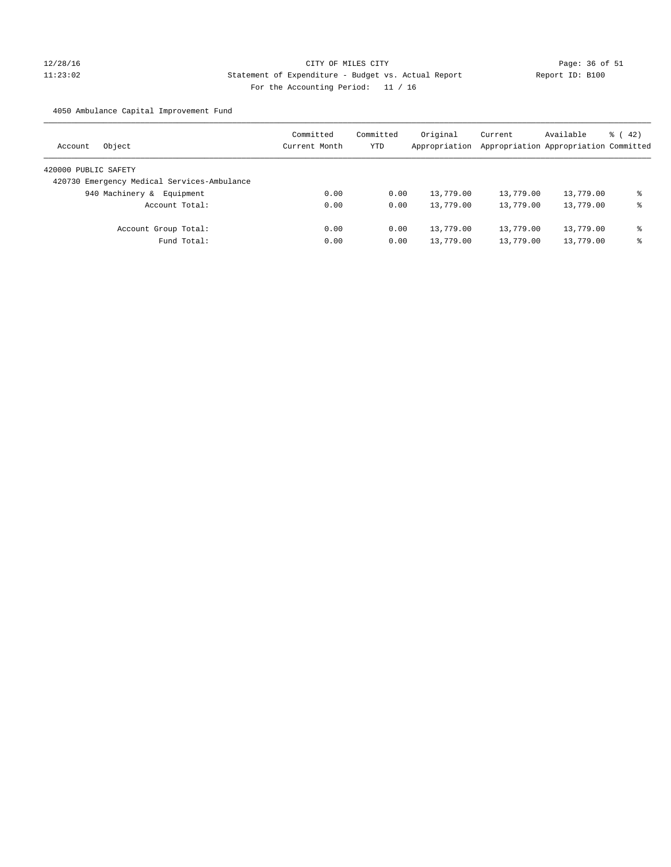# 12/28/16 Page: 36 of 51 11:23:02 Statement of Expenditure - Budget vs. Actual Report Report ID: B100 For the Accounting Period: 11 / 16

4050 Ambulance Capital Improvement Fund

| Object<br>Account                           | Committed<br>Current Month | Committed<br>YTD | Original<br>Appropriation | Current   | Available<br>Appropriation Appropriation Committed | $\frac{1}{6}$ ( 42) |
|---------------------------------------------|----------------------------|------------------|---------------------------|-----------|----------------------------------------------------|---------------------|
| 420000 PUBLIC SAFETY                        |                            |                  |                           |           |                                                    |                     |
| 420730 Emergency Medical Services-Ambulance |                            |                  |                           |           |                                                    |                     |
| 940 Machinery &<br>Equipment                | 0.00                       | 0.00             | 13,779.00                 | 13,779.00 | 13,779.00                                          | ి                   |
| Account Total:                              | 0.00                       | 0.00             | 13,779.00                 | 13,779.00 | 13,779.00                                          | နွ                  |
| Account Group Total:                        | 0.00                       | 0.00             | 13,779.00                 | 13,779.00 | 13,779.00                                          | နွ                  |
| Fund Total:                                 | 0.00                       | 0.00             | 13,779.00                 | 13,779.00 | 13,779.00                                          | ి                   |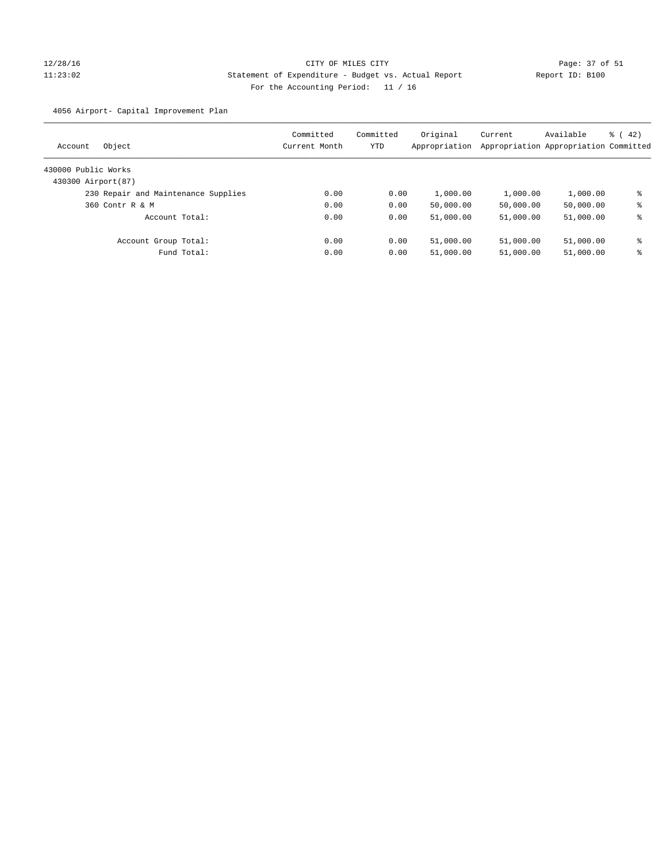# 12/28/16 Page: 37 of 51 11:23:02 Statement of Expenditure - Budget vs. Actual Report Report ID: B100 For the Accounting Period: 11 / 16

4056 Airport- Capital Improvement Plan

| Object<br>Account                   | Committed<br>Current Month | Committed<br>YTD | Original<br>Appropriation | Current<br>Appropriation Appropriation Committed | Available | $\frac{1}{6}$ ( 42) |
|-------------------------------------|----------------------------|------------------|---------------------------|--------------------------------------------------|-----------|---------------------|
| 430000 Public Works                 |                            |                  |                           |                                                  |           |                     |
| 430300 Airport (87)                 |                            |                  |                           |                                                  |           |                     |
| 230 Repair and Maintenance Supplies | 0.00                       | 0.00             | 1,000.00                  | 1,000.00                                         | 1,000.00  | ి                   |
| 360 Contr R & M                     | 0.00                       | 0.00             | 50,000.00                 | 50,000.00                                        | 50,000.00 | နွ                  |
| Account Total:                      | 0.00                       | 0.00             | 51,000.00                 | 51,000.00                                        | 51,000.00 | ి                   |
| Account Group Total:                | 0.00                       | 0.00             | 51,000.00                 | 51,000.00                                        | 51,000.00 | ៖                   |
| Fund Total:                         | 0.00                       | 0.00             | 51,000.00                 | 51,000.00                                        | 51,000.00 | ႜ                   |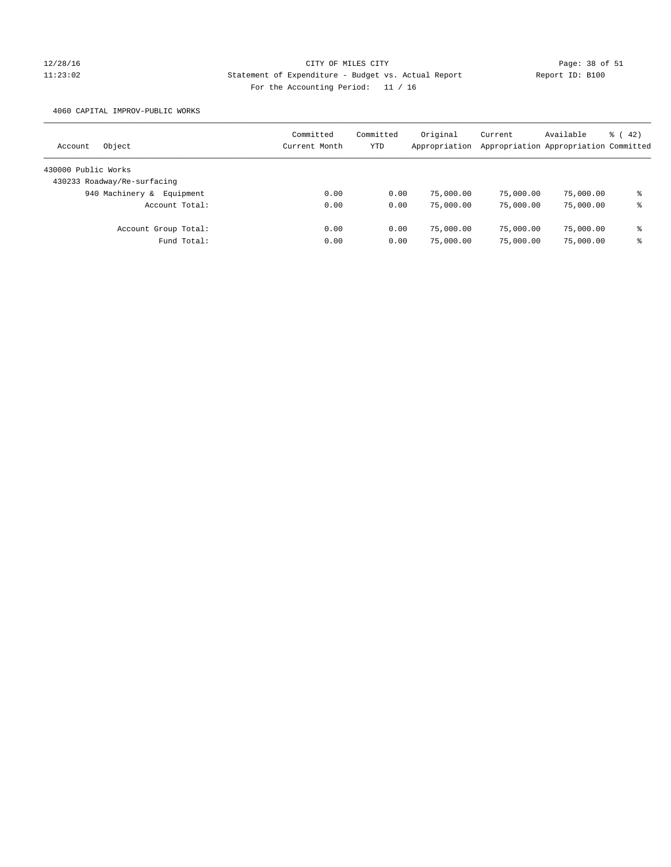# 12/28/16 CITY OF MILES CITY Page: 38 of 51 11:23:02 Statement of Expenditure - Budget vs. Actual Report Report ID: B100 For the Accounting Period: 11 / 16

4060 CAPITAL IMPROV-PUBLIC WORKS

| Object<br>Account            | Committed<br>Current Month | Committed<br>YTD | Original<br>Appropriation | Current   | Available<br>Appropriation Appropriation Committed | $\frac{1}{6}$ ( 42) |
|------------------------------|----------------------------|------------------|---------------------------|-----------|----------------------------------------------------|---------------------|
| 430000 Public Works          |                            |                  |                           |           |                                                    |                     |
| 430233 Roadway/Re-surfacing  |                            |                  |                           |           |                                                    |                     |
| 940 Machinery &<br>Equipment | 0.00                       | 0.00             | 75,000.00                 | 75,000.00 | 75,000.00                                          | ి                   |
| Account Total:               | 0.00                       | 0.00             | 75,000.00                 | 75,000.00 | 75,000.00                                          | ႜ                   |
| Account Group Total:         | 0.00                       | 0.00             | 75,000.00                 | 75,000.00 | 75,000.00                                          | နွ                  |
| Fund Total:                  | 0.00                       | 0.00             | 75,000.00                 | 75,000.00 | 75,000.00                                          | ి                   |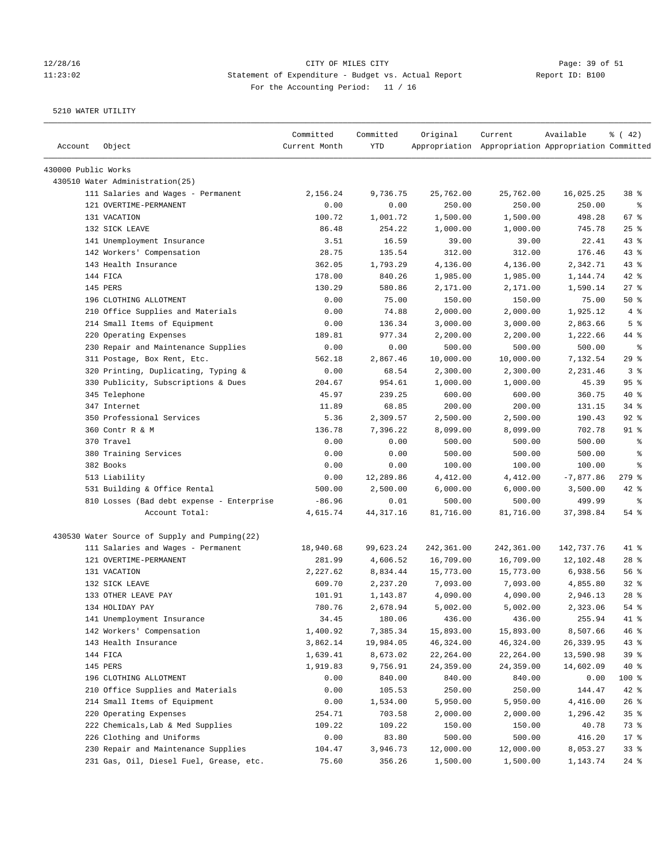# 12/28/16 Page: 39 of 51 11:23:02 Statement of Expenditure - Budget vs. Actual Report Report ID: B100 For the Accounting Period: 11 / 16

| Account             | Object                                        | Committed<br>Current Month | Committed<br>YTD | Original   | Current<br>Appropriation Appropriation Appropriation Committed | Available   | $\frac{1}{6}$ ( 42)      |
|---------------------|-----------------------------------------------|----------------------------|------------------|------------|----------------------------------------------------------------|-------------|--------------------------|
| 430000 Public Works |                                               |                            |                  |            |                                                                |             |                          |
|                     | 430510 Water Administration (25)              |                            |                  |            |                                                                |             |                          |
|                     | 111 Salaries and Wages - Permanent            | 2,156.24                   | 9,736.75         | 25,762.00  | 25,762.00                                                      | 16,025.25   | 38 <sup>8</sup>          |
|                     | 121 OVERTIME-PERMANENT                        | 0.00                       | 0.00             | 250.00     | 250.00                                                         | 250.00      | နွ                       |
|                     | 131 VACATION                                  | 100.72                     | 1,001.72         | 1,500.00   | 1,500.00                                                       | 498.28      | 67%                      |
|                     | 132 SICK LEAVE                                | 86.48                      | 254.22           | 1,000.00   | 1,000.00                                                       | 745.78      | 25%                      |
|                     | 141 Unemployment Insurance                    | 3.51                       | 16.59            | 39.00      | 39.00                                                          | 22.41       | $43$ %                   |
|                     | 142 Workers' Compensation                     | 28.75                      | 135.54           | 312.00     | 312.00                                                         | 176.46      | 43%                      |
|                     | 143 Health Insurance                          | 362.05                     | 1,793.29         | 4,136.00   | 4,136.00                                                       | 2,342.71    | 43%                      |
|                     | 144 FICA                                      | 178.00                     | 840.26           | 1,985.00   | 1,985.00                                                       | 1,144.74    | $42$ %                   |
|                     | 145 PERS                                      | 130.29                     | 580.86           | 2,171.00   | 2,171.00                                                       | 1,590.14    | 27%                      |
|                     | 196 CLOTHING ALLOTMENT                        | 0.00                       | 75.00            | 150.00     | 150.00                                                         | 75.00       | 50%                      |
|                     | 210 Office Supplies and Materials             | 0.00                       | 74.88            | 2,000.00   | 2,000.00                                                       | 1,925.12    | 4%                       |
|                     | 214 Small Items of Equipment                  | 0.00                       | 136.34           | 3,000.00   | 3,000.00                                                       | 2,863.66    | 5 <sup>8</sup>           |
|                     | 220 Operating Expenses                        | 189.81                     | 977.34           | 2,200.00   | 2,200.00                                                       | 1,222.66    | 44 %                     |
|                     | 230 Repair and Maintenance Supplies           | 0.00                       | 0.00             | 500.00     | 500.00                                                         | 500.00      | $\epsilon$               |
|                     | 311 Postage, Box Rent, Etc.                   | 562.18                     | 2,867.46         | 10,000.00  | 10,000.00                                                      | 7,132.54    | 29%                      |
|                     | 320 Printing, Duplicating, Typing &           | 0.00                       | 68.54            | 2,300.00   | 2,300.00                                                       | 2,231.46    | 3 <sup>°</sup>           |
|                     | 330 Publicity, Subscriptions & Dues           | 204.67                     | 954.61           | 1,000.00   | 1,000.00                                                       | 45.39       | 95%                      |
|                     | 345 Telephone                                 | 45.97                      | 239.25           | 600.00     | 600.00                                                         | 360.75      | $40*$                    |
|                     | 347 Internet                                  | 11.89                      | 68.85            | 200.00     | 200.00                                                         | 131.15      | $34$ $%$                 |
|                     | 350 Professional Services                     | 5.36                       | 2,309.57         | 2,500.00   | 2,500.00                                                       | 190.43      | $92$ $%$                 |
|                     | 360 Contr R & M                               | 136.78                     | 7,396.22         | 8,099.00   | 8,099.00                                                       | 702.78      | $91$ %                   |
|                     | 370 Travel                                    | 0.00                       | 0.00             | 500.00     | 500.00                                                         | 500.00      | $\epsilon$               |
|                     | 380 Training Services                         | 0.00                       | 0.00             | 500.00     | 500.00                                                         | 500.00      | $\epsilon$               |
|                     | 382 Books                                     | 0.00                       | 0.00             | 100.00     | 100.00                                                         | 100.00      | နွ                       |
|                     | 513 Liability                                 | 0.00                       | 12,289.86        | 4,412.00   | 4,412.00                                                       | $-7,877.86$ | $279$ $\frac{6}{5}$      |
|                     | 531 Building & Office Rental                  | 500.00                     | 2,500.00         | 6,000.00   | 6,000.00                                                       | 3,500.00    | $42$ %                   |
|                     | 810 Losses (Bad debt expense - Enterprise     | $-86.96$                   | 0.01             | 500.00     | 500.00                                                         | 499.99      | $\,{}^{\circ}\!\!\delta$ |
|                     | Account Total:                                | 4,615.74                   | 44, 317. 16      | 81,716.00  | 81,716.00                                                      | 37,398.84   | 54 %                     |
|                     | 430530 Water Source of Supply and Pumping(22) |                            |                  |            |                                                                |             |                          |
|                     | 111 Salaries and Wages - Permanent            | 18,940.68                  | 99,623.24        | 242,361.00 | 242,361.00                                                     | 142,737.76  | 41 %                     |
|                     | 121 OVERTIME-PERMANENT                        | 281.99                     | 4,606.52         | 16,709.00  | 16,709.00                                                      | 12,102.48   | $28$ %                   |
|                     | 131 VACATION                                  | 2,227.62                   | 8,834.44         | 15,773.00  | 15,773.00                                                      | 6,938.56    | 56%                      |
|                     | 132 SICK LEAVE                                | 609.70                     | 2,237.20         | 7,093.00   | 7,093.00                                                       | 4,855.80    | 32%                      |
|                     | 133 OTHER LEAVE PAY                           | 101.91                     | 1,143.87         | 4,090.00   | 4,090.00                                                       | 2,946.13    | $28$ %                   |
|                     | 134 HOLIDAY PAY                               | 780.76                     | 2,678.94         | 5,002.00   | 5,002.00                                                       | 2,323.06    | 54%                      |
|                     | 141 Unemployment Insurance                    | 34.45                      | 180.06           | 436.00     | 436.00                                                         | 255.94      | 41 %                     |
|                     | 142 Workers' Compensation                     | 1,400.92                   | 7,385.34         | 15,893.00  | 15,893.00                                                      | 8,507.66    | 46 %                     |
|                     | 143 Health Insurance                          | 3,862.14                   | 19,984.05        | 46,324.00  | 46,324.00                                                      | 26,339.95   | 43 %                     |
|                     | 144 FICA                                      | 1,639.41                   | 8,673.02         | 22,264.00  | 22,264.00                                                      | 13,590.98   | 39%                      |
|                     | 145 PERS                                      | 1,919.83                   | 9,756.91         | 24,359.00  | 24,359.00                                                      | 14,602.09   | 40 %                     |
|                     | 196 CLOTHING ALLOTMENT                        | 0.00                       | 840.00           | 840.00     | 840.00                                                         | 0.00        | 100 %                    |
|                     | 210 Office Supplies and Materials             | 0.00                       | 105.53           | 250.00     | 250.00                                                         | 144.47      | 42 %                     |
|                     | 214 Small Items of Equipment                  | 0.00                       | 1,534.00         | 5,950.00   | 5,950.00                                                       | 4,416.00    | 26%                      |
|                     | 220 Operating Expenses                        | 254.71                     | 703.58           | 2,000.00   | 2,000.00                                                       | 1,296.42    | 35%                      |
|                     | 222 Chemicals, Lab & Med Supplies             | 109.22                     | 109.22           | 150.00     | 150.00                                                         | 40.78       | 73 %                     |
|                     | 226 Clothing and Uniforms                     | 0.00                       | 83.80            | 500.00     | 500.00                                                         | 416.20      | $17$ %                   |
|                     | 230 Repair and Maintenance Supplies           | 104.47                     | 3,946.73         | 12,000.00  | 12,000.00                                                      | 8,053.27    | 33%                      |
|                     | 231 Gas, Oil, Diesel Fuel, Grease, etc.       | 75.60                      | 356.26           | 1,500.00   | 1,500.00                                                       | 1,143.74    | $24$ %                   |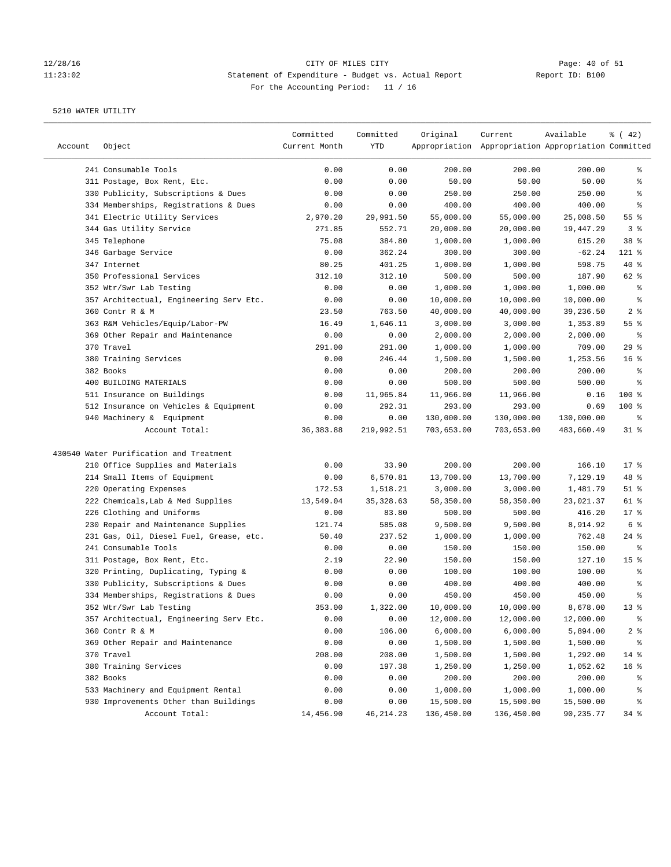# 12/28/16 Page: 40 of 51 11:23:02 Statement of Expenditure - Budget vs. Actual Report Report ID: B100 For the Accounting Period: 11 / 16

| Account | Object                                                              | Committed<br>Current Month | Committed<br>YTD   | Original                 | Current<br>Appropriation Appropriation Appropriation Committed | Available                | $\frac{1}{6}$ ( 42) |
|---------|---------------------------------------------------------------------|----------------------------|--------------------|--------------------------|----------------------------------------------------------------|--------------------------|---------------------|
|         | 241 Consumable Tools                                                | 0.00                       | 0.00               | 200.00                   | 200.00                                                         | 200.00                   | နွ                  |
|         | 311 Postage, Box Rent, Etc.                                         | 0.00                       | 0.00               | 50.00                    | 50.00                                                          | 50.00                    | ి                   |
|         | 330 Publicity, Subscriptions & Dues                                 | 0.00                       | 0.00               | 250.00                   | 250.00                                                         | 250.00                   | နွ                  |
|         | 334 Memberships, Registrations & Dues                               | 0.00                       | 0.00               | 400.00                   | 400.00                                                         | 400.00                   | ್ಠಿ                 |
|         | 341 Electric Utility Services                                       | 2,970.20                   | 29,991.50          | 55,000.00                | 55,000.00                                                      | 25,008.50                | 55%                 |
|         | 344 Gas Utility Service                                             | 271.85                     | 552.71             | 20,000.00                | 20,000.00                                                      | 19,447.29                | 3 <sup>°</sup>      |
|         | 345 Telephone                                                       | 75.08                      | 384.80             | 1,000.00                 | 1,000.00                                                       | 615.20                   | 38 <sup>8</sup>     |
|         | 346 Garbage Service                                                 | 0.00                       | 362.24             | 300.00                   | 300.00                                                         | $-62.24$                 | 121 %               |
|         | 347 Internet                                                        | 80.25                      | 401.25             | 1,000.00                 | 1,000.00                                                       | 598.75                   | $40*$               |
|         | 350 Professional Services                                           | 312.10                     | 312.10             | 500.00                   | 500.00                                                         | 187.90                   | 62 %                |
|         | 352 Wtr/Swr Lab Testing                                             | 0.00                       | 0.00               | 1,000.00                 | 1,000.00                                                       | 1,000.00                 | နွ                  |
|         | 357 Architectual, Engineering Serv Etc.                             | 0.00                       | 0.00               | 10,000.00                | 10,000.00                                                      | 10,000.00                | နွ                  |
|         | 360 Contr R & M                                                     | 23.50                      | 763.50             |                          |                                                                | 39,236.50                | 2 <sub>8</sub>      |
|         |                                                                     |                            |                    | 40,000.00                | 40,000.00                                                      |                          | 55%                 |
|         | 363 R&M Vehicles/Equip/Labor-PW<br>369 Other Repair and Maintenance | 16.49<br>0.00              | 1,646.11<br>0.00   | 3,000.00<br>2,000.00     | 3,000.00                                                       | 1,353.89<br>2,000.00     | ್ಠಿ                 |
|         | 370 Travel                                                          |                            |                    | 1,000.00                 | 2,000.00                                                       | 709.00                   | 29%                 |
|         |                                                                     | 291.00                     | 291.00             |                          | 1,000.00                                                       |                          |                     |
|         | 380 Training Services                                               | 0.00                       | 246.44             | 1,500.00                 | 1,500.00                                                       | 1,253.56                 | 16 <sup>°</sup>     |
|         | 382 Books                                                           | 0.00                       | 0.00               | 200.00                   | 200.00                                                         | 200.00                   | နွ                  |
|         | 400 BUILDING MATERIALS                                              | 0.00                       | 0.00               | 500.00<br>11,966.00      | 500.00                                                         | 500.00                   | ್ಠಿ                 |
|         | 511 Insurance on Buildings                                          | 0.00                       | 11,965.84          |                          | 11,966.00                                                      | 0.16                     | 100 %               |
|         | 512 Insurance on Vehicles & Equipment                               | 0.00                       | 292.31             | 293.00                   | 293.00                                                         | 0.69                     | $100$ %             |
|         | 940 Machinery & Equipment<br>Account Total:                         | 0.00<br>36, 383.88         | 0.00<br>219,992.51 | 130,000.00<br>703,653.00 | 130,000.00<br>703,653.00                                       | 130,000.00<br>483,660.49 | နွ<br>$31$ %        |
|         |                                                                     |                            |                    |                          |                                                                |                          |                     |
|         | 430540 Water Purification and Treatment                             |                            |                    |                          |                                                                |                          |                     |
|         | 210 Office Supplies and Materials                                   | 0.00                       | 33.90              | 200.00                   | 200.00                                                         | 166.10                   | $17*$               |
|         | 214 Small Items of Equipment                                        | 0.00                       | 6,570.81           | 13,700.00                | 13,700.00                                                      | 7,129.19                 | 48 %                |
|         | 220 Operating Expenses                                              | 172.53                     | 1,518.21           | 3,000.00                 | 3,000.00                                                       | 1,481.79                 | $51$ %              |
|         | 222 Chemicals, Lab & Med Supplies                                   | 13,549.04                  | 35, 328.63         | 58,350.00                | 58,350.00                                                      | 23,021.37                | 61 %                |
|         | 226 Clothing and Uniforms                                           | 0.00                       | 83.80              | 500.00                   | 500.00                                                         | 416.20                   | $17$ %              |
|         | 230 Repair and Maintenance Supplies                                 | 121.74                     | 585.08             | 9,500.00                 | 9,500.00                                                       | 8,914.92                 | 6 <sup>°</sup>      |
|         | 231 Gas, Oil, Diesel Fuel, Grease, etc.                             | 50.40                      | 237.52             | 1,000.00                 | 1,000.00                                                       | 762.48                   | $24$ %              |
|         | 241 Consumable Tools                                                | 0.00                       | 0.00               | 150.00                   | 150.00                                                         | 150.00                   | နွ                  |
|         | 311 Postage, Box Rent, Etc.                                         | 2.19                       | 22.90              | 150.00                   | 150.00                                                         | 127.10                   | 15 <sup>°</sup>     |
|         | 320 Printing, Duplicating, Typing &                                 | 0.00                       | 0.00               | 100.00                   | 100.00                                                         | 100.00                   | ್ಠಿ                 |
|         | 330 Publicity, Subscriptions & Dues                                 | 0.00                       | 0.00               | 400.00                   | 400.00                                                         | 400.00                   | ್ಠಿ                 |
|         | 334 Memberships, Registrations & Dues                               | 0.00                       | 0.00               | 450.00                   | 450.00                                                         | 450.00                   | ್ಠಿ                 |
|         | 352 Wtr/Swr Lab Testing                                             | 353.00                     | 1,322.00           | 10,000.00                | 10,000.00                                                      | 8,678.00                 | $13*$               |
|         | 357 Architectual, Engineering Serv Etc.                             | 0.00                       | 0.00               | 12,000.00                | 12,000.00                                                      | 12,000.00                | ိစ                  |
|         | 360 Contr R & M                                                     | 0.00                       | 106.00             | 6,000.00                 | 6,000.00                                                       | 5,894.00                 | $2$ $\approx$       |
|         | 369 Other Repair and Maintenance                                    | 0.00                       | 0.00               | 1,500.00                 | 1,500.00                                                       | 1,500.00                 | ိင                  |
|         | 370 Travel                                                          | 208.00                     | 208.00             | 1,500.00                 | 1,500.00                                                       | 1,292.00                 | 14 %                |
|         | 380 Training Services                                               | 0.00                       | 197.38             | 1,250.00                 | 1,250.00                                                       | 1,052.62                 | 16 <sup>°</sup>     |
|         | 382 Books                                                           | 0.00                       | 0.00               | 200.00                   | 200.00                                                         | 200.00                   | ိစ                  |
|         | 533 Machinery and Equipment Rental                                  | 0.00                       | 0.00               | 1,000.00                 | 1,000.00                                                       | 1,000.00                 | ိစ                  |
|         | 930 Improvements Other than Buildings                               | 0.00                       | 0.00               | 15,500.00                | 15,500.00                                                      | 15,500.00                | ိစ                  |
|         | Account Total:                                                      | 14,456.90                  | 46, 214. 23        | 136,450.00               | 136,450.00                                                     | 90,235.77                | 34 %                |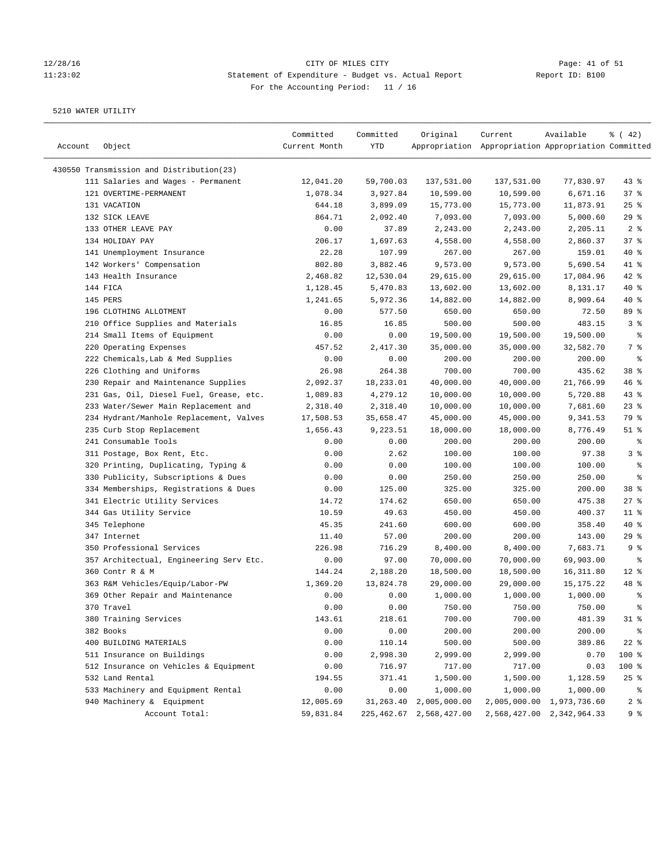### 12/28/16 CITY OF MILES CITY Page: 41 of 51 11:23:02 Statement of Expenditure - Budget vs. Actual Report Report ID: B100 For the Accounting Period: 11 / 16

| Account | Object                                                                          | Committed<br>Current Month | Committed<br>YTD      | Original                   | Current<br>Appropriation Appropriation Appropriation Committed | Available                 | $\frac{1}{6}$ ( 42)     |
|---------|---------------------------------------------------------------------------------|----------------------------|-----------------------|----------------------------|----------------------------------------------------------------|---------------------------|-------------------------|
|         | 430550 Transmission and Distribution(23)                                        |                            |                       |                            |                                                                |                           |                         |
|         | 111 Salaries and Wages - Permanent                                              | 12,041.20                  | 59,700.03             | 137,531.00                 | 137,531.00                                                     | 77,830.97                 | $43$ %                  |
|         | 121 OVERTIME-PERMANENT                                                          | 1,078.34                   | 3,927.84              | 10,599.00                  | 10,599.00                                                      | 6,671.16                  | 37%                     |
|         | 131 VACATION                                                                    | 644.18                     | 3,899.09              | 15,773.00                  | 15,773.00                                                      | 11,873.91                 | 25%                     |
|         | 132 SICK LEAVE                                                                  | 864.71                     | 2,092.40              | 7,093.00                   | 7,093.00                                                       | 5,000.60                  | 29%                     |
|         | 133 OTHER LEAVE PAY                                                             | 0.00                       | 37.89                 | 2,243.00                   | 2,243.00                                                       | 2,205.11                  | 2 <sup>°</sup>          |
|         | 134 HOLIDAY PAY                                                                 | 206.17                     | 1,697.63              | 4,558.00                   | 4,558.00                                                       | 2,860.37                  | 37%                     |
|         | 141 Unemployment Insurance                                                      | 22.28                      | 107.99                | 267.00                     | 267.00                                                         | 159.01                    | $40*$                   |
|         | 142 Workers' Compensation                                                       | 802.80                     | 3,882.46              | 9,573.00                   | 9,573.00                                                       | 5,690.54                  | $41$ %                  |
|         | 143 Health Insurance                                                            | 2,468.82                   | 12,530.04             | 29,615.00                  | 29,615.00                                                      | 17,084.96                 | $42$ %                  |
|         | 144 FICA                                                                        | 1,128.45                   | 5,470.83              | 13,602.00                  | 13,602.00                                                      | 8,131.17                  | $40*$                   |
|         | 145 PERS                                                                        | 1,241.65                   | 5,972.36              | 14,882.00                  | 14,882.00                                                      | 8,909.64                  | $40*$                   |
|         | 196 CLOTHING ALLOTMENT                                                          | 0.00                       | 577.50                | 650.00                     | 650.00                                                         | 72.50                     | 89 %                    |
|         | 210 Office Supplies and Materials                                               | 16.85                      | 16.85                 | 500.00                     | 500.00                                                         | 483.15                    | 3%                      |
|         | 214 Small Items of Equipment                                                    | 0.00                       | 0.00                  | 19,500.00                  | 19,500.00                                                      | 19,500.00                 | ್ಠಿ                     |
|         | 220 Operating Expenses                                                          | 457.52                     | 2,417.30              | 35,000.00                  | 35,000.00                                                      | 32,582.70                 | 7 %                     |
|         | 222 Chemicals, Lab & Med Supplies                                               | 0.00                       | 0.00                  | 200.00                     | 200.00                                                         | 200.00                    | ್ಠಿ                     |
|         |                                                                                 |                            |                       |                            |                                                                | 435.62                    |                         |
|         | 226 Clothing and Uniforms                                                       | 26.98<br>2,092.37          | 264.38                | 700.00                     | 700.00                                                         |                           | 38 <sup>8</sup><br>46 % |
|         | 230 Repair and Maintenance Supplies                                             |                            | 18,233.01<br>4,279.12 | 40,000.00                  | 40,000.00                                                      | 21,766.99                 |                         |
|         | 231 Gas, Oil, Diesel Fuel, Grease, etc.<br>233 Water/Sewer Main Replacement and | 1,089.83                   |                       | 10,000.00                  | 10,000.00<br>10,000.00                                         | 5,720.88                  | 43%<br>$23$ $%$         |
|         |                                                                                 | 2,318.40                   | 2,318.40              | 10,000.00                  |                                                                | 7,681.60                  |                         |
|         | 234 Hydrant/Manhole Replacement, Valves                                         | 17,508.53                  | 35,658.47             | 45,000.00                  | 45,000.00                                                      | 9,341.53                  | 79 %                    |
|         | 235 Curb Stop Replacement                                                       | 1,656.43                   | 9,223.51              | 18,000.00                  | 18,000.00                                                      | 8,776.49                  | $51$ %                  |
|         | 241 Consumable Tools                                                            | 0.00                       | 0.00                  | 200.00                     | 200.00                                                         | 200.00                    | နွ                      |
|         | 311 Postage, Box Rent, Etc.                                                     | 0.00                       | 2.62                  | 100.00                     | 100.00                                                         | 97.38                     | 3%                      |
|         | 320 Printing, Duplicating, Typing &                                             | 0.00                       | 0.00                  | 100.00                     | 100.00                                                         | 100.00                    | ್ಠಿ                     |
|         | 330 Publicity, Subscriptions & Dues                                             | 0.00                       | 0.00                  | 250.00                     | 250.00                                                         | 250.00                    | ి                       |
|         | 334 Memberships, Registrations & Dues                                           | 0.00                       | 125.00                | 325.00                     | 325.00                                                         | 200.00                    | 38 <sup>8</sup>         |
|         | 341 Electric Utility Services                                                   | 14.72                      | 174.62                | 650.00                     | 650.00                                                         | 475.38                    | 27%                     |
|         | 344 Gas Utility Service                                                         | 10.59                      | 49.63                 | 450.00                     | 450.00                                                         | 400.37                    | $11$ %                  |
|         | 345 Telephone                                                                   | 45.35                      | 241.60                | 600.00                     | 600.00                                                         | 358.40                    | $40*$                   |
|         | 347 Internet                                                                    | 11.40                      | 57.00                 | 200.00                     | 200.00                                                         | 143.00                    | 29%                     |
|         | 350 Professional Services                                                       | 226.98                     | 716.29                | 8,400.00                   | 8,400.00                                                       | 7,683.71                  | 9 %                     |
|         | 357 Architectual, Engineering Serv Etc.                                         | 0.00                       | 97.00                 | 70,000.00                  | 70,000.00                                                      | 69,903.00                 | ್ಠಿ                     |
|         | 360 Contr R & M                                                                 | 144.24                     | 2,188.20              | 18,500.00                  | 18,500.00                                                      | 16, 311.80                | $12$ %                  |
|         | 363 R&M Vehicles/Equip/Labor-PW                                                 | 1,369.20                   | 13,824.78             | 29,000.00                  | 29,000.00                                                      | 15, 175. 22               | 48 %                    |
|         | 369 Other Repair and Maintenance                                                | 0.00                       | 0.00                  | 1,000.00                   | 1,000.00                                                       | 1,000.00                  | ್ಠಿ                     |
|         | 370 Travel                                                                      | 0.00                       | 0.00                  | 750.00                     | 750.00                                                         | 750.00                    | ి                       |
|         | 380 Training Services                                                           | 143.61                     | 218.61                | 700.00                     | 700.00                                                         | 481.39                    | $31$ %                  |
|         | 382 Books                                                                       | 0.00                       | 0.00                  | 200.00                     | 200.00                                                         | 200.00                    | ್ಠಿ                     |
|         | 400 BUILDING MATERIALS                                                          | 0.00                       | 110.14                | 500.00                     | 500.00                                                         | 389.86                    | $22$ %                  |
|         | 511 Insurance on Buildings                                                      | 0.00                       | 2,998.30              | 2,999.00                   | 2,999.00                                                       | 0.70                      | 100 %                   |
|         | 512 Insurance on Vehicles & Equipment                                           | 0.00                       | 716.97                | 717.00                     | 717.00                                                         | 0.03                      | 100 %                   |
|         | 532 Land Rental                                                                 | 194.55                     | 371.41                | 1,500.00                   | 1,500.00                                                       | 1,128.59                  | $25$ %                  |
|         | 533 Machinery and Equipment Rental                                              | 0.00                       | 0.00                  | 1,000.00                   | 1,000.00                                                       | 1,000.00                  | ွေ                      |
|         | 940 Machinery & Equipment                                                       | 12,005.69                  | 31,263.40             | 2,005,000.00               | 2,005,000.00                                                   | 1,973,736.60              | 2 <sub>8</sub>          |
|         | Account Total:                                                                  | 59,831.84                  |                       | 225, 462.67 2, 568, 427.00 |                                                                | 2,568,427.00 2,342,964.33 | 9%                      |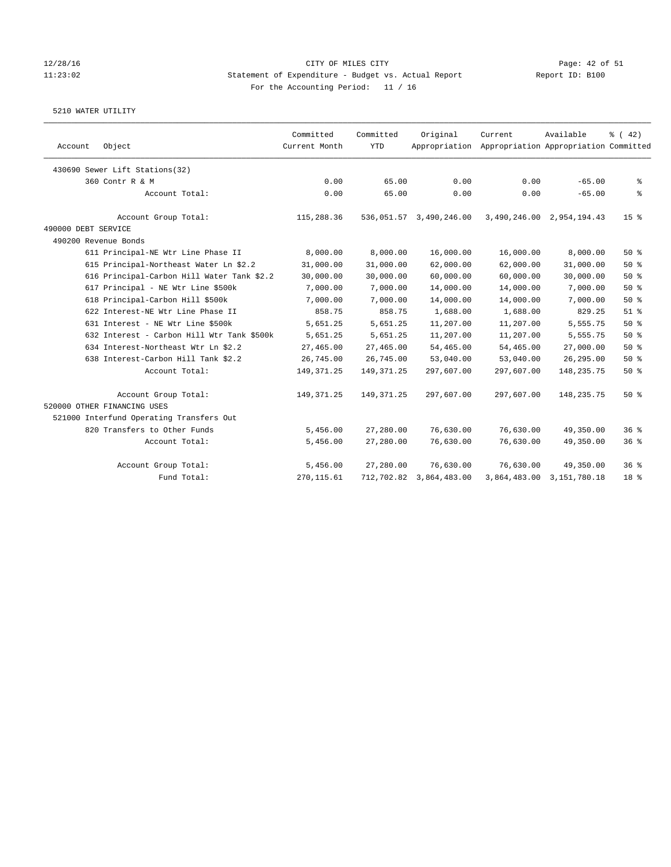### 12/28/16 CITY OF MILES CITY Page: 42 of 51 11:23:02 Statement of Expenditure - Budget vs. Actual Report Report ID: B100 For the Accounting Period: 11 / 16

| Account             | Object                                     | Committed<br>Current Month | Committed<br>YTD | Original                | Current<br>Appropriation Appropriation Appropriation Committed | Available                 | $\frac{1}{6}$ ( 42) |
|---------------------|--------------------------------------------|----------------------------|------------------|-------------------------|----------------------------------------------------------------|---------------------------|---------------------|
|                     | 430690 Sewer Lift Stations(32)             |                            |                  |                         |                                                                |                           |                     |
|                     | 360 Contr R & M                            | 0.00                       | 65.00            | 0.00                    | 0.00                                                           | $-65.00$                  | နွ                  |
|                     | Account Total:                             | 0.00                       | 65.00            | 0.00                    | 0.00                                                           | $-65.00$                  | る                   |
|                     | Account Group Total:                       | 115,288.36                 |                  | 536,051.57 3,490,246.00 |                                                                | 3,490,246.00 2,954,194.43 | 15 <sup>8</sup>     |
| 490000 DEBT SERVICE |                                            |                            |                  |                         |                                                                |                           |                     |
|                     | 490200 Revenue Bonds                       |                            |                  |                         |                                                                |                           |                     |
|                     | 611 Principal-NE Wtr Line Phase II         | 8,000.00                   | 8,000.00         | 16,000.00               | 16,000.00                                                      | 8,000.00                  | 50%                 |
|                     | 615 Principal-Northeast Water Ln \$2.2     | 31,000.00                  | 31,000.00        | 62,000.00               | 62,000.00                                                      | 31,000.00                 | 50%                 |
|                     | 616 Principal-Carbon Hill Water Tank \$2.2 | 30,000.00                  | 30,000.00        | 60,000.00               | 60,000.00                                                      | 30,000.00                 | 50%                 |
|                     | 617 Principal - NE Wtr Line \$500k         | 7,000.00                   | 7,000.00         | 14,000.00               | 14,000.00                                                      | 7,000.00                  | 50%                 |
|                     | 618 Principal-Carbon Hill \$500k           | 7,000.00                   | 7,000.00         | 14,000.00               | 14,000.00                                                      | 7,000.00                  | 50%                 |
|                     | 622 Interest-NE Wtr Line Phase II          | 858.75                     | 858.75           | 1,688.00                | 1,688.00                                                       | 829.25                    | $51$ $%$            |
|                     | 631 Interest - NE Wtr Line \$500k          | 5,651.25                   | 5,651.25         | 11,207.00               | 11,207.00                                                      | 5,555.75                  | 50%                 |
|                     | 632 Interest - Carbon Hill Wtr Tank \$500k | 5,651.25                   | 5,651.25         | 11,207.00               | 11,207.00                                                      | 5,555.75                  | 50%                 |
|                     | 634 Interest-Northeast Wtr Ln \$2.2        | 27,465.00                  | 27,465.00        | 54,465.00               | 54,465.00                                                      | 27,000.00                 | 50%                 |
|                     | 638 Interest-Carbon Hill Tank \$2.2        | 26,745.00                  | 26,745.00        | 53,040.00               | 53,040.00                                                      | 26,295.00                 | 50%                 |
|                     | Account Total:                             | 149, 371.25                | 149, 371.25      | 297,607.00              | 297,607.00                                                     | 148,235.75                | 50%                 |
|                     | Account Group Total:                       | 149, 371.25                | 149, 371.25      | 297,607.00              | 297,607.00                                                     | 148,235.75                | 50%                 |
|                     | 520000 OTHER FINANCING USES                |                            |                  |                         |                                                                |                           |                     |
|                     | 521000 Interfund Operating Transfers Out   |                            |                  |                         |                                                                |                           |                     |
|                     | 820 Transfers to Other Funds               | 5,456.00                   | 27,280.00        | 76,630.00               | 76,630.00                                                      | 49,350.00                 | 36%                 |
|                     | Account Total:                             | 5,456.00                   | 27,280.00        | 76,630.00               | 76,630.00                                                      | 49,350.00                 | 36%                 |
|                     | Account Group Total:                       | 5,456.00                   | 27,280.00        | 76,630.00               | 76,630.00                                                      | 49,350.00                 | 36%                 |
|                     | Fund Total:                                | 270, 115.61                | 712,702.82       | 3,864,483.00            | 3,864,483.00                                                   | 3,151,780.18              | 18 <sup>8</sup>     |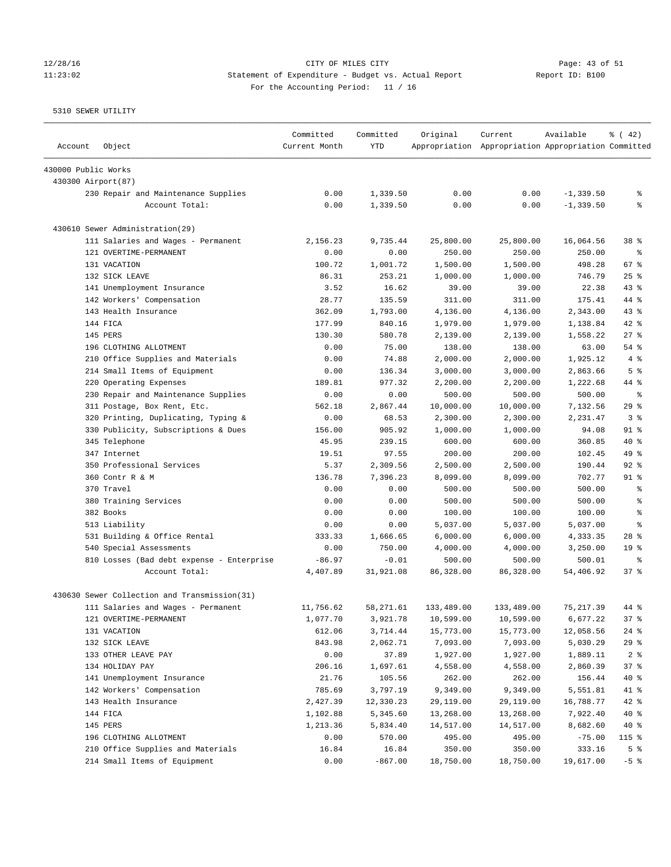# 12/28/16 Page: 43 of 51 11:23:02 Statement of Expenditure - Budget vs. Actual Report Report ID: B100 For the Accounting Period: 11 / 16

| Account             | Object                                       | Committed<br>Current Month | Committed<br><b>YTD</b> | Original   | Current<br>Appropriation Appropriation Appropriation Committed | Available    | $\frac{1}{6}$ ( 42) |
|---------------------|----------------------------------------------|----------------------------|-------------------------|------------|----------------------------------------------------------------|--------------|---------------------|
| 430000 Public Works |                                              |                            |                         |            |                                                                |              |                     |
|                     | 430300 Airport(87)                           |                            |                         |            |                                                                |              |                     |
|                     | 230 Repair and Maintenance Supplies          | 0.00                       | 1,339.50                | 0.00       | 0.00                                                           | $-1, 339.50$ | g,                  |
|                     | Account Total:                               | 0.00                       | 1,339.50                | 0.00       | 0.00                                                           | $-1, 339.50$ | g                   |
|                     | 430610 Sewer Administration(29)              |                            |                         |            |                                                                |              |                     |
|                     | 111 Salaries and Wages - Permanent           | 2,156.23                   | 9,735.44                | 25,800.00  | 25,800.00                                                      | 16,064.56    | 38 %                |
|                     | 121 OVERTIME-PERMANENT                       | 0.00                       | 0.00                    | 250.00     | 250.00                                                         | 250.00       | နွ                  |
|                     | 131 VACATION                                 | 100.72                     | 1,001.72                | 1,500.00   | 1,500.00                                                       | 498.28       | 67 %                |
|                     | 132 SICK LEAVE                               | 86.31                      | 253.21                  | 1,000.00   | 1,000.00                                                       | 746.79       | 25%                 |
|                     | 141 Unemployment Insurance                   | 3.52                       | 16.62                   | 39.00      | 39.00                                                          | 22.38        | $43$ %              |
|                     | 142 Workers' Compensation                    | 28.77                      | 135.59                  | 311.00     | 311.00                                                         | 175.41       | 44 %                |
|                     | 143 Health Insurance                         | 362.09                     | 1,793.00                | 4,136.00   | 4,136.00                                                       | 2,343.00     | 43%                 |
|                     | 144 FICA                                     | 177.99                     | 840.16                  | 1,979.00   | 1,979.00                                                       | 1,138.84     | 42 %                |
|                     | 145 PERS                                     | 130.30                     | 580.78                  | 2,139.00   | 2,139.00                                                       | 1,558.22     | 27%                 |
|                     | 196 CLOTHING ALLOTMENT                       | 0.00                       | 75.00                   | 138.00     | 138.00                                                         | 63.00        | $54$ $%$            |
|                     | 210 Office Supplies and Materials            | 0.00                       | 74.88                   | 2,000.00   | 2,000.00                                                       | 1,925.12     | 4%                  |
|                     | 214 Small Items of Equipment                 | 0.00                       | 136.34                  | 3,000.00   | 3,000.00                                                       | 2,863.66     | 5 <sup>8</sup>      |
|                     | 220 Operating Expenses                       | 189.81                     | 977.32                  | 2,200.00   | 2,200.00                                                       | 1,222.68     | 44 %                |
|                     | 230 Repair and Maintenance Supplies          | 0.00                       | 0.00                    | 500.00     | 500.00                                                         | 500.00       | $\epsilon$          |
|                     | 311 Postage, Box Rent, Etc.                  | 562.18                     | 2,867.44                | 10,000.00  | 10,000.00                                                      | 7,132.56     | 29%                 |
|                     | 320 Printing, Duplicating, Typing &          | 0.00                       | 68.53                   | 2,300.00   | 2,300.00                                                       | 2,231.47     | 3%                  |
|                     | 330 Publicity, Subscriptions & Dues          | 156.00                     | 905.92                  | 1,000.00   | 1,000.00                                                       | 94.08        | $91$ %              |
|                     | 345 Telephone                                | 45.95                      | 239.15                  | 600.00     | 600.00                                                         | 360.85       | $40*$               |
|                     | 347 Internet                                 | 19.51                      | 97.55                   | 200.00     | 200.00                                                         | 102.45       | 49 %                |
|                     | 350 Professional Services                    | 5.37                       | 2,309.56                | 2,500.00   | 2,500.00                                                       | 190.44       | $92$ %              |
|                     | 360 Contr R & M                              | 136.78                     | 7,396.23                | 8,099.00   | 8,099.00                                                       | 702.77       | $91$ %              |
|                     | 370 Travel                                   | 0.00                       | 0.00                    | 500.00     | 500.00                                                         | 500.00       | g,                  |
|                     | 380 Training Services                        | 0.00                       | 0.00                    | 500.00     | 500.00                                                         | 500.00       | $\epsilon$          |
|                     | 382 Books                                    | 0.00                       | 0.00                    | 100.00     | 100.00                                                         | 100.00       | $\epsilon$          |
|                     | 513 Liability                                | 0.00                       | 0.00                    | 5,037.00   | 5,037.00                                                       | 5,037.00     | နွ                  |
|                     | 531 Building & Office Rental                 | 333.33                     | 1,666.65                | 6,000.00   | 6,000.00                                                       | 4,333.35     | $28$ %              |
|                     | 540 Special Assessments                      | 0.00                       | 750.00                  | 4,000.00   | 4,000.00                                                       | 3,250.00     | 19 <sup>°</sup>     |
|                     | 810 Losses (Bad debt expense - Enterprise    | $-86.97$                   | $-0.01$                 | 500.00     | 500.00                                                         | 500.01       | ి                   |
|                     | Account Total:                               | 4,407.89                   | 31,921.08               | 86,328.00  | 86,328.00                                                      | 54,406.92    | 37%                 |
|                     | 430630 Sewer Collection and Transmission(31) |                            |                         |            |                                                                |              |                     |
|                     | 111 Salaries and Wages - Permanent           | 11,756.62                  | 58, 271.61              | 133,489.00 | 133,489.00                                                     | 75, 217, 39  | 44 %                |
|                     | 121 OVERTIME-PERMANENT                       | 1,077.70                   | 3,921.78                | 10,599.00  | 10,599.00                                                      | 6,677.22     | 37%                 |
|                     | 131 VACATION                                 | 612.06                     | 3,714.44                | 15,773.00  | 15,773.00                                                      | 12,058.56    | $24$ %              |
|                     | 132 SICK LEAVE                               | 843.98                     | 2,062.71                | 7,093.00   | 7,093.00                                                       | 5,030.29     | 29%                 |
|                     | 133 OTHER LEAVE PAY                          | 0.00                       | 37.89                   | 1,927.00   | 1,927.00                                                       | 1,889.11     | 2 <sup>8</sup>      |
|                     | 134 HOLIDAY PAY                              | 206.16                     | 1,697.61                | 4,558.00   | 4,558.00                                                       | 2,860.39     | 37%                 |
|                     | 141 Unemployment Insurance                   | 21.76                      | 105.56                  | 262.00     | 262.00                                                         | 156.44       | 40 %                |
|                     | 142 Workers' Compensation                    | 785.69                     | 3,797.19                | 9,349.00   | 9,349.00                                                       | 5,551.81     | 41 %                |
|                     | 143 Health Insurance                         | 2,427.39                   | 12,330.23               | 29,119.00  | 29,119.00                                                      | 16,788.77    | 42 %                |
|                     | 144 FICA                                     | 1,102.88                   | 5,345.60                | 13,268.00  | 13,268.00                                                      | 7,922.40     | 40 %                |
|                     | 145 PERS                                     | 1,213.36                   | 5,834.40                | 14,517.00  | 14,517.00                                                      | 8,682.60     | 40 %                |
|                     | 196 CLOTHING ALLOTMENT                       | 0.00                       | 570.00                  | 495.00     | 495.00                                                         | $-75.00$     | 115 %               |
|                     | 210 Office Supplies and Materials            | 16.84                      | 16.84                   | 350.00     | 350.00                                                         | 333.16       | 5 <sup>°</sup>      |
|                     | 214 Small Items of Equipment                 | 0.00                       | $-867.00$               | 18,750.00  | 18,750.00                                                      | 19,617.00    | $-5$ %              |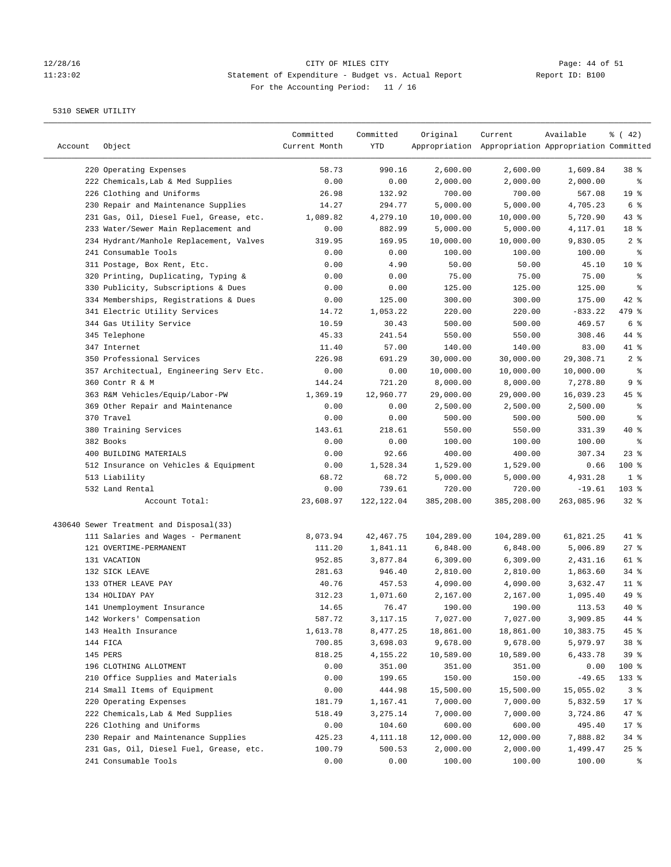# 12/28/16 Page: 44 of 51<br>
Statement of Expenditure - Budget vs. Actual Report Report ID: B100 11:23:02 Statement of Expenditure - Budget vs. Actual Report Report ID: B100 For the Accounting Period: 11 / 16

| Account | Object                                  | Committed<br>Current Month | Committed<br>YTD | Original   | Current<br>Appropriation Appropriation Appropriation Committed | Available  | $\frac{1}{6}$ ( 42) |
|---------|-----------------------------------------|----------------------------|------------------|------------|----------------------------------------------------------------|------------|---------------------|
|         | 220 Operating Expenses                  | 58.73                      | 990.16           | 2,600.00   | 2,600.00                                                       | 1,609.84   | 38 %                |
|         | 222 Chemicals, Lab & Med Supplies       | 0.00                       | 0.00             | 2,000.00   | 2,000.00                                                       | 2,000.00   | ႜ                   |
|         | 226 Clothing and Uniforms               | 26.98                      | 132.92           | 700.00     | 700.00                                                         | 567.08     | 19 <sup>°</sup>     |
|         | 230 Repair and Maintenance Supplies     | 14.27                      | 294.77           | 5,000.00   | 5,000.00                                                       | 4,705.23   | 6 %                 |
|         | 231 Gas, Oil, Diesel Fuel, Grease, etc. | 1,089.82                   | 4,279.10         | 10,000.00  | 10,000.00                                                      | 5,720.90   | $43$ %              |
|         | 233 Water/Sewer Main Replacement and    | 0.00                       | 882.99           | 5,000.00   | 5,000.00                                                       | 4,117.01   | 18 %                |
|         | 234 Hydrant/Manhole Replacement, Valves | 319.95                     | 169.95           | 10,000.00  | 10,000.00                                                      | 9,830.05   | 2 <sup>°</sup>      |
|         | 241 Consumable Tools                    | 0.00                       | 0.00             | 100.00     | 100.00                                                         | 100.00     | နွ                  |
|         | 311 Postage, Box Rent, Etc.             | 0.00                       | 4.90             | 50.00      | 50.00                                                          | 45.10      | $10*$               |
|         | 320 Printing, Duplicating, Typing &     | 0.00                       | 0.00             | 75.00      | 75.00                                                          | 75.00      | န့                  |
|         | 330 Publicity, Subscriptions & Dues     | 0.00                       | 0.00             | 125.00     | 125.00                                                         | 125.00     | န့                  |
|         | 334 Memberships, Registrations & Dues   | 0.00                       | 125.00           | 300.00     | 300.00                                                         | 175.00     | $42$ %              |
|         | 341 Electric Utility Services           | 14.72                      | 1,053.22         | 220.00     | 220.00                                                         | $-833.22$  | 479 %               |
|         | 344 Gas Utility Service                 | 10.59                      | 30.43            | 500.00     | 500.00                                                         | 469.57     | 6 %                 |
|         | 345 Telephone                           | 45.33                      | 241.54           | 550.00     | 550.00                                                         | 308.46     | 44 %                |
|         | 347 Internet                            | 11.40                      | 57.00            | 140.00     | 140.00                                                         | 83.00      | 41 %                |
|         | 350 Professional Services               | 226.98                     | 691.29           | 30,000.00  | 30,000.00                                                      | 29,308.71  | 2 <sup>°</sup>      |
|         | 357 Architectual, Engineering Serv Etc. | 0.00                       | 0.00             | 10,000.00  | 10,000.00                                                      | 10,000.00  | န့                  |
|         | 360 Contr R & M                         | 144.24                     | 721.20           | 8,000.00   | 8,000.00                                                       | 7,278.80   | 9%                  |
|         | 363 R&M Vehicles/Equip/Labor-PW         | 1,369.19                   | 12,960.77        | 29,000.00  | 29,000.00                                                      | 16,039.23  | $45$ %              |
|         | 369 Other Repair and Maintenance        | 0.00                       | 0.00             | 2,500.00   | 2,500.00                                                       | 2,500.00   | နွ                  |
|         | 370 Travel                              | 0.00                       | 0.00             | 500.00     | 500.00                                                         | 500.00     | န့                  |
|         | 380 Training Services                   | 143.61                     | 218.61           | 550.00     | 550.00                                                         | 331.39     | $40*$               |
|         | 382 Books                               | 0.00                       | 0.00             | 100.00     | 100.00                                                         | 100.00     | နွ                  |
|         | 400 BUILDING MATERIALS                  | 0.00                       | 92.66            | 400.00     | 400.00                                                         | 307.34     | $23$ %              |
|         | 512 Insurance on Vehicles & Equipment   | 0.00                       | 1,528.34         | 1,529.00   | 1,529.00                                                       | 0.66       | 100 %               |
|         | 513 Liability                           | 68.72                      | 68.72            | 5,000.00   | 5,000.00                                                       | 4,931.28   | 1 <sup>8</sup>      |
|         | 532 Land Rental                         | 0.00                       | 739.61           | 720.00     | 720.00                                                         | $-19.61$   | 103 %               |
|         | Account Total:                          | 23,608.97                  | 122, 122.04      | 385,208.00 | 385,208.00                                                     | 263,085.96 | $32$ $%$            |
|         |                                         |                            |                  |            |                                                                |            |                     |
|         | 430640 Sewer Treatment and Disposal(33) |                            |                  |            |                                                                |            |                     |
|         | 111 Salaries and Wages - Permanent      | 8,073.94                   | 42,467.75        | 104,289.00 | 104,289.00                                                     | 61,821.25  | 41 %                |
|         | 121 OVERTIME-PERMANENT                  | 111.20                     | 1,841.11         | 6,848.00   | 6,848.00                                                       | 5,006.89   | $27$ %              |
|         | 131 VACATION                            | 952.85                     | 3,877.84         | 6,309.00   | 6,309.00                                                       | 2,431.16   | 61 %                |
|         | 132 SICK LEAVE                          | 281.63                     | 946.40           | 2,810.00   | 2,810.00                                                       | 1,863.60   | 34%                 |
|         | 133 OTHER LEAVE PAY                     | 40.76                      | 457.53           | 4,090.00   | 4,090.00                                                       | 3,632.47   | $11$ %              |
|         | 134 HOLIDAY PAY                         | 312.23                     | 1,071.60         | 2,167.00   | 2,167.00                                                       | 1,095.40   | 49 %                |
|         | 141 Unemployment Insurance              | 14.65                      | 76.47            | 190.00     | 190.00                                                         | 113.53     | $40*$               |
|         | 142 Workers' Compensation               | 587.72                     | 3,117.15         | 7,027.00   | 7,027.00                                                       | 3,909.85   | 44 %                |
|         | 143 Health Insurance                    | 1,613.78                   | 8,477.25         | 18,861.00  | 18,861.00                                                      | 10,383.75  | 45 %                |
|         | 144 FICA                                | 700.85                     | 3,698.03         | 9,678.00   | 9,678.00                                                       | 5,979.97   | $38*$               |
|         | 145 PERS                                | 818.25                     | 4,155.22         | 10,589.00  | 10,589.00                                                      | 6,433.78   | 39 %                |
|         | 196 CLOTHING ALLOTMENT                  | 0.00                       | 351.00           | 351.00     | 351.00                                                         | 0.00       | 100 %               |
|         | 210 Office Supplies and Materials       | 0.00                       | 199.65           | 150.00     | 150.00                                                         | $-49.65$   | 133 %               |
|         | 214 Small Items of Equipment            | 0.00                       | 444.98           | 15,500.00  | 15,500.00                                                      | 15,055.02  | 3%                  |
|         | 220 Operating Expenses                  | 181.79                     | 1,167.41         | 7,000.00   | 7,000.00                                                       | 5,832.59   | $17$ %              |
|         | 222 Chemicals, Lab & Med Supplies       | 518.49                     | 3,275.14         | 7,000.00   | 7,000.00                                                       | 3,724.86   | 47 %                |
|         | 226 Clothing and Uniforms               | 0.00                       | 104.60           | 600.00     | 600.00                                                         | 495.40     | $17$ %              |
|         | 230 Repair and Maintenance Supplies     | 425.23                     | 4,111.18         | 12,000.00  | 12,000.00                                                      | 7,888.82   | 34%                 |
|         | 231 Gas, Oil, Diesel Fuel, Grease, etc. | 100.79                     | 500.53           | 2,000.00   | 2,000.00                                                       | 1,499.47   | 25%                 |
|         | 241 Consumable Tools                    | 0.00                       | 0.00             | 100.00     | 100.00                                                         | 100.00     | ႜၟ                  |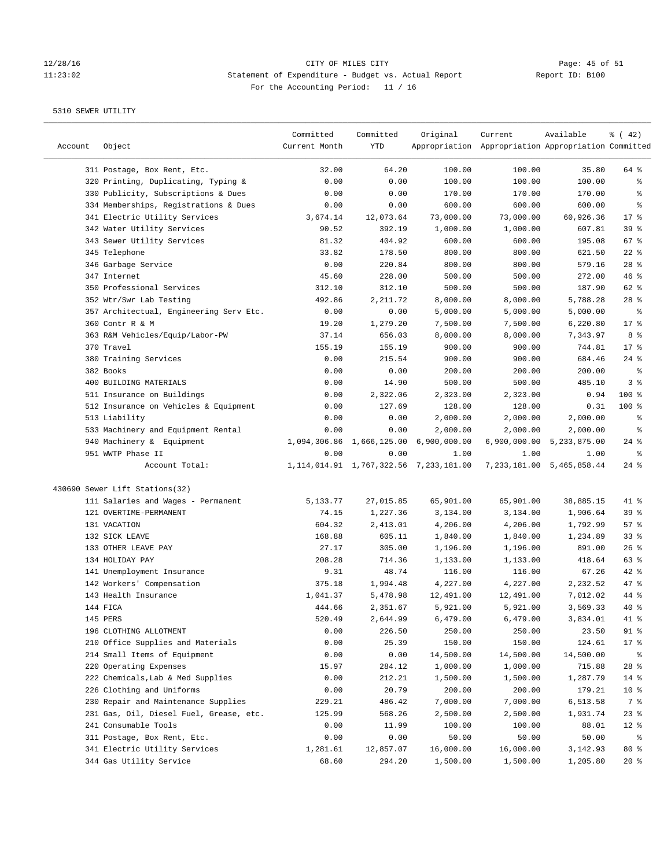# Page: 45 of 51<br>11:23:02 Statement of Expenditure - Budget vs. Actual Report Report ID: B100 11:23:02 Statement of Expenditure - Budget vs. Actual Report Report ID: B100 For the Accounting Period: 11 / 16

————————————————————————————————————————————————————————————————————————————————————————————————————————————————————————————————————

|         |                                         | Committed     | Committed    | Original                                     | Current                                             | Available                 | $\frac{1}{6}$ ( 42) |
|---------|-----------------------------------------|---------------|--------------|----------------------------------------------|-----------------------------------------------------|---------------------------|---------------------|
| Account | Object                                  | Current Month | YTD          |                                              | Appropriation Appropriation Appropriation Committed |                           |                     |
|         | 311 Postage, Box Rent, Etc.             | 32.00         | 64.20        | 100.00                                       | 100.00                                              | 35.80                     | 64 %                |
|         | 320 Printing, Duplicating, Typing &     | 0.00          | 0.00         | 100.00                                       | 100.00                                              | 100.00                    | ႜ                   |
|         | 330 Publicity, Subscriptions & Dues     | 0.00          | 0.00         | 170.00                                       | 170.00                                              | 170.00                    | နွ                  |
|         | 334 Memberships, Registrations & Dues   | 0.00          | 0.00         | 600.00                                       | 600.00                                              | 600.00                    | ್ಠಿ                 |
|         | 341 Electric Utility Services           | 3,674.14      | 12,073.64    | 73,000.00                                    | 73,000.00                                           | 60,926.36                 | $17$ %              |
|         | 342 Water Utility Services              | 90.52         | 392.19       | 1,000.00                                     | 1,000.00                                            | 607.81                    | 39 <sup>8</sup>     |
|         | 343 Sewer Utility Services              | 81.32         | 404.92       | 600.00                                       | 600.00                                              | 195.08                    | 67%                 |
|         | 345 Telephone                           | 33.82         | 178.50       | 800.00                                       | 800.00                                              | 621.50                    | $22$ %              |
|         | 346 Garbage Service                     | 0.00          | 220.84       | 800.00                                       | 800.00                                              | 579.16                    | $28$ %              |
|         | 347 Internet                            | 45.60         | 228.00       | 500.00                                       | 500.00                                              | 272.00                    | 46%                 |
|         | 350 Professional Services               | 312.10        | 312.10       | 500.00                                       | 500.00                                              | 187.90                    | 62 %                |
|         | 352 Wtr/Swr Lab Testing                 | 492.86        | 2,211.72     | 8,000.00                                     | 8,000.00                                            | 5,788.28                  | $28$ %              |
|         | 357 Architectual, Engineering Serv Etc. | 0.00          | 0.00         | 5,000.00                                     | 5,000.00                                            | 5,000.00                  | ಿ                   |
|         | 360 Contr R & M                         | 19.20         | 1,279.20     | 7,500.00                                     | 7,500.00                                            | 6,220.80                  | $17*$               |
|         | 363 R&M Vehicles/Equip/Labor-PW         | 37.14         | 656.03       | 8,000.00                                     | 8,000.00                                            | 7,343.97                  | 8 %                 |
|         | 370 Travel                              | 155.19        | 155.19       | 900.00                                       | 900.00                                              | 744.81                    | $17$ %              |
|         | 380 Training Services                   | 0.00          | 215.54       | 900.00                                       | 900.00                                              | 684.46                    | $24$ %              |
|         | 382 Books                               | 0.00          | 0.00         | 200.00                                       | 200.00                                              | 200.00                    | $\epsilon$          |
|         | 400 BUILDING MATERIALS                  | 0.00          | 14.90        | 500.00                                       | 500.00                                              | 485.10                    | 3 <sup>°</sup>      |
|         | 511 Insurance on Buildings              | 0.00          | 2,322.06     | 2,323.00                                     | 2,323.00                                            | 0.94                      | 100 %               |
|         | 512 Insurance on Vehicles & Equipment   | 0.00          | 127.69       | 128.00                                       | 128.00                                              | 0.31                      | $100$ %             |
|         | 513 Liability                           | 0.00          | 0.00         | 2,000.00                                     | 2,000.00                                            | 2,000.00                  | နွ                  |
|         | 533 Machinery and Equipment Rental      | 0.00          | 0.00         | 2,000.00                                     | 2,000.00                                            | 2,000.00                  | နွ                  |
|         | 940 Machinery & Equipment               | 1,094,306.86  | 1,666,125.00 | 6,900,000.00                                 |                                                     | 6,900,000.00 5,233,875.00 | $24$ %              |
|         | 951 WWTP Phase II                       | 0.00          | 0.00         | 1.00                                         | 1.00                                                | 1.00                      | နွ                  |
|         | Account Total:                          |               |              | 1, 114, 014.91 1, 767, 322.56 7, 233, 181.00 |                                                     | 7,233,181.00 5,465,858.44 | $24$ %              |
|         | 430690 Sewer Lift Stations(32)          |               |              |                                              |                                                     |                           |                     |
|         | 111 Salaries and Wages - Permanent      | 5,133.77      | 27,015.85    | 65,901.00                                    | 65,901.00                                           | 38,885.15                 | 41 %                |
|         | 121 OVERTIME-PERMANENT                  | 74.15         | 1,227.36     | 3,134.00                                     | 3,134.00                                            | 1,906.64                  | 39%                 |
|         | 131 VACATION                            | 604.32        | 2,413.01     | 4,206.00                                     | 4,206.00                                            | 1,792.99                  | 57%                 |
|         | 132 SICK LEAVE                          | 168.88        | 605.11       | 1,840.00                                     | 1,840.00                                            | 1,234.89                  | 33%                 |
|         | 133 OTHER LEAVE PAY                     | 27.17         | 305.00       | 1,196.00                                     | 1,196.00                                            | 891.00                    | $26$ %              |
|         | 134 HOLIDAY PAY                         | 208.28        | 714.36       | 1,133.00                                     | 1,133.00                                            | 418.64                    | 63%                 |
|         | 141 Unemployment Insurance              | 9.31          | 48.74        | 116.00                                       | 116.00                                              | 67.26                     | $42$ %              |
|         | 142 Workers' Compensation               | 375.18        | 1,994.48     | 4,227.00                                     | 4,227.00                                            | 2,232.52                  | 47 %                |
|         | 143 Health Insurance                    | 1,041.37      | 5,478.98     | 12,491.00                                    | 12,491.00                                           | 7,012.02                  | 44 %                |
|         | 144 FICA                                | 444.66        | 2,351.67     | 5,921.00                                     | 5,921.00                                            | 3,569.33                  | $40*$               |
|         | 145 PERS                                | 520.49        | 2,644.99     | 6,479.00                                     | 6,479.00                                            | 3,834.01                  | 41 %                |
|         | 196 CLOTHING ALLOTMENT                  | 0.00          | 226.50       | 250.00                                       | 250.00                                              | 23.50                     | $91$ %              |
|         | 210 Office Supplies and Materials       | 0.00          | 25.39        | 150.00                                       | 150.00                                              | 124.61                    | 17 <sub>8</sub>     |
|         | 214 Small Items of Equipment            | 0.00          | 0.00         | 14,500.00                                    | 14,500.00                                           | 14,500.00                 | ႜ                   |
|         | 220 Operating Expenses                  | 15.97         | 284.12       | 1,000.00                                     | 1,000.00                                            | 715.88                    | $28$ %              |
|         | 222 Chemicals, Lab & Med Supplies       | 0.00          | 212.21       | 1,500.00                                     | 1,500.00                                            | 1,287.79                  | $14$ %              |
|         | 226 Clothing and Uniforms               | 0.00          | 20.79        | 200.00                                       | 200.00                                              | 179.21                    | 10 <sup>°</sup>     |
|         | 230 Repair and Maintenance Supplies     | 229.21        | 486.42       | 7,000.00                                     | 7,000.00                                            | 6,513.58                  | 7 %                 |
|         | 231 Gas, Oil, Diesel Fuel, Grease, etc. | 125.99        | 568.26       | 2,500.00                                     | 2,500.00                                            | 1,931.74                  | $23$ $%$            |
|         | 241 Consumable Tools                    | 0.00          | 11.99        | 100.00                                       | 100.00                                              | 88.01                     | $12$ %              |
|         | 311 Postage, Box Rent, Etc.             | 0.00          | 0.00         | 50.00                                        | 50.00                                               | 50.00                     | ಿ                   |
|         | 341 Electric Utility Services           | 1,281.61      | 12,857.07    | 16,000.00                                    | 16,000.00                                           | 3,142.93                  | $80*$               |
|         | 344 Gas Utility Service                 | 68.60         | 294.20       | 1,500.00                                     | 1,500.00                                            | 1,205.80                  | $20*$               |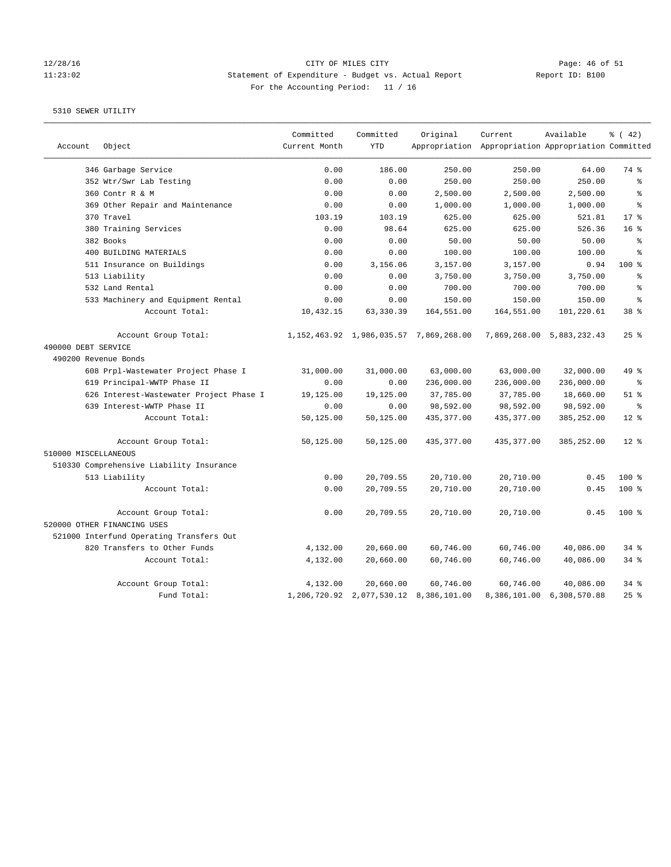### 12/28/16 CITY OF MILES CITY Page: 46 of 51 11:23:02 Statement of Expenditure - Budget vs. Actual Report Report ID: B100 For the Accounting Period: 11 / 16

|                      |                                          | Committed     | Committed  | Original                                     | Current                                             | Available                 | % (42)          |
|----------------------|------------------------------------------|---------------|------------|----------------------------------------------|-----------------------------------------------------|---------------------------|-----------------|
| Account              | Object                                   | Current Month | <b>YTD</b> |                                              | Appropriation Appropriation Appropriation Committed |                           |                 |
|                      | 346 Garbage Service                      | 0.00          | 186.00     | 250.00                                       | 250.00                                              | 64.00                     | 74 %            |
|                      | 352 Wtr/Swr Lab Testing                  | 0.00          | 0.00       | 250.00                                       | 250.00                                              | 250.00                    | ి               |
|                      | 360 Contr R & M                          | 0.00          | 0.00       | 2,500.00                                     | 2,500.00                                            | 2,500.00                  | $\approx$       |
|                      | 369 Other Repair and Maintenance         | 0.00          | 0.00       | 1,000.00                                     | 1,000.00                                            | 1,000.00                  | ٥Ŗ              |
|                      | 370 Travel                               | 103.19        | 103.19     | 625.00                                       | 625.00                                              | 521.81                    | $17*$           |
|                      | 380 Training Services                    | 0.00          | 98.64      | 625.00                                       | 625.00                                              | 526.36                    | 16 <sup>8</sup> |
|                      | 382 Books                                | 0.00          | 0.00       | 50.00                                        | 50.00                                               | 50.00                     | $\approx$       |
|                      | 400 BUILDING MATERIALS                   | 0.00          | 0.00       | 100.00                                       | 100.00                                              | 100.00                    | ÷.              |
|                      | 511 Insurance on Buildings               | 0.00          | 3,156.06   | 3,157.00                                     | 3,157.00                                            | 0.94                      | 100 %           |
|                      | 513 Liability                            | 0.00          | 0.00       | 3,750.00                                     | 3,750.00                                            | 3,750.00                  | န္              |
|                      | 532 Land Rental                          | 0.00          | 0.00       | 700.00                                       | 700.00                                              | 700.00                    | ٥Ŗ              |
|                      | 533 Machinery and Equipment Rental       | 0.00          | 0.00       | 150.00                                       | 150.00                                              | 150.00                    | 昙               |
|                      | Account Total:                           | 10,432.15     | 63, 330.39 | 164,551.00                                   | 164,551.00                                          | 101,220.61                | 38 <sup>8</sup> |
|                      | Account Group Total:                     |               |            | 1, 152, 463.92 1, 986, 035.57 7, 869, 268.00 |                                                     | 7,869,268.00 5,883,232.43 | 25%             |
| 490000 DEBT SERVICE  |                                          |               |            |                                              |                                                     |                           |                 |
|                      | 490200 Revenue Bonds                     |               |            |                                              |                                                     |                           |                 |
|                      | 608 Prpl-Wastewater Project Phase I      | 31,000.00     | 31,000.00  | 63,000.00                                    | 63,000.00                                           | 32,000.00                 | 49 %            |
|                      | 619 Principal-WWTP Phase II              | 0.00          | 0.00       | 236,000.00                                   | 236,000.00                                          | 236,000.00                | နွ              |
|                      | 626 Interest-Wastewater Project Phase I  | 19,125.00     | 19,125.00  | 37,785.00                                    | 37,785.00                                           | 18,660.00                 | $51$ %          |
|                      | 639 Interest-WWTP Phase II               | 0.00          | 0.00       | 98,592.00                                    | 98,592.00                                           | 98,592.00                 | $\epsilon$      |
|                      | Account Total:                           | 50,125.00     | 50,125.00  | 435, 377.00                                  | 435,377.00                                          | 385,252.00                | $12*$           |
| 510000 MISCELLANEOUS | Account Group Total:                     | 50,125.00     | 50,125.00  | 435, 377.00                                  | 435, 377.00                                         | 385,252.00                | $12*$           |
|                      | 510330 Comprehensive Liability Insurance |               |            |                                              |                                                     |                           |                 |
|                      | 513 Liability                            | 0.00          | 20,709.55  | 20,710.00                                    | 20,710.00                                           | 0.45                      | $100$ %         |
|                      | Account Total:                           | 0.00          | 20,709.55  | 20,710.00                                    | 20,710.00                                           | 0.45                      | $100*$          |
|                      | Account Group Total:                     | 0.00          | 20,709.55  | 20,710.00                                    | 20,710.00                                           | 0.45                      | 100 %           |
|                      | 520000 OTHER FINANCING USES              |               |            |                                              |                                                     |                           |                 |
|                      | 521000 Interfund Operating Transfers Out |               |            |                                              |                                                     |                           |                 |
|                      | 820 Transfers to Other Funds             | 4,132.00      | 20,660.00  | 60,746.00                                    | 60,746.00                                           | 40,086.00                 | 34.8            |
|                      | Account Total:                           | 4,132.00      | 20,660.00  | 60,746.00                                    | 60,746.00                                           | 40,086.00                 | $34$ $%$        |
|                      | Account Group Total:                     | 4,132.00      | 20,660.00  | 60,746.00                                    | 60,746.00                                           | 40,086.00                 | 34%             |
|                      | Fund Total:                              |               |            | 1,206,720.92 2,077,530.12 8,386,101.00       |                                                     | 8,386,101.00 6,308,570.88 | 25%             |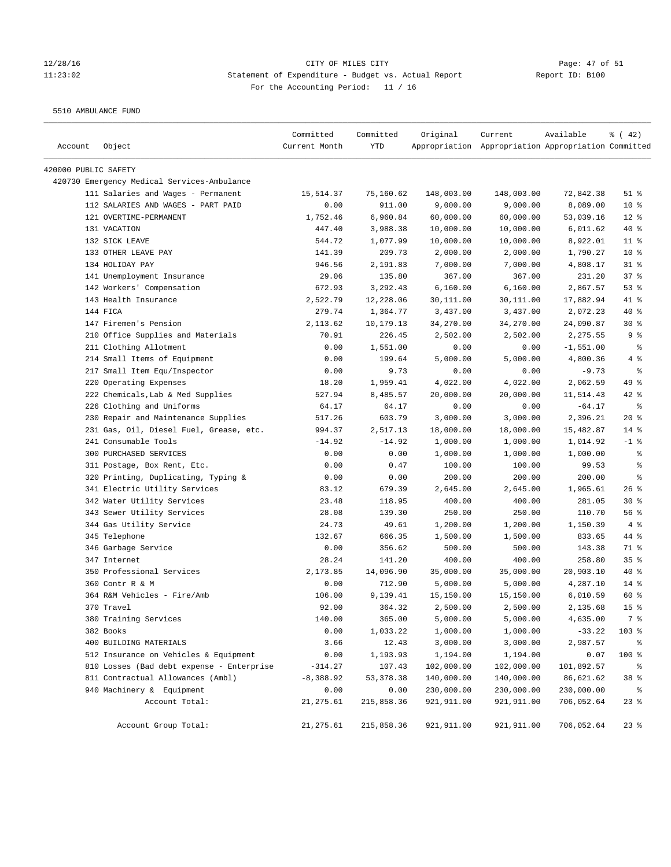# 12/28/16 CITY OF MILES CITY CONTRIBER CONSISTING Page: 47 of 51<br>11:23:02 Statement of Expenditure - Budget vs. Actual Report (Report ID: B100 11:23:02 Statement of Expenditure - Budget vs. Actual Report Report ID: B100 For the Accounting Period: 11 / 16

5510 AMBULANCE FUND

| Account              | Object                                                         | Committed<br>Current Month | Committed<br>YTD | Original             | Current<br>Appropriation Appropriation Appropriation Committed | Available         | $\frac{1}{6}$ ( 42) |
|----------------------|----------------------------------------------------------------|----------------------------|------------------|----------------------|----------------------------------------------------------------|-------------------|---------------------|
|                      |                                                                |                            |                  |                      |                                                                |                   |                     |
| 420000 PUBLIC SAFETY |                                                                |                            |                  |                      |                                                                |                   |                     |
|                      | 420730 Emergency Medical Services-Ambulance                    |                            |                  |                      |                                                                |                   |                     |
|                      | 111 Salaries and Wages - Permanent                             | 15,514.37                  | 75,160.62        | 148,003.00           | 148,003.00                                                     | 72,842.38         | $51$ %              |
|                      | 112 SALARIES AND WAGES - PART PAID                             | 0.00                       | 911.00           | 9,000.00             | 9,000.00                                                       | 8,089.00          | 10 <sup>°</sup>     |
|                      | 121 OVERTIME-PERMANENT                                         | 1,752.46                   | 6,960.84         | 60,000.00            | 60,000.00                                                      | 53,039.16         | $12$ %              |
|                      | 131 VACATION                                                   | 447.40                     | 3,988.38         | 10,000.00            | 10,000.00                                                      | 6,011.62          | $40*$               |
|                      | 132 SICK LEAVE                                                 | 544.72                     | 1,077.99         | 10,000.00            | 10,000.00                                                      | 8,922.01          | $11$ %              |
|                      | 133 OTHER LEAVE PAY                                            | 141.39                     | 209.73           | 2,000.00             | 2,000.00                                                       | 1,790.27          | 10 <sup>°</sup>     |
|                      | 134 HOLIDAY PAY                                                | 946.56                     | 2,191.83         | 7,000.00             | 7,000.00                                                       | 4,808.17          | $31$ %              |
|                      | 141 Unemployment Insurance                                     | 29.06                      | 135.80           | 367.00               | 367.00                                                         | 231.20            | 37%                 |
|                      | 142 Workers' Compensation                                      | 672.93                     | 3,292.43         | 6,160.00             | 6,160.00                                                       | 2,867.57          | 53%                 |
|                      | 143 Health Insurance                                           | 2,522.79                   | 12,228.06        | 30,111.00            | 30,111.00                                                      | 17,882.94         | $41$ %              |
|                      | 144 FICA                                                       | 279.74                     | 1,364.77         | 3,437.00             | 3,437.00                                                       | 2,072.23          | $40*$               |
|                      | 147 Firemen's Pension                                          | 2,113.62                   | 10,179.13        | 34,270.00            | 34,270.00                                                      | 24,090.87         | $30*$               |
|                      | 210 Office Supplies and Materials                              | 70.91                      | 226.45           | 2,502.00             | 2,502.00                                                       | 2,275.55          | 9%                  |
|                      | 211 Clothing Allotment                                         | 0.00                       | 1,551.00         | 0.00                 | 0.00                                                           | $-1,551.00$       | နွ                  |
|                      | 214 Small Items of Equipment                                   | 0.00                       | 199.64           | 5,000.00             | 5,000.00                                                       | 4,800.36          | 4 %                 |
|                      | 217 Small Item Equ/Inspector                                   | 0.00                       | 9.73             | 0.00                 | 0.00                                                           | $-9.73$           | နွ                  |
|                      | 220 Operating Expenses                                         | 18.20                      | 1,959.41         | 4,022.00             | 4,022.00                                                       | 2,062.59          | 49 %                |
|                      | 222 Chemicals, Lab & Med Supplies<br>226 Clothing and Uniforms | 527.94                     | 8,485.57         | 20,000.00            | 20,000.00                                                      | 11,514.43         | $42$ %<br>နွ        |
|                      |                                                                | 64.17                      | 64.17<br>603.79  | 0.00                 | 0.00                                                           | $-64.17$          |                     |
|                      | 230 Repair and Maintenance Supplies                            | 517.26                     |                  | 3,000.00             | 3,000.00                                                       | 2,396.21          | $20*$               |
|                      | 231 Gas, Oil, Diesel Fuel, Grease, etc.                        | 994.37                     | 2,517.13         | 18,000.00            | 18,000.00                                                      | 15,482.87         | $14$ %              |
|                      | 241 Consumable Tools<br>300 PURCHASED SERVICES                 | $-14.92$<br>0.00           | $-14.92$<br>0.00 | 1,000.00<br>1,000.00 | 1,000.00                                                       | 1,014.92          | $-1$ %<br>್ಠಿ       |
|                      | 311 Postage, Box Rent, Etc.                                    | 0.00                       | 0.47             | 100.00               | 1,000.00<br>100.00                                             | 1,000.00<br>99.53 | နွ                  |
|                      | 320 Printing, Duplicating, Typing &                            | 0.00                       | 0.00             | 200.00               | 200.00                                                         | 200.00            | နွ                  |
|                      | 341 Electric Utility Services                                  | 83.12                      | 679.39           | 2,645.00             | 2,645.00                                                       | 1,965.61          | 26%                 |
|                      | 342 Water Utility Services                                     | 23.48                      | 118.95           | 400.00               | 400.00                                                         | 281.05            | $30*$               |
|                      | 343 Sewer Utility Services                                     | 28.08                      | 139.30           | 250.00               | 250.00                                                         | 110.70            | 56%                 |
|                      | 344 Gas Utility Service                                        | 24.73                      | 49.61            | 1,200.00             | 1,200.00                                                       | 1,150.39          | 4%                  |
|                      | 345 Telephone                                                  | 132.67                     | 666.35           | 1,500.00             | 1,500.00                                                       | 833.65            | 44 %                |
|                      | 346 Garbage Service                                            | 0.00                       | 356.62           | 500.00               | 500.00                                                         | 143.38            | 71 %                |
|                      | 347 Internet                                                   | 28.24                      | 141.20           | 400.00               | 400.00                                                         | 258.80            | 35%                 |
|                      | 350 Professional Services                                      | 2,173.85                   | 14,096.90        | 35,000.00            | 35,000.00                                                      | 20,903.10         | $40*$               |
|                      | 360 Contr R & M                                                | 0.00                       | 712.90           | 5,000.00             | 5,000.00                                                       | 4,287.10          | $14*$               |
|                      | 364 R&M Vehicles - Fire/Amb                                    | 106.00                     | 9,139.41         | 15,150.00            | 15,150.00                                                      | 6,010.59          | 60 %                |
|                      | 370 Travel                                                     | 92.00                      | 364.32           | 2,500.00             | 2,500.00                                                       | 2,135.68          | 15 <sup>8</sup>     |
|                      | 380 Training Services                                          | 140.00                     | 365.00           | 5,000.00             | 5,000.00                                                       | 4,635.00          | 7 %                 |
|                      | 382 Books                                                      | 0.00                       | 1,033.22         | 1,000.00             | 1,000.00                                                       | $-33.22$          | 103 %               |
|                      | 400 BUILDING MATERIALS                                         | 3.66                       | 12.43            | 3,000.00             | 3,000.00                                                       | 2,987.57          | ိစ                  |
|                      | 512 Insurance on Vehicles & Equipment                          | 0.00                       | 1,193.93         | 1,194.00             | 1,194.00                                                       | 0.07              | 100 %               |
|                      | 810 Losses (Bad debt expense - Enterprise                      | $-314.27$                  | 107.43           | 102,000.00           | 102,000.00                                                     | 101,892.57        | နွ                  |
|                      | 811 Contractual Allowances (Ambl)                              | $-8,388.92$                | 53, 378.38       | 140,000.00           | 140,000.00                                                     | 86,621.62         | 38 %                |
|                      | 940 Machinery & Equipment                                      | 0.00                       | 0.00             | 230,000.00           | 230,000.00                                                     | 230,000.00        | ႜၟ                  |
|                      | Account Total:                                                 | 21,275.61                  | 215,858.36       | 921,911.00           | 921,911.00                                                     | 706,052.64        | $23$ $%$            |
|                      |                                                                |                            |                  |                      |                                                                |                   |                     |
|                      | Account Group Total:                                           | 21,275.61                  | 215,858.36       | 921, 911.00          | 921,911.00                                                     | 706,052.64        | $23$ $%$            |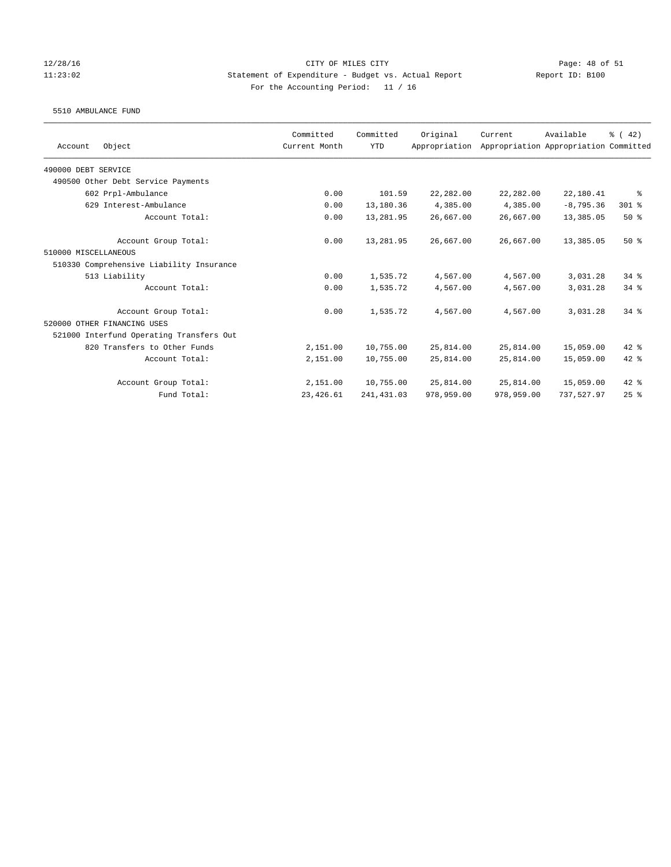## 12/28/16 CITY OF MILES CITY Page: 48 of 51 11:23:02 Statement of Expenditure - Budget vs. Actual Report Report ID: B100 For the Accounting Period: 11 / 16

### 5510 AMBULANCE FUND

| Object<br>Account                        | Committed<br>Current Month | Committed<br><b>YTD</b> | Original<br>Appropriation | Current    | Available<br>Appropriation Appropriation Committed | % (42)   |
|------------------------------------------|----------------------------|-------------------------|---------------------------|------------|----------------------------------------------------|----------|
|                                          |                            |                         |                           |            |                                                    |          |
| 490000 DEBT SERVICE                      |                            |                         |                           |            |                                                    |          |
| 490500 Other Debt Service Payments       |                            |                         |                           |            |                                                    |          |
| 602 Prpl-Ambulance                       | 0.00                       | 101.59                  | 22,282.00                 | 22,282.00  | 22,180.41                                          | ႜ        |
| 629 Interest-Ambulance                   | 0.00                       | 13,180.36               | 4,385.00                  | 4,385.00   | $-8,795.36$                                        | 301 %    |
| Account Total:                           | 0.00                       | 13,281.95               | 26,667.00                 | 26,667.00  | 13,385.05                                          | $50*$    |
| Account Group Total:                     | 0.00                       | 13,281.95               | 26,667.00                 | 26,667.00  | 13,385.05                                          | $50*$    |
| 510000 MISCELLANEOUS                     |                            |                         |                           |            |                                                    |          |
| 510330 Comprehensive Liability Insurance |                            |                         |                           |            |                                                    |          |
| 513 Liability                            | 0.00                       | 1,535.72                | 4,567.00                  | 4,567.00   | 3,031.28                                           | $34$ $%$ |
| Account Total:                           | 0.00                       | 1,535.72                | 4,567.00                  | 4,567.00   | 3,031.28                                           | $34$ $%$ |
| Account Group Total:                     | 0.00                       | 1,535.72                | 4,567.00                  | 4,567.00   | 3,031.28                                           | $34*$    |
| 520000 OTHER FINANCING USES              |                            |                         |                           |            |                                                    |          |
| 521000 Interfund Operating Transfers Out |                            |                         |                           |            |                                                    |          |
| 820 Transfers to Other Funds             | 2,151.00                   | 10,755.00               | 25,814.00                 | 25,814.00  | 15,059.00                                          | $42*$    |
| Account Total:                           | 2,151.00                   | 10,755.00               | 25,814.00                 | 25,814.00  | 15,059.00                                          | $42*$    |
| Account Group Total:                     | 2,151.00                   | 10,755.00               | 25,814.00                 | 25,814.00  | 15,059.00                                          | $42$ %   |
| Fund Total:                              | 23, 426.61                 | 241, 431.03             | 978,959.00                | 978,959.00 | 737,527.97                                         | $25$ %   |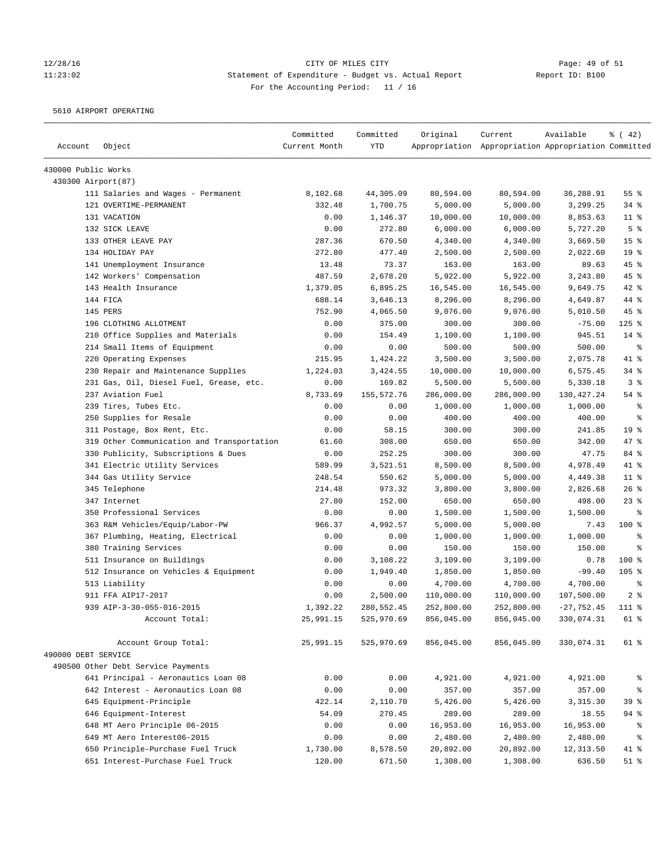# 12/28/16 Page: 49 of 51 11:23:02 Statement of Expenditure - Budget vs. Actual Report Report ID: B100 For the Accounting Period: 11 / 16

5610 AIRPORT OPERATING

| Account             | Object                                     | Committed<br>Current Month | Committed<br><b>YTD</b> | Original   | Current<br>Appropriation Appropriation Appropriation Committed | Available    | $\frac{1}{6}$ ( 42) |
|---------------------|--------------------------------------------|----------------------------|-------------------------|------------|----------------------------------------------------------------|--------------|---------------------|
| 430000 Public Works |                                            |                            |                         |            |                                                                |              |                     |
| 430300 Airport(87)  |                                            |                            |                         |            |                                                                |              |                     |
|                     | 111 Salaries and Wages - Permanent         | 8,102.68                   | 44,305.09               | 80,594.00  | 80,594.00                                                      | 36,288.91    | 55%                 |
|                     | 121 OVERTIME-PERMANENT                     | 332.48                     | 1,700.75                | 5,000.00   | 5,000.00                                                       | 3,299.25     | 34%                 |
|                     | 131 VACATION                               | 0.00                       | 1,146.37                | 10,000.00  | 10,000.00                                                      | 8,853.63     | $11$ %              |
|                     | 132 SICK LEAVE                             | 0.00                       | 272.80                  | 6,000.00   | 6,000.00                                                       | 5,727.20     | 5 <sup>°</sup>      |
|                     | 133 OTHER LEAVE PAY                        | 287.36                     | 670.50                  | 4,340.00   | 4,340.00                                                       | 3,669.50     | 15 <sup>°</sup>     |
|                     | 134 HOLIDAY PAY                            | 272.80                     | 477.40                  | 2,500.00   | 2,500.00                                                       | 2,022.60     | 19 <sup>°</sup>     |
|                     | 141 Unemployment Insurance                 | 13.48                      | 73.37                   | 163.00     | 163.00                                                         | 89.63        | 45 %                |
|                     | 142 Workers' Compensation                  | 487.59                     | 2,678.20                | 5,922.00   | 5,922.00                                                       | 3,243.80     | 45 %                |
|                     | 143 Health Insurance                       | 1,379.05                   | 6,895.25                | 16,545.00  | 16,545.00                                                      | 9,649.75     | $42$ %              |
|                     | 144 FICA                                   | 688.14                     | 3,646.13                | 8,296.00   | 8,296.00                                                       | 4,649.87     | 44 %                |
|                     | 145 PERS                                   | 752.90                     | 4,065.50                | 9,076.00   | 9,076.00                                                       | 5,010.50     | 45 %                |
|                     | 196 CLOTHING ALLOTMENT                     | 0.00                       | 375.00                  | 300.00     | 300.00                                                         | $-75.00$     | $125$ %             |
|                     | 210 Office Supplies and Materials          | 0.00                       | 154.49                  | 1,100.00   | 1,100.00                                                       | 945.51       | $14$ %              |
|                     | 214 Small Items of Equipment               | 0.00                       | 0.00                    | 500.00     | 500.00                                                         | 500.00       | $\epsilon$          |
|                     | 220 Operating Expenses                     | 215.95                     | 1,424.22                | 3,500.00   | 3,500.00                                                       | 2,075.78     | 41 %                |
|                     | 230 Repair and Maintenance Supplies        | 1,224.03                   | 3,424.55                | 10,000.00  | 10,000.00                                                      | 6,575.45     | 34%                 |
|                     | 231 Gas, Oil, Diesel Fuel, Grease, etc.    | 0.00                       | 169.82                  | 5,500.00   | 5,500.00                                                       | 5,330.18     | 3%                  |
|                     | 237 Aviation Fuel                          | 8,733.69                   | 155,572.76              | 286,000.00 | 286,000.00                                                     | 130,427.24   | 54 %                |
|                     | 239 Tires, Tubes Etc.                      | 0.00                       | 0.00                    | 1,000.00   | 1,000.00                                                       | 1,000.00     | $\epsilon$          |
|                     | 250 Supplies for Resale                    | 0.00                       | 0.00                    | 400.00     | 400.00                                                         | 400.00       | နွ                  |
|                     | 311 Postage, Box Rent, Etc.                | 0.00                       | 58.15                   | 300.00     | 300.00                                                         | 241.85       | 19 <sup>°</sup>     |
|                     | 319 Other Communication and Transportation | 61.60                      | 308.00                  | 650.00     | 650.00                                                         | 342.00       | 47 %                |
|                     | 330 Publicity, Subscriptions & Dues        | 0.00                       | 252.25                  | 300.00     | 300.00                                                         | 47.75        | 84 %                |
|                     | 341 Electric Utility Services              | 589.99                     | 3,521.51                | 8,500.00   | 8,500.00                                                       | 4,978.49     | 41 %                |
|                     | 344 Gas Utility Service                    | 248.54                     | 550.62                  | 5,000.00   | 5,000.00                                                       | 4,449.38     | $11$ %              |
|                     | 345 Telephone                              | 214.48                     | 973.32                  | 3,800.00   | 3,800.00                                                       | 2,826.68     | 26%                 |
|                     | 347 Internet                               | 27.80                      | 152.00                  | 650.00     | 650.00                                                         | 498.00       | $23$ %              |
|                     | 350 Professional Services                  | 0.00                       | 0.00                    | 1,500.00   | 1,500.00                                                       | 1,500.00     | $\epsilon$          |
|                     | 363 R&M Vehicles/Equip/Labor-PW            | 966.37                     | 4,992.57                | 5,000.00   | 5,000.00                                                       | 7.43         | $100$ %             |
|                     | 367 Plumbing, Heating, Electrical          | 0.00                       | 0.00                    | 1,000.00   | 1,000.00                                                       | 1,000.00     | နွ                  |
|                     | 380 Training Services                      | 0.00                       | 0.00                    | 150.00     | 150.00                                                         | 150.00       | နွ                  |
|                     | 511 Insurance on Buildings                 | 0.00                       | 3,108.22                | 3,109.00   | 3,109.00                                                       | 0.78         | $100*$              |
|                     | 512 Insurance on Vehicles & Equipment      | 0.00                       | 1,949.40                | 1,850.00   | 1,850.00                                                       | $-99.40$     | $105$ %             |
|                     | 513 Liability                              | 0.00                       | 0.00                    | 4,700.00   | 4,700.00                                                       | 4,700.00     | နွ                  |
|                     | 911 FFA AIP17-2017                         | 0.00                       | 2,500.00                | 110,000.00 | 110,000.00                                                     | 107,500.00   | 2 <sup>8</sup>      |
|                     | 939 AIP-3-30-055-016-2015                  | 1,392.22                   | 280,552.45              | 252,800.00 | 252,800.00                                                     | $-27,752.45$ | 111 %               |
|                     | Account Total:                             | 25,991.15                  | 525,970.69              | 856,045.00 | 856,045.00                                                     | 330,074.31   | 61 %                |
|                     | Account Group Total:                       | 25,991.15                  | 525,970.69              | 856,045.00 | 856,045.00                                                     | 330,074.31   | 61 %                |
| 490000 DEBT SERVICE |                                            |                            |                         |            |                                                                |              |                     |
|                     | 490500 Other Debt Service Payments         |                            |                         |            |                                                                |              |                     |
|                     | 641 Principal - Aeronautics Loan 08        | 0.00                       | 0.00                    | 4,921.00   | 4,921.00                                                       | 4,921.00     | ိစ                  |
|                     | 642 Interest - Aeronautics Loan 08         | 0.00                       | 0.00                    | 357.00     | 357.00                                                         | 357.00       | နွ                  |
|                     | 645 Equipment-Principle                    | 422.14                     | 2,110.70                | 5,426.00   | 5,426.00                                                       | 3,315.30     | 39 %                |
|                     | 646 Equipment-Interest                     | 54.09                      | 270.45                  | 289.00     | 289.00                                                         | 18.55        | 94 %                |
|                     | 648 MT Aero Principle 06-2015              | 0.00                       | 0.00                    | 16,953.00  | 16,953.00                                                      | 16,953.00    | ိစ                  |
|                     | 649 MT Aero Interest06-2015                | 0.00                       | 0.00                    | 2,480.00   | 2,480.00                                                       | 2,480.00     | $\epsilon$          |
|                     | 650 Principle-Purchase Fuel Truck          | 1,730.00                   | 8,578.50                | 20,892.00  | 20,892.00                                                      | 12,313.50    | 41 %                |
|                     | 651 Interest-Purchase Fuel Truck           | 120.00                     | 671.50                  | 1,308.00   | 1,308.00                                                       | 636.50       | $51$ %              |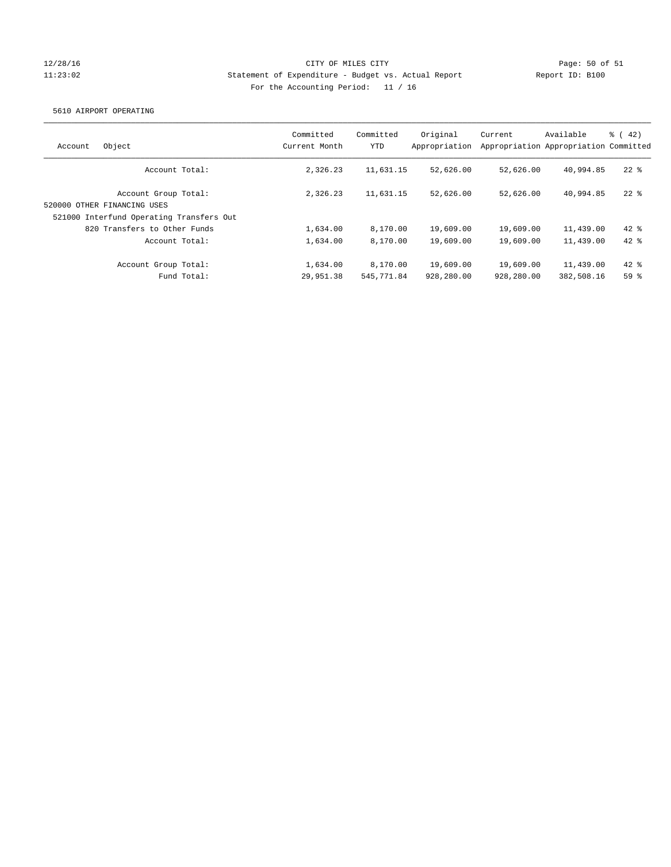## 12/28/16 CITY OF MILES CITY Page: 50 of 51 11:23:02 Statement of Expenditure - Budget vs. Actual Report Report ID: B100 For the Accounting Period: 11 / 16

### 5610 AIRPORT OPERATING

| Object<br>Account                                                                               | Committed<br>Current Month | Committed<br><b>YTD</b> | Original<br>Appropriation | Current                 | Available<br>Appropriation Appropriation Committed | $\frac{1}{6}$ (42) |
|-------------------------------------------------------------------------------------------------|----------------------------|-------------------------|---------------------------|-------------------------|----------------------------------------------------|--------------------|
| Account Total:                                                                                  | 2,326.23                   | 11,631.15               | 52,626.00                 | 52,626.00               | 40,994.85                                          | $22$ $%$           |
| Account Group Total:<br>520000 OTHER FINANCING USES<br>521000 Interfund Operating Transfers Out | 2,326.23                   | 11,631.15               | 52,626.00                 | 52,626.00               | 40,994.85                                          | $22$ $%$           |
| 820 Transfers to Other Funds                                                                    | 1,634.00                   | 8,170.00                | 19,609.00                 | 19,609.00               | 11,439.00                                          | $42*$              |
| Account Total:                                                                                  | 1,634.00                   | 8,170.00                | 19,609.00                 | 19,609.00               | 11,439.00                                          | $42*$              |
| Account Group Total:<br>Fund Total:                                                             | 1,634.00<br>29,951.38      | 8,170.00<br>545, 771.84 | 19,609.00<br>928,280.00   | 19,609.00<br>928,280.00 | 11,439.00<br>382,508.16                            | $42*$<br>$59*$     |